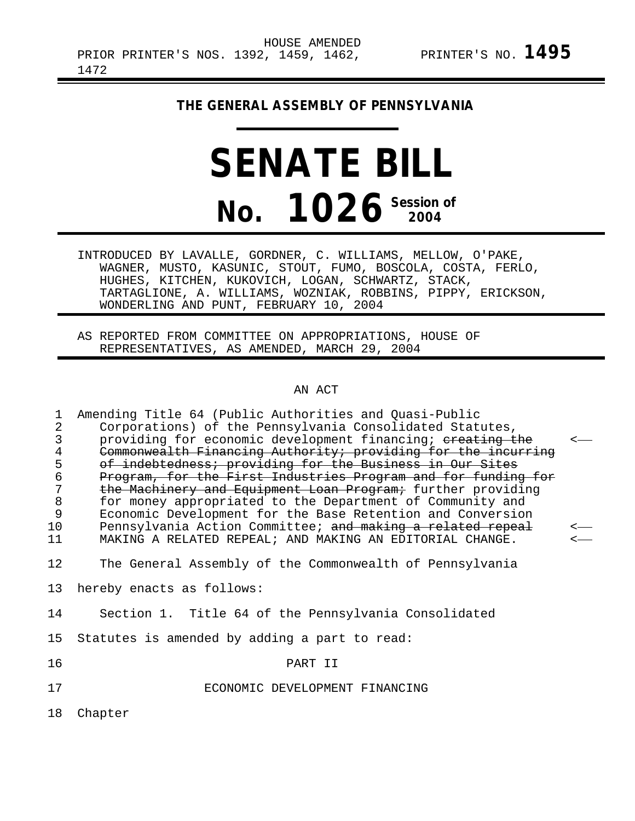# **THE GENERAL ASSEMBLY OF PENNSYLVANIA**

# **SENATE BILL No. 1026 Session of 2004**

INTRODUCED BY LAVALLE, GORDNER, C. WILLIAMS, MELLOW, O'PAKE, WAGNER, MUSTO, KASUNIC, STOUT, FUMO, BOSCOLA, COSTA, FERLO, HUGHES, KITCHEN, KUKOVICH, LOGAN, SCHWARTZ, STACK, TARTAGLIONE, A. WILLIAMS, WOZNIAK, ROBBINS, PIPPY, ERICKSON, WONDERLING AND PUNT, FEBRUARY 10, 2004

AS REPORTED FROM COMMITTEE ON APPROPRIATIONS, HOUSE OF REPRESENTATIVES, AS AMENDED, MARCH 29, 2004

### AN ACT

| $\mathbf 1$ | Amending Title 64 (Public Authorities and Quasi-Public        |              |
|-------------|---------------------------------------------------------------|--------------|
| $\sqrt{2}$  | Corporations) of the Pennsylvania Consolidated Statutes,      |              |
| $\mathsf 3$ | providing for economic development financing; ereating the    | $\leftarrow$ |
| $\bf 4$     | Commonwealth Financing Authority; providing for the incurring |              |
| 5           | of indebtedness; providing for the Business in Our Sites      |              |
| $\epsilon$  | Program, for the First Industries Program and for funding for |              |
| 7           | the Machinery and Equipment Loan Program; further providing   |              |
| $\,8\,$     | for money appropriated to the Department of Community and     |              |
| 9           | Economic Development for the Base Retention and Conversion    |              |
| 10          | Pennsylvania Action Committee; and making a related repeal    | $\leftarrow$ |
| 11          | MAKING A RELATED REPEAL; AND MAKING AN EDITORIAL CHANGE.      | $\leftarrow$ |
| 12          |                                                               |              |
|             | The General Assembly of the Commonwealth of Pennsylvania      |              |
| 13          | hereby enacts as follows:                                     |              |
|             |                                                               |              |
| 14          | Section 1. Title 64 of the Pennsylvania Consolidated          |              |
|             |                                                               |              |
| 15          | Statutes is amended by adding a part to read:                 |              |
| 16          | PART II                                                       |              |
|             |                                                               |              |
| 17          | ECONOMIC DEVELOPMENT FINANCING                                |              |
|             |                                                               |              |
| 18          | Chapter                                                       |              |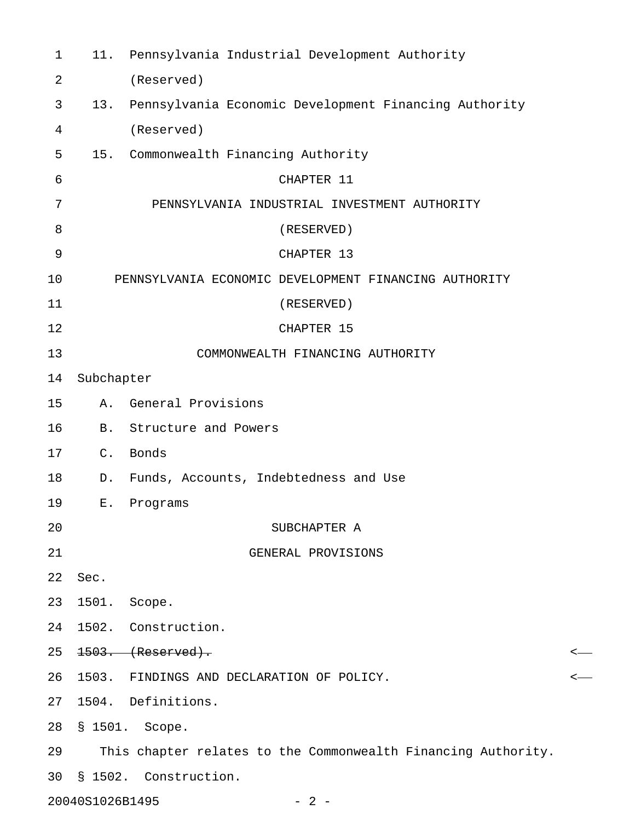| $\mathbf{1}$ |                 | 11. Pennsylvania Industrial Development Authority             |   |  |  |
|--------------|-----------------|---------------------------------------------------------------|---|--|--|
| 2            |                 | (Reserved)                                                    |   |  |  |
| 3            | 13.             | Pennsylvania Economic Development Financing Authority         |   |  |  |
| 4            |                 | (Reserved)                                                    |   |  |  |
| 5            | 15.             | Commonwealth Financing Authority                              |   |  |  |
| 6            |                 | CHAPTER 11                                                    |   |  |  |
| 7            |                 | PENNSYLVANIA INDUSTRIAL INVESTMENT AUTHORITY                  |   |  |  |
| 8            |                 | (RESERVED)                                                    |   |  |  |
| 9            |                 | CHAPTER 13                                                    |   |  |  |
| 10           |                 | PENNSYLVANIA ECONOMIC DEVELOPMENT FINANCING AUTHORITY         |   |  |  |
| 11           |                 | (RESERVED)                                                    |   |  |  |
| 12           |                 | CHAPTER 15                                                    |   |  |  |
| 13           |                 | COMMONWEALTH FINANCING AUTHORITY                              |   |  |  |
| 14           | Subchapter      |                                                               |   |  |  |
| 15           | Α.              | General Provisions                                            |   |  |  |
| 16           | <b>B.</b>       | Structure and Powers                                          |   |  |  |
| 17           | $C_{\bullet}$   | Bonds                                                         |   |  |  |
| 18           | D.              | Funds, Accounts, Indebtedness and Use                         |   |  |  |
| 19           | $E$ .           | Programs                                                      |   |  |  |
| 20           |                 | SUBCHAPTER A                                                  |   |  |  |
| 21           |                 | GENERAL PROVISIONS                                            |   |  |  |
| 22           | Sec.            |                                                               |   |  |  |
| 23           | 1501.           | Scope.                                                        |   |  |  |
| 24           |                 | 1502. Construction.                                           |   |  |  |
| 25           |                 | $1503.$ (Reserved).                                           | < |  |  |
| 26           |                 | 1503. FINDINGS AND DECLARATION OF POLICY.                     | < |  |  |
| 27           |                 | 1504. Definitions.                                            |   |  |  |
| 28           |                 | § 1501. Scope.                                                |   |  |  |
| 29           |                 | This chapter relates to the Commonwealth Financing Authority. |   |  |  |
| 30           |                 | § 1502. Construction.                                         |   |  |  |
|              | 20040S1026B1495 | $-2-$                                                         |   |  |  |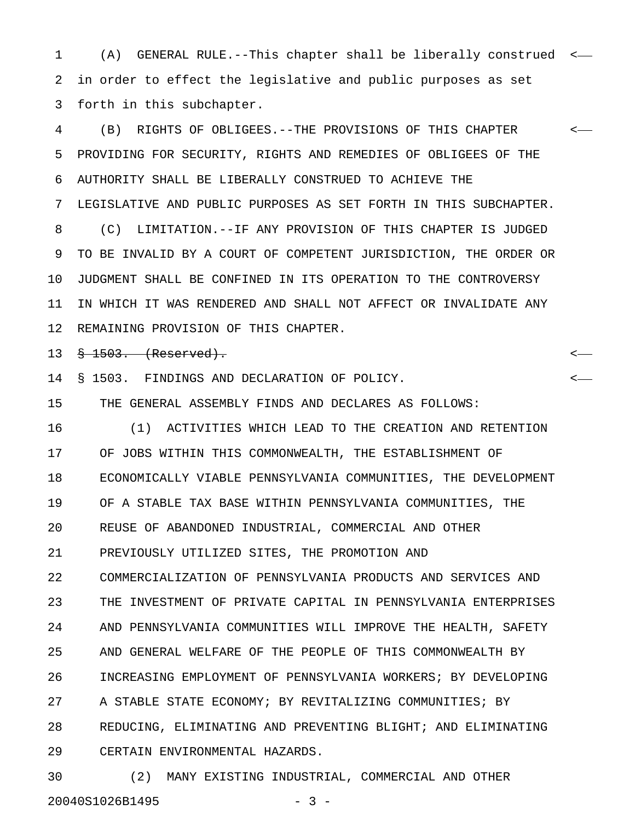1 (A) GENERAL RULE.--This chapter shall be liberally construed < 2 in order to effect the legislative and public purposes as set 3 forth in this subchapter.

4 (B) RIGHTS OF OBLIGEES.--THE PROVISIONS OF THIS CHAPTER < 5 PROVIDING FOR SECURITY, RIGHTS AND REMEDIES OF OBLIGEES OF THE 6 AUTHORITY SHALL BE LIBERALLY CONSTRUED TO ACHIEVE THE 7 LEGISLATIVE AND PUBLIC PURPOSES AS SET FORTH IN THIS SUBCHAPTER. 8 (C) LIMITATION.--IF ANY PROVISION OF THIS CHAPTER IS JUDGED 9 TO BE INVALID BY A COURT OF COMPETENT JURISDICTION, THE ORDER OR 10 JUDGMENT SHALL BE CONFINED IN ITS OPERATION TO THE CONTROVERSY 11 IN WHICH IT WAS RENDERED AND SHALL NOT AFFECT OR INVALIDATE ANY 12 REMAINING PROVISION OF THIS CHAPTER.

13 § 1503. (Reserved). <

14 § 1503. FINDINGS AND DECLARATION OF POLICY. <

15 THE GENERAL ASSEMBLY FINDS AND DECLARES AS FOLLOWS:

16 (1) ACTIVITIES WHICH LEAD TO THE CREATION AND RETENTION 17 OF JOBS WITHIN THIS COMMONWEALTH, THE ESTABLISHMENT OF 18 ECONOMICALLY VIABLE PENNSYLVANIA COMMUNITIES, THE DEVELOPMENT 19 OF A STABLE TAX BASE WITHIN PENNSYLVANIA COMMUNITIES, THE 20 REUSE OF ABANDONED INDUSTRIAL, COMMERCIAL AND OTHER 21 PREVIOUSLY UTILIZED SITES, THE PROMOTION AND 22 COMMERCIALIZATION OF PENNSYLVANIA PRODUCTS AND SERVICES AND 23 THE INVESTMENT OF PRIVATE CAPITAL IN PENNSYLVANIA ENTERPRISES 24 AND PENNSYLVANIA COMMUNITIES WILL IMPROVE THE HEALTH, SAFETY 25 AND GENERAL WELFARE OF THE PEOPLE OF THIS COMMONWEALTH BY 26 INCREASING EMPLOYMENT OF PENNSYLVANIA WORKERS; BY DEVELOPING 27 A STABLE STATE ECONOMY; BY REVITALIZING COMMUNITIES; BY 28 REDUCING, ELIMINATING AND PREVENTING BLIGHT; AND ELIMINATING 29 CERTAIN ENVIRONMENTAL HAZARDS.

30 (2) MANY EXISTING INDUSTRIAL, COMMERCIAL AND OTHER 20040S1026B1495 - 3 -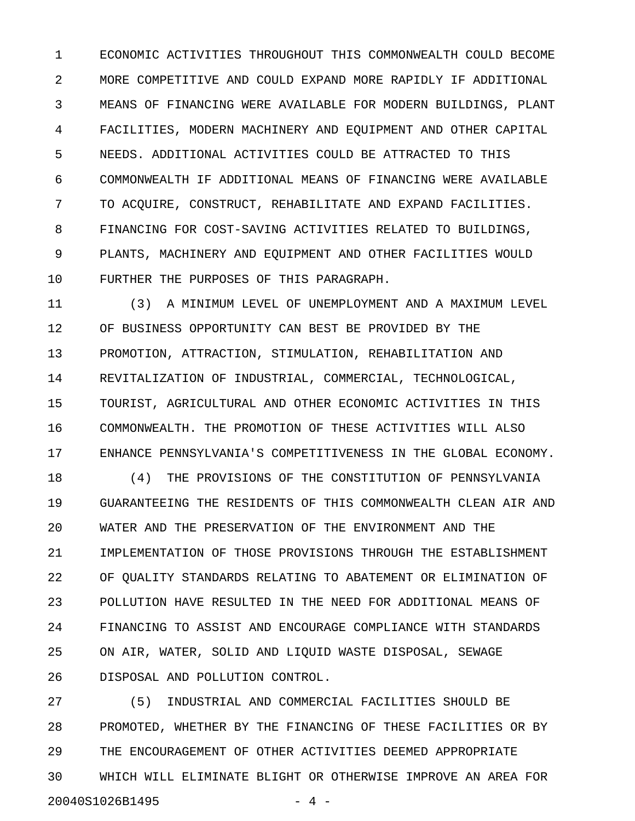1 ECONOMIC ACTIVITIES THROUGHOUT THIS COMMONWEALTH COULD BECOME 2 MORE COMPETITIVE AND COULD EXPAND MORE RAPIDLY IF ADDITIONAL 3 MEANS OF FINANCING WERE AVAILABLE FOR MODERN BUILDINGS, PLANT 4 FACILITIES, MODERN MACHINERY AND EQUIPMENT AND OTHER CAPITAL 5 NEEDS. ADDITIONAL ACTIVITIES COULD BE ATTRACTED TO THIS 6 COMMONWEALTH IF ADDITIONAL MEANS OF FINANCING WERE AVAILABLE 7 TO ACQUIRE, CONSTRUCT, REHABILITATE AND EXPAND FACILITIES. 8 FINANCING FOR COST-SAVING ACTIVITIES RELATED TO BUILDINGS, 9 PLANTS, MACHINERY AND EQUIPMENT AND OTHER FACILITIES WOULD 10 FURTHER THE PURPOSES OF THIS PARAGRAPH.

11 (3) A MINIMUM LEVEL OF UNEMPLOYMENT AND A MAXIMUM LEVEL 12 OF BUSINESS OPPORTUNITY CAN BEST BE PROVIDED BY THE 13 PROMOTION, ATTRACTION, STIMULATION, REHABILITATION AND 14 REVITALIZATION OF INDUSTRIAL, COMMERCIAL, TECHNOLOGICAL, 15 TOURIST, AGRICULTURAL AND OTHER ECONOMIC ACTIVITIES IN THIS 16 COMMONWEALTH. THE PROMOTION OF THESE ACTIVITIES WILL ALSO 17 ENHANCE PENNSYLVANIA'S COMPETITIVENESS IN THE GLOBAL ECONOMY.

18 (4) THE PROVISIONS OF THE CONSTITUTION OF PENNSYLVANIA 19 GUARANTEEING THE RESIDENTS OF THIS COMMONWEALTH CLEAN AIR AND 20 WATER AND THE PRESERVATION OF THE ENVIRONMENT AND THE 21 IMPLEMENTATION OF THOSE PROVISIONS THROUGH THE ESTABLISHMENT 22 OF QUALITY STANDARDS RELATING TO ABATEMENT OR ELIMINATION OF 23 POLLUTION HAVE RESULTED IN THE NEED FOR ADDITIONAL MEANS OF 24 FINANCING TO ASSIST AND ENCOURAGE COMPLIANCE WITH STANDARDS 25 ON AIR, WATER, SOLID AND LIQUID WASTE DISPOSAL, SEWAGE 26 DISPOSAL AND POLLUTION CONTROL.

27 (5) INDUSTRIAL AND COMMERCIAL FACILITIES SHOULD BE 28 PROMOTED, WHETHER BY THE FINANCING OF THESE FACILITIES OR BY 29 THE ENCOURAGEMENT OF OTHER ACTIVITIES DEEMED APPROPRIATE 30 WHICH WILL ELIMINATE BLIGHT OR OTHERWISE IMPROVE AN AREA FOR 20040S1026B1495 - 4 -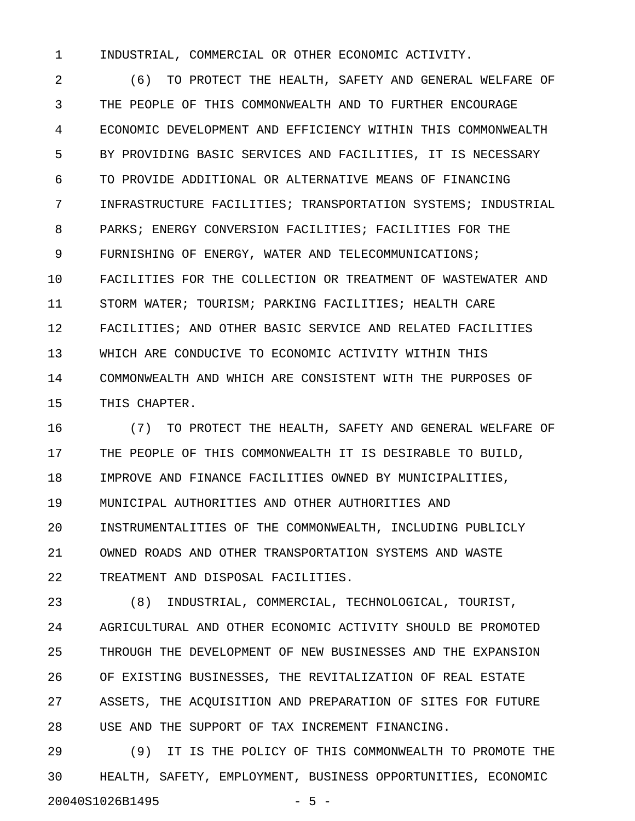1 INDUSTRIAL, COMMERCIAL OR OTHER ECONOMIC ACTIVITY.

2 (6) TO PROTECT THE HEALTH, SAFETY AND GENERAL WELFARE OF 3 THE PEOPLE OF THIS COMMONWEALTH AND TO FURTHER ENCOURAGE 4 ECONOMIC DEVELOPMENT AND EFFICIENCY WITHIN THIS COMMONWEALTH 5 BY PROVIDING BASIC SERVICES AND FACILITIES, IT IS NECESSARY 6 TO PROVIDE ADDITIONAL OR ALTERNATIVE MEANS OF FINANCING 7 INFRASTRUCTURE FACILITIES; TRANSPORTATION SYSTEMS; INDUSTRIAL 8 PARKS; ENERGY CONVERSION FACILITIES; FACILITIES FOR THE 9 FURNISHING OF ENERGY, WATER AND TELECOMMUNICATIONS; 10 FACILITIES FOR THE COLLECTION OR TREATMENT OF WASTEWATER AND 11 STORM WATER; TOURISM; PARKING FACILITIES; HEALTH CARE 12 FACILITIES; AND OTHER BASIC SERVICE AND RELATED FACILITIES 13 WHICH ARE CONDUCIVE TO ECONOMIC ACTIVITY WITHIN THIS 14 COMMONWEALTH AND WHICH ARE CONSISTENT WITH THE PURPOSES OF 15 THIS CHAPTER.

16 (7) TO PROTECT THE HEALTH, SAFETY AND GENERAL WELFARE OF 17 THE PEOPLE OF THIS COMMONWEALTH IT IS DESIRABLE TO BUILD, 18 IMPROVE AND FINANCE FACILITIES OWNED BY MUNICIPALITIES, 19 MUNICIPAL AUTHORITIES AND OTHER AUTHORITIES AND 20 INSTRUMENTALITIES OF THE COMMONWEALTH, INCLUDING PUBLICLY 21 OWNED ROADS AND OTHER TRANSPORTATION SYSTEMS AND WASTE 22 TREATMENT AND DISPOSAL FACILITIES.

23 (8) INDUSTRIAL, COMMERCIAL, TECHNOLOGICAL, TOURIST, 24 AGRICULTURAL AND OTHER ECONOMIC ACTIVITY SHOULD BE PROMOTED 25 THROUGH THE DEVELOPMENT OF NEW BUSINESSES AND THE EXPANSION 26 OF EXISTING BUSINESSES, THE REVITALIZATION OF REAL ESTATE 27 ASSETS, THE ACQUISITION AND PREPARATION OF SITES FOR FUTURE 28 USE AND THE SUPPORT OF TAX INCREMENT FINANCING.

29 (9) IT IS THE POLICY OF THIS COMMONWEALTH TO PROMOTE THE 30 HEALTH, SAFETY, EMPLOYMENT, BUSINESS OPPORTUNITIES, ECONOMIC 20040S1026B1495 - 5 -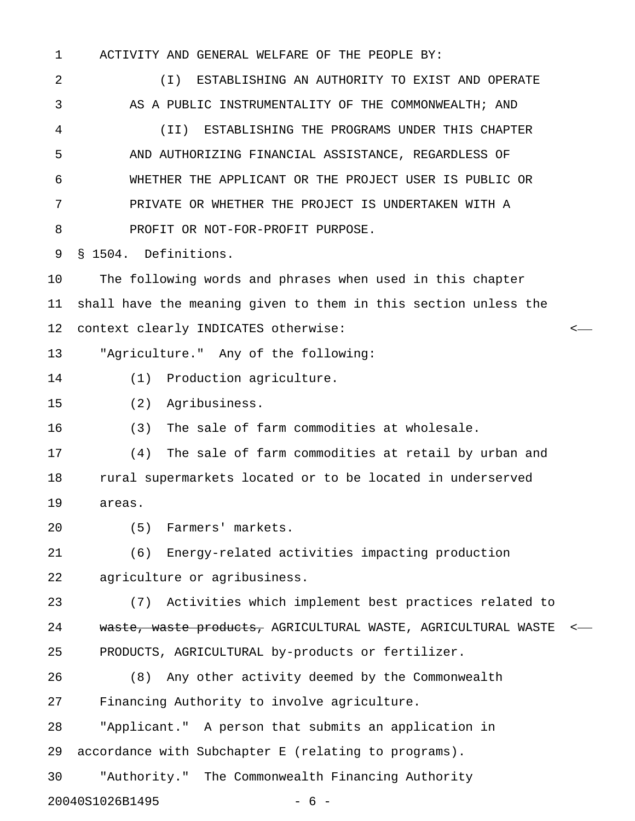1 ACTIVITY AND GENERAL WELFARE OF THE PEOPLE BY:

2 (I) ESTABLISHING AN AUTHORITY TO EXIST AND OPERATE 3 AS A PUBLIC INSTRUMENTALITY OF THE COMMONWEALTH; AND 4 (II) ESTABLISHING THE PROGRAMS UNDER THIS CHAPTER 5 AND AUTHORIZING FINANCIAL ASSISTANCE, REGARDLESS OF 6 WHETHER THE APPLICANT OR THE PROJECT USER IS PUBLIC OR 7 PRIVATE OR WHETHER THE PROJECT IS UNDERTAKEN WITH A 8 PROFIT OR NOT-FOR-PROFIT PURPOSE. 9 § 1504. Definitions. 10 The following words and phrases when used in this chapter 11 shall have the meaning given to them in this section unless the 12 context clearly INDICATES otherwise: < 13 "Agriculture." Any of the following: 14 (1) Production agriculture. 15 (2) Agribusiness. 16 (3) The sale of farm commodities at wholesale. 17 (4) The sale of farm commodities at retail by urban and 18 rural supermarkets located or to be located in underserved 19 areas. 20 (5) Farmers' markets. 21 (6) Energy-related activities impacting production 22 agriculture or agribusiness. 23 (7) Activities which implement best practices related to 24 waste, waste products, AGRICULTURAL WASTE, AGRICULTURAL WASTE <-25 PRODUCTS, AGRICULTURAL by-products or fertilizer. 26 (8) Any other activity deemed by the Commonwealth 27 Financing Authority to involve agriculture. 28 "Applicant." A person that submits an application in 29 accordance with Subchapter E (relating to programs). 30 "Authority." The Commonwealth Financing Authority

20040S1026B1495 - 6 -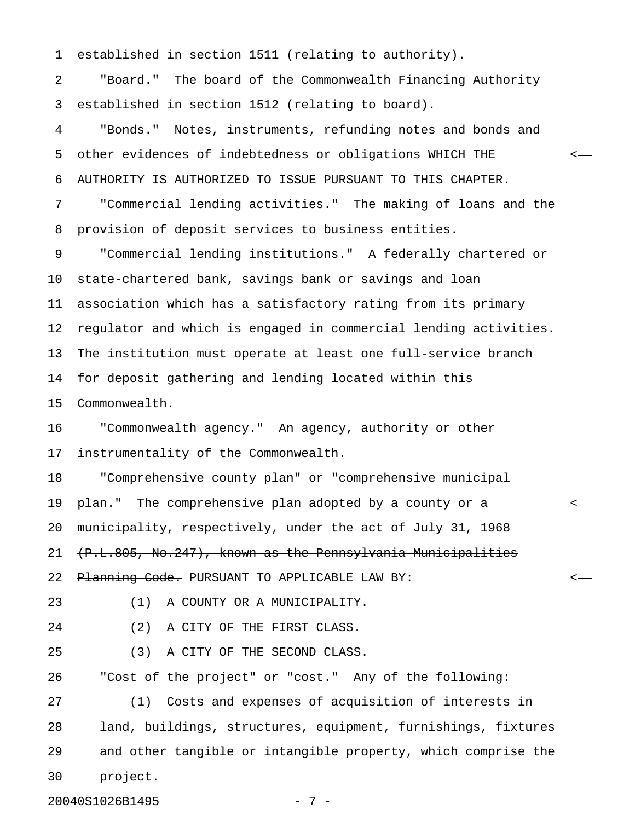1 established in section 1511 (relating to authority).

2 "Board." The board of the Commonwealth Financing Authority 3 established in section 1512 (relating to board).

4 "Bonds." Notes, instruments, refunding notes and bonds and 5 other evidences of indebtedness or obligations WHICH THE < 6 AUTHORITY IS AUTHORIZED TO ISSUE PURSUANT TO THIS CHAPTER.

7 "Commercial lending activities." The making of loans and the 8 provision of deposit services to business entities.

9 "Commercial lending institutions." A federally chartered or 10 state-chartered bank, savings bank or savings and loan 11 association which has a satisfactory rating from its primary 12 regulator and which is engaged in commercial lending activities. 13 The institution must operate at least one full-service branch 14 for deposit gathering and lending located within this 15 Commonwealth.

16 "Commonwealth agency." An agency, authority or other 17 instrumentality of the Commonwealth.

18 "Comprehensive county plan" or "comprehensive municipal 19 plan." The comprehensive plan adopted <del>by a county or a</del>  $\sim$ 20 municipality, respectively, under the act of July 31, 1968 21 (P.L.805, No.247), known as the Pennsylvania Municipalities 22 <del>Planning Code.</del> PURSUANT TO APPLICABLE LAW BY: <-

23 (1) A COUNTY OR A MUNICIPALITY.

24 (2) A CITY OF THE FIRST CLASS.

25 (3) A CITY OF THE SECOND CLASS.

26 "Cost of the project" or "cost." Any of the following:

27 (1) Costs and expenses of acquisition of interests in 28 land, buildings, structures, equipment, furnishings, fixtures 29 and other tangible or intangible property, which comprise the 30 project.

20040S1026B1495 - 7 -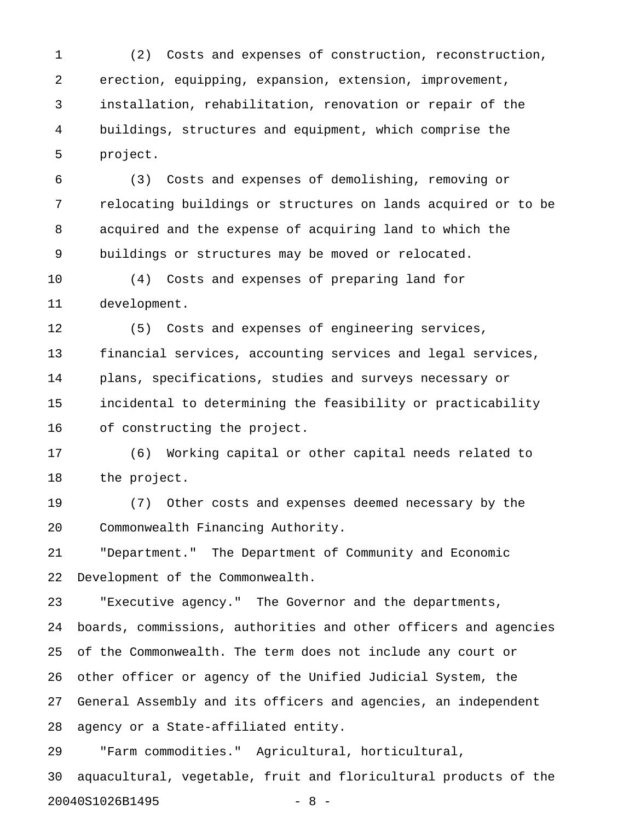1 (2) Costs and expenses of construction, reconstruction, 2 erection, equipping, expansion, extension, improvement, 3 installation, rehabilitation, renovation or repair of the 4 buildings, structures and equipment, which comprise the 5 project.

6 (3) Costs and expenses of demolishing, removing or 7 relocating buildings or structures on lands acquired or to be 8 acquired and the expense of acquiring land to which the 9 buildings or structures may be moved or relocated.

10 (4) Costs and expenses of preparing land for 11 development.

12 (5) Costs and expenses of engineering services, 13 financial services, accounting services and legal services, 14 plans, specifications, studies and surveys necessary or 15 incidental to determining the feasibility or practicability 16 of constructing the project.

17 (6) Working capital or other capital needs related to 18 the project.

19 (7) Other costs and expenses deemed necessary by the 20 Commonwealth Financing Authority.

21 "Department." The Department of Community and Economic 22 Development of the Commonwealth.

23 "Executive agency." The Governor and the departments, 24 boards, commissions, authorities and other officers and agencies 25 of the Commonwealth. The term does not include any court or 26 other officer or agency of the Unified Judicial System, the 27 General Assembly and its officers and agencies, an independent 28 agency or a State-affiliated entity.

29 "Farm commodities." Agricultural, horticultural, 30 aquacultural, vegetable, fruit and floricultural products of the 20040S1026B1495 - 8 -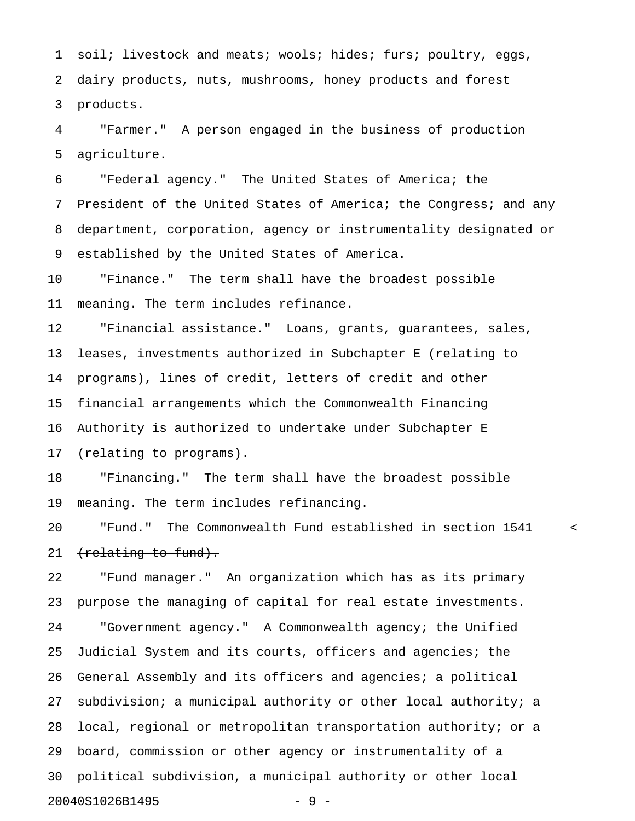1 soil; livestock and meats; wools; hides; furs; poultry, eggs, 2 dairy products, nuts, mushrooms, honey products and forest 3 products.

4 "Farmer." A person engaged in the business of production 5 agriculture.

6 "Federal agency." The United States of America; the 7 President of the United States of America; the Congress; and any 8 department, corporation, agency or instrumentality designated or 9 established by the United States of America.

10 "Finance." The term shall have the broadest possible 11 meaning. The term includes refinance.

12 "Financial assistance." Loans, grants, guarantees, sales, 13 leases, investments authorized in Subchapter E (relating to 14 programs), lines of credit, letters of credit and other 15 financial arrangements which the Commonwealth Financing 16 Authority is authorized to undertake under Subchapter E 17 (relating to programs).

18 "Financing." The term shall have the broadest possible 19 meaning. The term includes refinancing.

20 The Commonwealth Fund established in section 1541 < 21 (relating to fund).

22 "Fund manager." An organization which has as its primary 23 purpose the managing of capital for real estate investments. 24 "Government agency." A Commonwealth agency; the Unified 25 Judicial System and its courts, officers and agencies; the 26 General Assembly and its officers and agencies; a political 27 subdivision; a municipal authority or other local authority; a 28 local, regional or metropolitan transportation authority; or a 29 board, commission or other agency or instrumentality of a 30 political subdivision, a municipal authority or other local 20040S1026B1495 - 9 -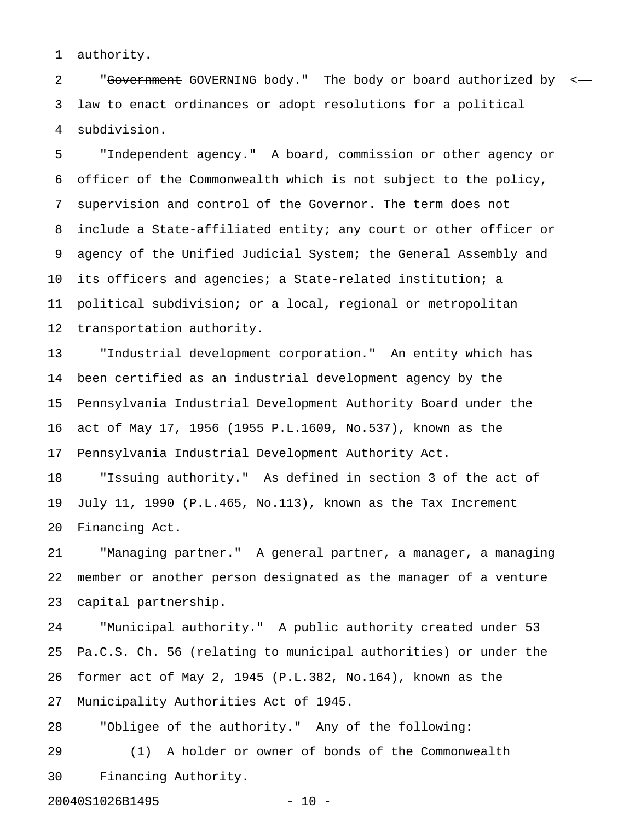1 authority.

2 "Government GOVERNING body." The body or board authorized by < 3 law to enact ordinances or adopt resolutions for a political 4 subdivision.

5 "Independent agency." A board, commission or other agency or 6 officer of the Commonwealth which is not subject to the policy, 7 supervision and control of the Governor. The term does not 8 include a State-affiliated entity; any court or other officer or 9 agency of the Unified Judicial System; the General Assembly and 10 its officers and agencies; a State-related institution; a 11 political subdivision; or a local, regional or metropolitan 12 transportation authority.

13 "Industrial development corporation." An entity which has 14 been certified as an industrial development agency by the 15 Pennsylvania Industrial Development Authority Board under the 16 act of May 17, 1956 (1955 P.L.1609, No.537), known as the 17 Pennsylvania Industrial Development Authority Act.

18 "Issuing authority." As defined in section 3 of the act of 19 July 11, 1990 (P.L.465, No.113), known as the Tax Increment 20 Financing Act.

21 "Managing partner." A general partner, a manager, a managing 22 member or another person designated as the manager of a venture 23 capital partnership.

24 "Municipal authority." A public authority created under 53 25 Pa.C.S. Ch. 56 (relating to municipal authorities) or under the 26 former act of May 2, 1945 (P.L.382, No.164), known as the 27 Municipality Authorities Act of 1945.

28 "Obligee of the authority." Any of the following:

29 (1) A holder or owner of bonds of the Commonwealth 30 Financing Authority.

20040S1026B1495 - 10 -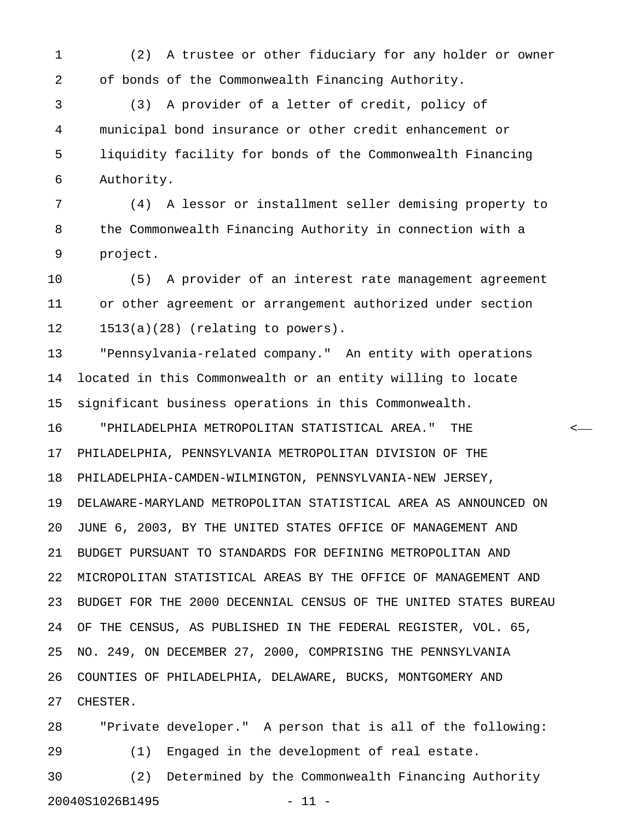1 (2) A trustee or other fiduciary for any holder or owner 2 of bonds of the Commonwealth Financing Authority.

3 (3) A provider of a letter of credit, policy of 4 municipal bond insurance or other credit enhancement or 5 liquidity facility for bonds of the Commonwealth Financing 6 Authority.

7 (4) A lessor or installment seller demising property to 8 the Commonwealth Financing Authority in connection with a 9 project.

10 (5) A provider of an interest rate management agreement 11 or other agreement or arrangement authorized under section 12 1513(a)(28) (relating to powers).

13 "Pennsylvania-related company." An entity with operations 14 located in this Commonwealth or an entity willing to locate 15 significant business operations in this Commonwealth.

16 "PHILADELPHIA METROPOLITAN STATISTICAL AREA." THE < 17 PHILADELPHIA, PENNSYLVANIA METROPOLITAN DIVISION OF THE 18 PHILADELPHIA-CAMDEN-WILMINGTON, PENNSYLVANIA-NEW JERSEY, 19 DELAWARE-MARYLAND METROPOLITAN STATISTICAL AREA AS ANNOUNCED ON 20 JUNE 6, 2003, BY THE UNITED STATES OFFICE OF MANAGEMENT AND 21 BUDGET PURSUANT TO STANDARDS FOR DEFINING METROPOLITAN AND 22 MICROPOLITAN STATISTICAL AREAS BY THE OFFICE OF MANAGEMENT AND 23 BUDGET FOR THE 2000 DECENNIAL CENSUS OF THE UNITED STATES BUREAU 24 OF THE CENSUS, AS PUBLISHED IN THE FEDERAL REGISTER, VOL. 65, 25 NO. 249, ON DECEMBER 27, 2000, COMPRISING THE PENNSYLVANIA 26 COUNTIES OF PHILADELPHIA, DELAWARE, BUCKS, MONTGOMERY AND 27 CHESTER.

28 "Private developer." A person that is all of the following: 29 (1) Engaged in the development of real estate. 30 (2) Determined by the Commonwealth Financing Authority

20040S1026B1495 - 11 -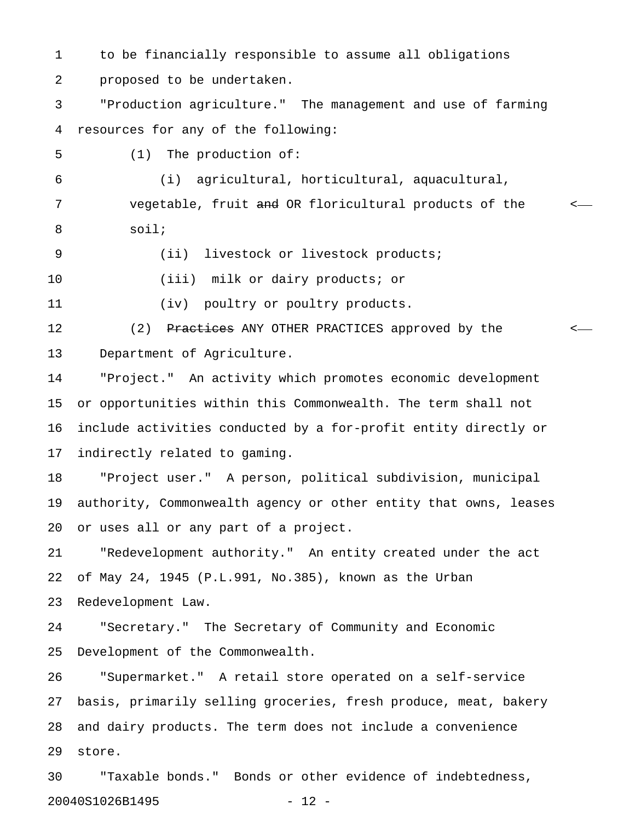1 to be financially responsible to assume all obligations 2 proposed to be undertaken.

3 "Production agriculture." The management and use of farming 4 resources for any of the following:

5 (1) The production of:

6 (i) agricultural, horticultural, aquacultural, 7 vegetable, fruit and OR floricultural products of the set-8 soil;

9 (ii) livestock or livestock products;

10 (iii) milk or dairy products; or

11 (iv) poultry or poultry products.

12 (2) <del>Practices</del> ANY OTHER PRACTICES approved by the  $\sim$ 13 Department of Agriculture.

14 "Project." An activity which promotes economic development 15 or opportunities within this Commonwealth. The term shall not 16 include activities conducted by a for-profit entity directly or 17 indirectly related to gaming.

18 "Project user." A person, political subdivision, municipal 19 authority, Commonwealth agency or other entity that owns, leases 20 or uses all or any part of a project.

21 "Redevelopment authority." An entity created under the act 22 of May 24, 1945 (P.L.991, No.385), known as the Urban 23 Redevelopment Law.

24 "Secretary." The Secretary of Community and Economic 25 Development of the Commonwealth.

26 "Supermarket." A retail store operated on a self-service 27 basis, primarily selling groceries, fresh produce, meat, bakery 28 and dairy products. The term does not include a convenience 29 store.

30 "Taxable bonds." Bonds or other evidence of indebtedness, 20040S1026B1495 - 12 -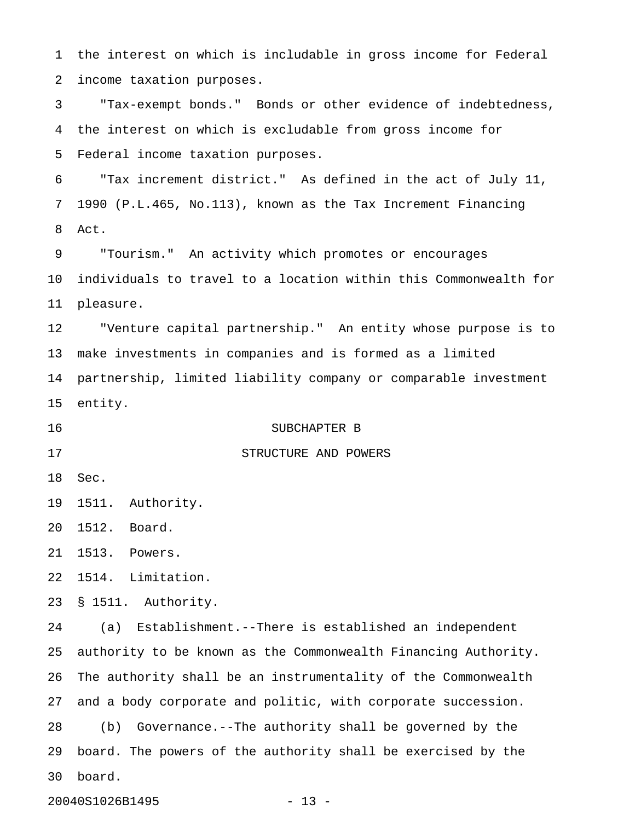1 the interest on which is includable in gross income for Federal 2 income taxation purposes. 3 "Tax-exempt bonds." Bonds or other evidence of indebtedness, 4 the interest on which is excludable from gross income for 5 Federal income taxation purposes. 6 "Tax increment district." As defined in the act of July 11, 7 1990 (P.L.465, No.113), known as the Tax Increment Financing 8 Act. 9 "Tourism." An activity which promotes or encourages 10 individuals to travel to a location within this Commonwealth for 11 pleasure. 12 "Venture capital partnership." An entity whose purpose is to 13 make investments in companies and is formed as a limited 14 partnership, limited liability company or comparable investment 15 entity. 16 SUBCHAPTER B 17 STRUCTURE AND POWERS 18 Sec. 19 1511. Authority. 20 1512. Board. 21 1513. Powers. 22 1514. Limitation. 23 § 1511. Authority. 24 (a) Establishment.--There is established an independent 25 authority to be known as the Commonwealth Financing Authority. 26 The authority shall be an instrumentality of the Commonwealth 27 and a body corporate and politic, with corporate succession. 28 (b) Governance.--The authority shall be governed by the 29 board. The powers of the authority shall be exercised by the 30 board.

20040S1026B1495 - 13 -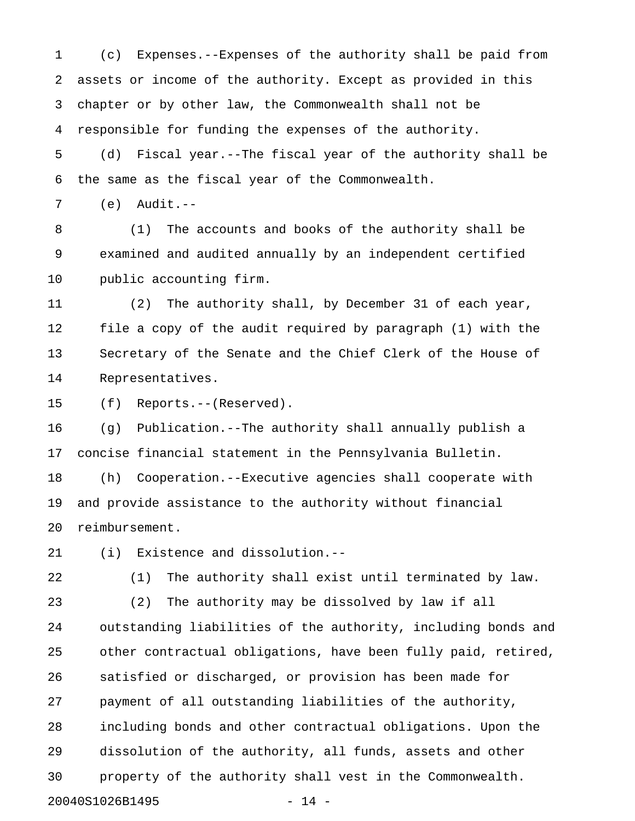1 (c) Expenses.--Expenses of the authority shall be paid from 2 assets or income of the authority. Except as provided in this 3 chapter or by other law, the Commonwealth shall not be 4 responsible for funding the expenses of the authority.

5 (d) Fiscal year.--The fiscal year of the authority shall be 6 the same as the fiscal year of the Commonwealth.

7 (e) Audit.--

8 (1) The accounts and books of the authority shall be 9 examined and audited annually by an independent certified 10 public accounting firm.

11 (2) The authority shall, by December 31 of each year, 12 file a copy of the audit required by paragraph (1) with the 13 Secretary of the Senate and the Chief Clerk of the House of 14 Representatives.

15 (f) Reports.--(Reserved).

16 (g) Publication.--The authority shall annually publish a 17 concise financial statement in the Pennsylvania Bulletin.

18 (h) Cooperation.--Executive agencies shall cooperate with 19 and provide assistance to the authority without financial 20 reimbursement.

21 (i) Existence and dissolution.--

22 (1) The authority shall exist until terminated by law.

23 (2) The authority may be dissolved by law if all 24 outstanding liabilities of the authority, including bonds and 25 other contractual obligations, have been fully paid, retired, 26 satisfied or discharged, or provision has been made for 27 payment of all outstanding liabilities of the authority, 28 including bonds and other contractual obligations. Upon the 29 dissolution of the authority, all funds, assets and other 30 property of the authority shall vest in the Commonwealth. 20040S1026B1495 - 14 -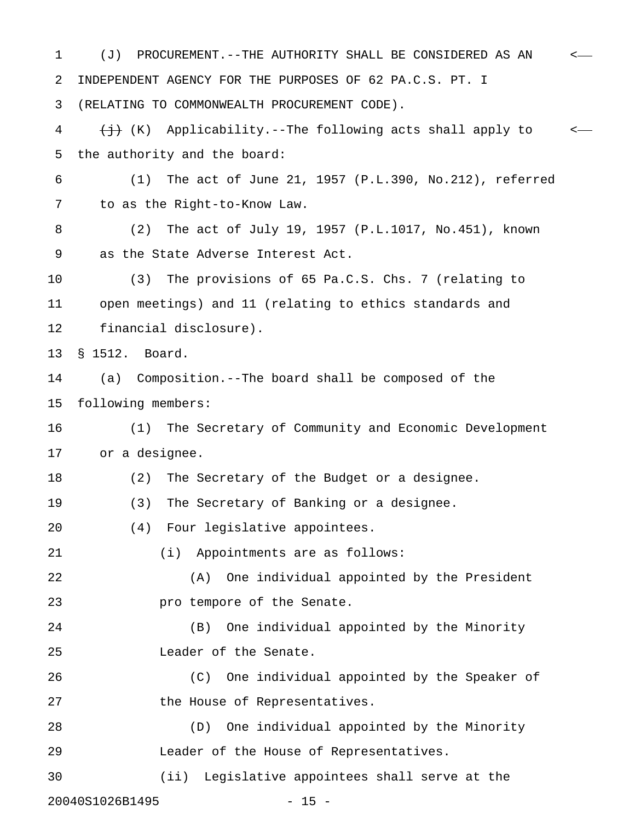1 (J) PROCUREMENT.--THE AUTHORITY SHALL BE CONSIDERED AS AN < 2 INDEPENDENT AGENCY FOR THE PURPOSES OF 62 PA.C.S. PT. I 3 (RELATING TO COMMONWEALTH PROCUREMENT CODE). 4  $\leftarrow$  (K) Applicability.--The following acts shall apply to  $\leftarrow$ 5 the authority and the board: 6 (1) The act of June 21, 1957 (P.L.390, No.212), referred 7 to as the Right-to-Know Law. 8 (2) The act of July 19, 1957 (P.L.1017, No.451), known 9 as the State Adverse Interest Act. 10 (3) The provisions of 65 Pa.C.S. Chs. 7 (relating to 11 open meetings) and 11 (relating to ethics standards and 12 financial disclosure). 13 § 1512. Board. 14 (a) Composition.--The board shall be composed of the 15 following members: 16 (1) The Secretary of Community and Economic Development 17 or a designee. 18 (2) The Secretary of the Budget or a designee. 19 (3) The Secretary of Banking or a designee. 20 (4) Four legislative appointees. 21 (i) Appointments are as follows: 22 (A) One individual appointed by the President 23 **pro tempore of the Senate.** 24 (B) One individual appointed by the Minority 25 Leader of the Senate. 26 (C) One individual appointed by the Speaker of 27 the House of Representatives. 28 (D) One individual appointed by the Minority 29 Leader of the House of Representatives. 30 (ii) Legislative appointees shall serve at the 20040S1026B1495 - 15 -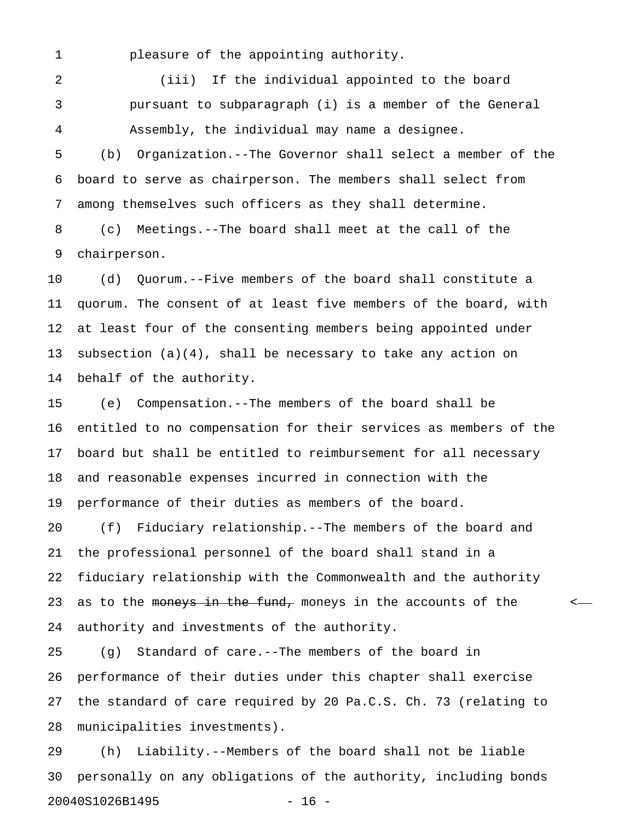1 pleasure of the appointing authority.

2 (iii) If the individual appointed to the board 3 pursuant to subparagraph (i) is a member of the General 4 Assembly, the individual may name a designee.

5 (b) Organization.--The Governor shall select a member of the 6 board to serve as chairperson. The members shall select from 7 among themselves such officers as they shall determine.

8 (c) Meetings.--The board shall meet at the call of the 9 chairperson.

10 (d) Quorum.--Five members of the board shall constitute a 11 quorum. The consent of at least five members of the board, with 12 at least four of the consenting members being appointed under 13 subsection (a)(4), shall be necessary to take any action on 14 behalf of the authority.

15 (e) Compensation.--The members of the board shall be 16 entitled to no compensation for their services as members of the 17 board but shall be entitled to reimbursement for all necessary 18 and reasonable expenses incurred in connection with the 19 performance of their duties as members of the board.

20 (f) Fiduciary relationship.--The members of the board and 21 the professional personnel of the board shall stand in a 22 fiduciary relationship with the Commonwealth and the authority 23 as to the moneys in the fund, moneys in the accounts of the  $\sim$ 24 authority and investments of the authority.

25 (g) Standard of care.--The members of the board in 26 performance of their duties under this chapter shall exercise 27 the standard of care required by 20 Pa.C.S. Ch. 73 (relating to 28 municipalities investments).

29 (h) Liability.--Members of the board shall not be liable 30 personally on any obligations of the authority, including bonds 20040S1026B1495 - 16 -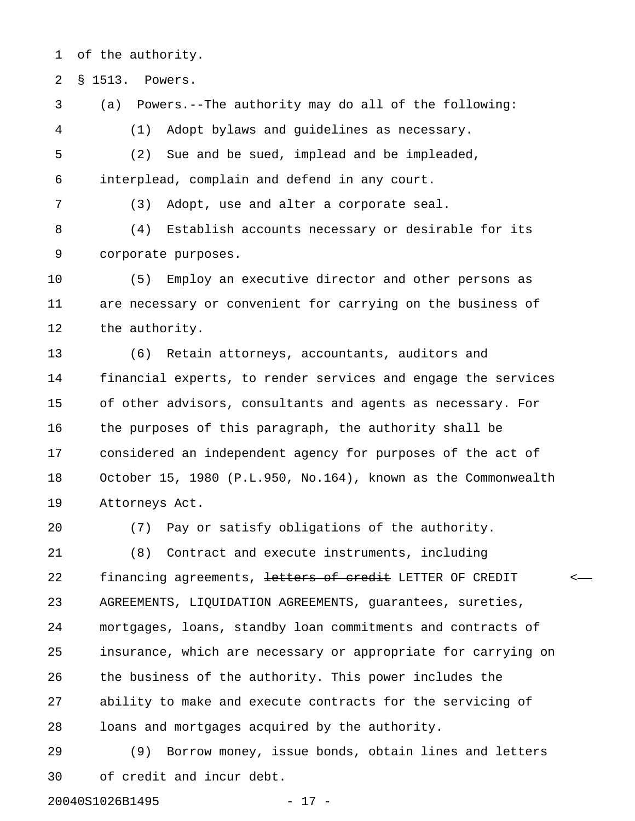1 of the authority.

2 § 1513. Powers.

3 (a) Powers.--The authority may do all of the following:

4 (1) Adopt bylaws and guidelines as necessary.

5 (2) Sue and be sued, implead and be impleaded, 6 interplead, complain and defend in any court.

7 (3) Adopt, use and alter a corporate seal.

8 (4) Establish accounts necessary or desirable for its 9 corporate purposes.

10 (5) Employ an executive director and other persons as 11 are necessary or convenient for carrying on the business of 12 the authority.

13 (6) Retain attorneys, accountants, auditors and 14 financial experts, to render services and engage the services 15 of other advisors, consultants and agents as necessary. For 16 the purposes of this paragraph, the authority shall be 17 considered an independent agency for purposes of the act of 18 October 15, 1980 (P.L.950, No.164), known as the Commonwealth 19 Attorneys Act.

20 (7) Pay or satisfy obligations of the authority.

21 (8) Contract and execute instruments, including 22 financing agreements, letters of credit LETTER OF CREDIT 23 AGREEMENTS, LIQUIDATION AGREEMENTS, guarantees, sureties, 24 mortgages, loans, standby loan commitments and contracts of 25 insurance, which are necessary or appropriate for carrying on 26 the business of the authority. This power includes the 27 ability to make and execute contracts for the servicing of 28 loans and mortgages acquired by the authority.

29 (9) Borrow money, issue bonds, obtain lines and letters 30 of credit and incur debt.

20040S1026B1495 - 17 -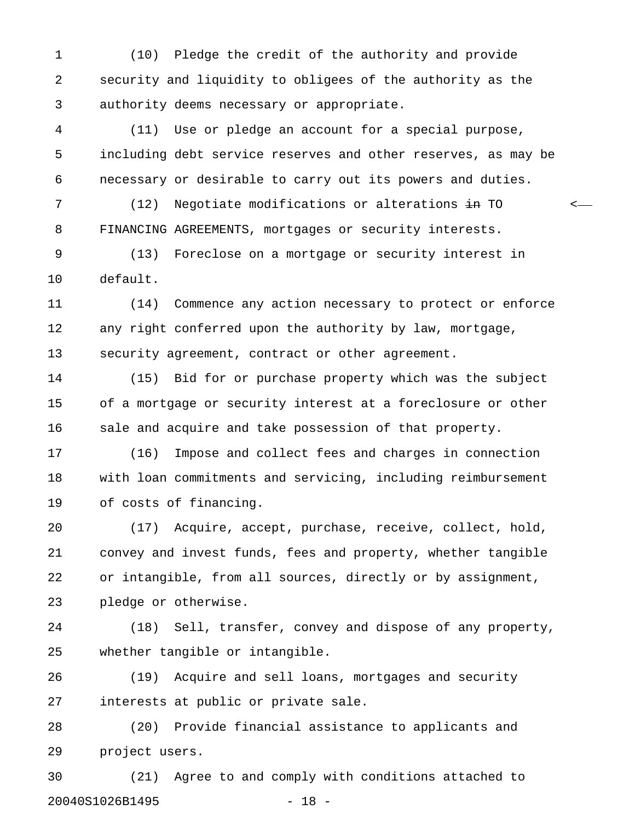1 (10) Pledge the credit of the authority and provide 2 security and liquidity to obligees of the authority as the 3 authority deems necessary or appropriate.

4 (11) Use or pledge an account for a special purpose, 5 including debt service reserves and other reserves, as may be 6 necessary or desirable to carry out its powers and duties.

7 (12) Negotiate modifications or alterations  $\frac{1}{2}$  TO  $\frac{1}{2}$ 8 FINANCING AGREEMENTS, mortgages or security interests.

9 (13) Foreclose on a mortgage or security interest in 10 default.

11 (14) Commence any action necessary to protect or enforce 12 any right conferred upon the authority by law, mortgage, 13 security agreement, contract or other agreement.

14 (15) Bid for or purchase property which was the subject 15 of a mortgage or security interest at a foreclosure or other 16 sale and acquire and take possession of that property.

17 (16) Impose and collect fees and charges in connection 18 with loan commitments and servicing, including reimbursement 19 of costs of financing.

20 (17) Acquire, accept, purchase, receive, collect, hold, 21 convey and invest funds, fees and property, whether tangible 22 or intangible, from all sources, directly or by assignment, 23 pledge or otherwise.

24 (18) Sell, transfer, convey and dispose of any property, 25 whether tangible or intangible.

26 (19) Acquire and sell loans, mortgages and security 27 interests at public or private sale.

28 (20) Provide financial assistance to applicants and 29 project users.

30 (21) Agree to and comply with conditions attached to 20040S1026B1495 - 18 -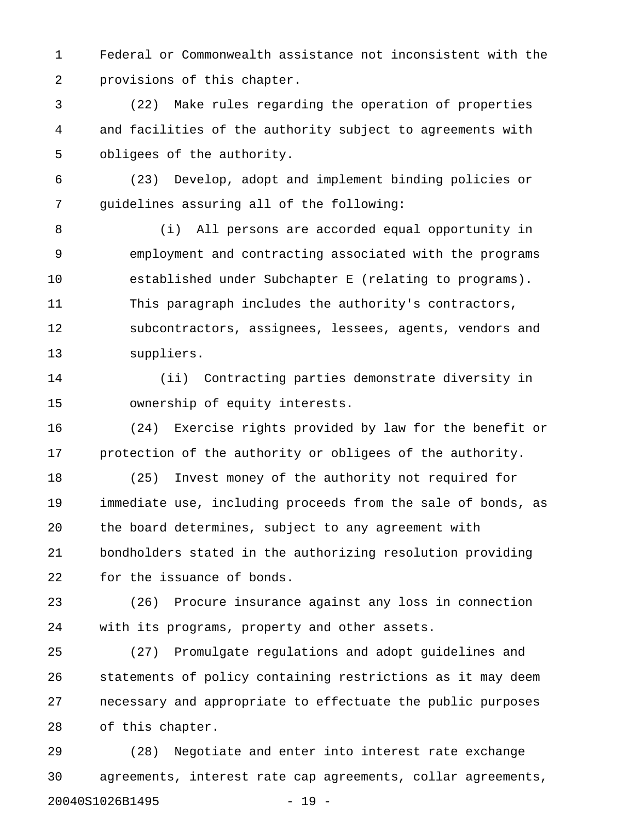1 Federal or Commonwealth assistance not inconsistent with the 2 provisions of this chapter.

3 (22) Make rules regarding the operation of properties 4 and facilities of the authority subject to agreements with 5 obligees of the authority.

6 (23) Develop, adopt and implement binding policies or 7 guidelines assuring all of the following:

8 (i) All persons are accorded equal opportunity in 9 employment and contracting associated with the programs 10 established under Subchapter E (relating to programs). 11 This paragraph includes the authority's contractors, 12 subcontractors, assignees, lessees, agents, vendors and 13 suppliers.

14 (ii) Contracting parties demonstrate diversity in 15 ownership of equity interests.

16 (24) Exercise rights provided by law for the benefit or 17 protection of the authority or obligees of the authority.

18 (25) Invest money of the authority not required for 19 immediate use, including proceeds from the sale of bonds, as 20 the board determines, subject to any agreement with 21 bondholders stated in the authorizing resolution providing 22 for the issuance of bonds.

23 (26) Procure insurance against any loss in connection 24 with its programs, property and other assets.

25 (27) Promulgate regulations and adopt guidelines and 26 statements of policy containing restrictions as it may deem 27 necessary and appropriate to effectuate the public purposes 28 of this chapter.

29 (28) Negotiate and enter into interest rate exchange 30 agreements, interest rate cap agreements, collar agreements, 20040S1026B1495 - 19 -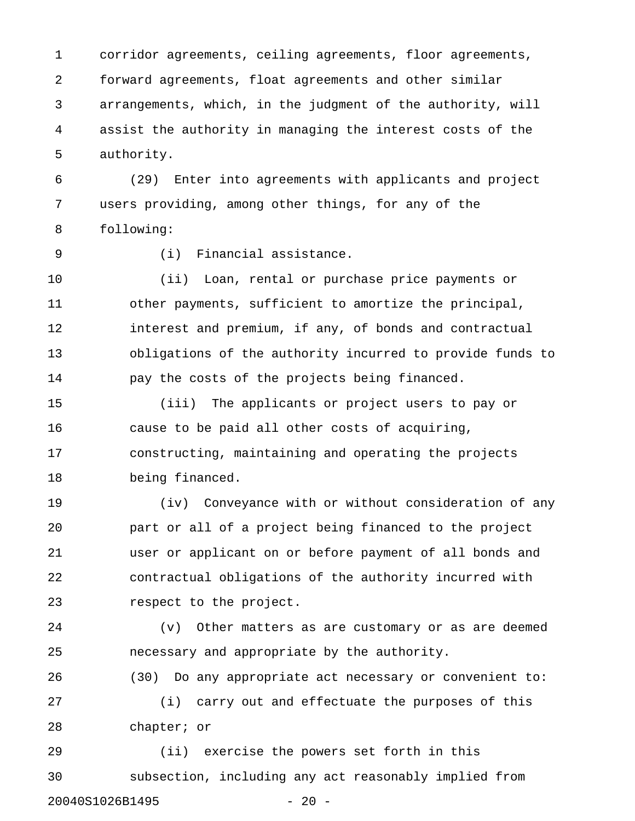1 corridor agreements, ceiling agreements, floor agreements, 2 forward agreements, float agreements and other similar 3 arrangements, which, in the judgment of the authority, will 4 assist the authority in managing the interest costs of the 5 authority.

6 (29) Enter into agreements with applicants and project 7 users providing, among other things, for any of the 8 following:

9 (i) Financial assistance.

10 (ii) Loan, rental or purchase price payments or 11 other payments, sufficient to amortize the principal, 12 interest and premium, if any, of bonds and contractual 13 obligations of the authority incurred to provide funds to 14 pay the costs of the projects being financed.

15 (iii) The applicants or project users to pay or 16 cause to be paid all other costs of acquiring, 17 constructing, maintaining and operating the projects 18 being financed.

19 (iv) Conveyance with or without consideration of any 20 part or all of a project being financed to the project 21 user or applicant on or before payment of all bonds and 22 contractual obligations of the authority incurred with 23 respect to the project.

24 (v) Other matters as are customary or as are deemed 25 necessary and appropriate by the authority.

26 (30) Do any appropriate act necessary or convenient to: 27 (i) carry out and effectuate the purposes of this 28 chapter; or

29 (ii) exercise the powers set forth in this 30 subsection, including any act reasonably implied from 20040S1026B1495 - 20 -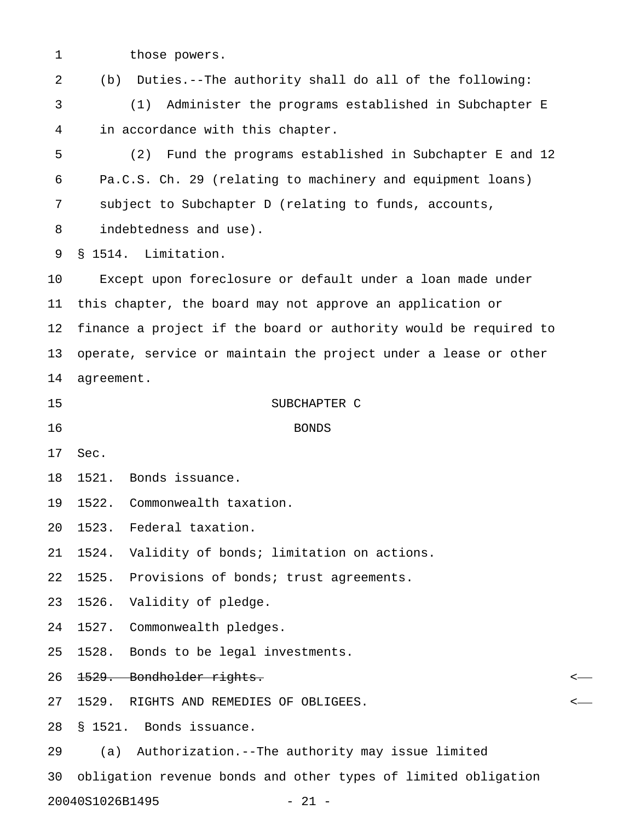1 those powers.

2 (b) Duties.--The authority shall do all of the following:

3 (1) Administer the programs established in Subchapter E 4 in accordance with this chapter.

5 (2) Fund the programs established in Subchapter E and 12 6 Pa.C.S. Ch. 29 (relating to machinery and equipment loans) 7 subject to Subchapter D (relating to funds, accounts, 8 indebtedness and use).

9 § 1514. Limitation.

10 Except upon foreclosure or default under a loan made under 11 this chapter, the board may not approve an application or 12 finance a project if the board or authority would be required to 13 operate, service or maintain the project under a lease or other 14 agreement.

15 SUBCHAPTER C

16 BONDS

17 Sec.

18 1521. Bonds issuance.

19 1522. Commonwealth taxation.

20 1523. Federal taxation.

21 1524. Validity of bonds; limitation on actions.

22 1525. Provisions of bonds; trust agreements.

23 1526. Validity of pledge.

24 1527. Commonwealth pledges.

25 1528. Bonds to be legal investments.

26 1529. Bondholder rights. <

27 1529. RIGHTS AND REMEDIES OF OBLIGEES. <

28 § 1521. Bonds issuance.

29 (a) Authorization.--The authority may issue limited

30 obligation revenue bonds and other types of limited obligation

20040S1026B1495 - 21 -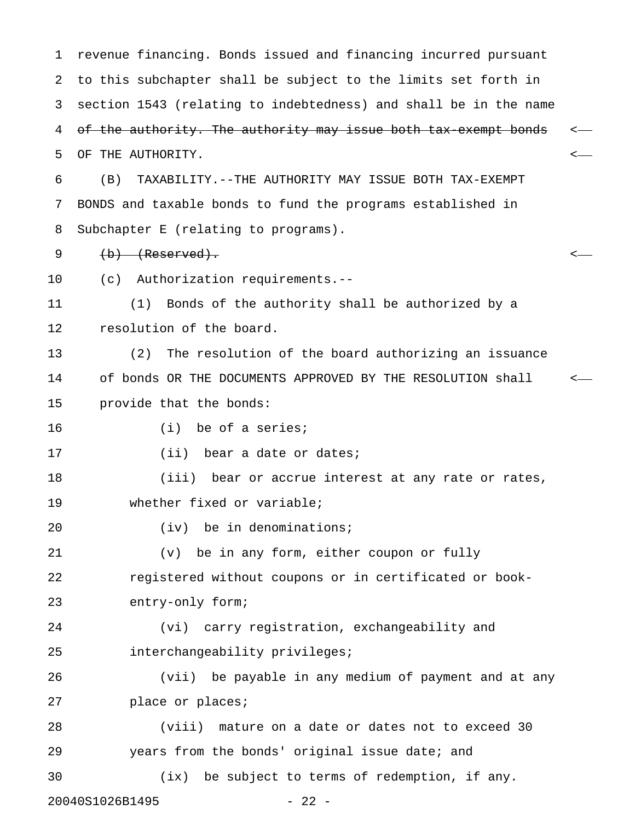1 revenue financing. Bonds issued and financing incurred pursuant 2 to this subchapter shall be subject to the limits set forth in 3 section 1543 (relating to indebtedness) and shall be in the name 4 of the authority. The authority may issue both tax exempt bonds 5 OF THE AUTHORITY. < 6 (B) TAXABILITY.--THE AUTHORITY MAY ISSUE BOTH TAX-EXEMPT 7 BONDS and taxable bonds to fund the programs established in 8 Subchapter E (relating to programs). 9 (b) (Reserved). < 10 (c) Authorization requirements.-- 11 (1) Bonds of the authority shall be authorized by a 12 resolution of the board. 13 (2) The resolution of the board authorizing an issuance 14 of bonds OR THE DOCUMENTS APPROVED BY THE RESOLUTION shall < 15 provide that the bonds: 16 (i) be of a series; 17 (ii) bear a date or dates; 18 (iii) bear or accrue interest at any rate or rates, 19 whether fixed or variable; 20 (iv) be in denominations; 21 (v) be in any form, either coupon or fully 22 registered without coupons or in certificated or book-23 entry-only form; 24 (vi) carry registration, exchangeability and 25 interchangeability privileges; 26 (vii) be payable in any medium of payment and at any 27 place or places; 28 (viii) mature on a date or dates not to exceed 30 29 years from the bonds' original issue date; and 30 (ix) be subject to terms of redemption, if any. 20040S1026B1495 - 22 -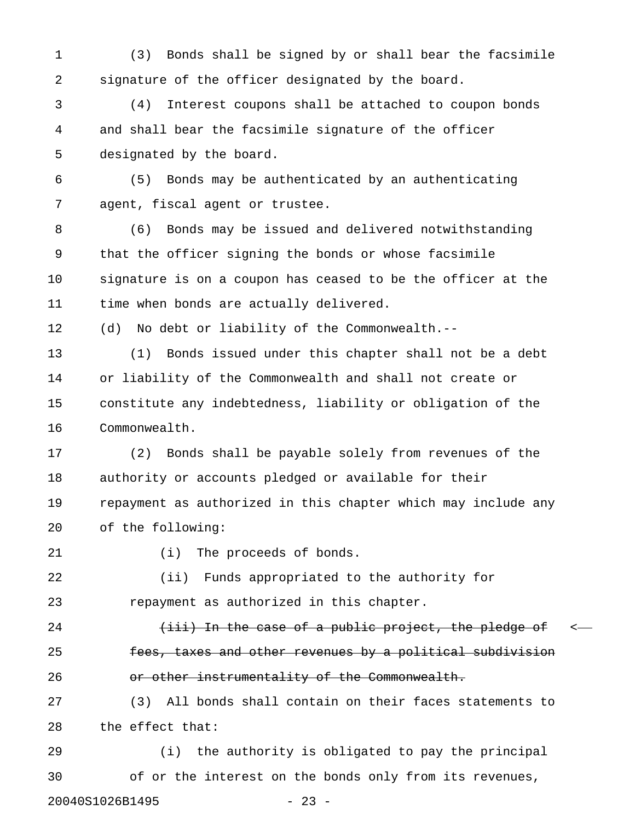1 (3) Bonds shall be signed by or shall bear the facsimile 2 signature of the officer designated by the board.

3 (4) Interest coupons shall be attached to coupon bonds 4 and shall bear the facsimile signature of the officer 5 designated by the board.

6 (5) Bonds may be authenticated by an authenticating 7 agent, fiscal agent or trustee.

8 (6) Bonds may be issued and delivered notwithstanding 9 that the officer signing the bonds or whose facsimile 10 signature is on a coupon has ceased to be the officer at the 11 time when bonds are actually delivered.

12 (d) No debt or liability of the Commonwealth.--

13 (1) Bonds issued under this chapter shall not be a debt 14 or liability of the Commonwealth and shall not create or 15 constitute any indebtedness, liability or obligation of the 16 Commonwealth.

17 (2) Bonds shall be payable solely from revenues of the 18 authority or accounts pledged or available for their 19 repayment as authorized in this chapter which may include any 20 of the following:

21 (i) The proceeds of bonds.

22 (ii) Funds appropriated to the authority for 23 repayment as authorized in this chapter.

24 (iii) In the case of a public project, the pledge of  $\leftarrow$ 25 **fees, taxes and other revenues by a political subdivision** 26 **bu or other instrumentality of the Commonwealth.** 

27 (3) All bonds shall contain on their faces statements to 28 the effect that:

29 (i) the authority is obligated to pay the principal 30 of or the interest on the bonds only from its revenues, 20040S1026B1495 - 23 -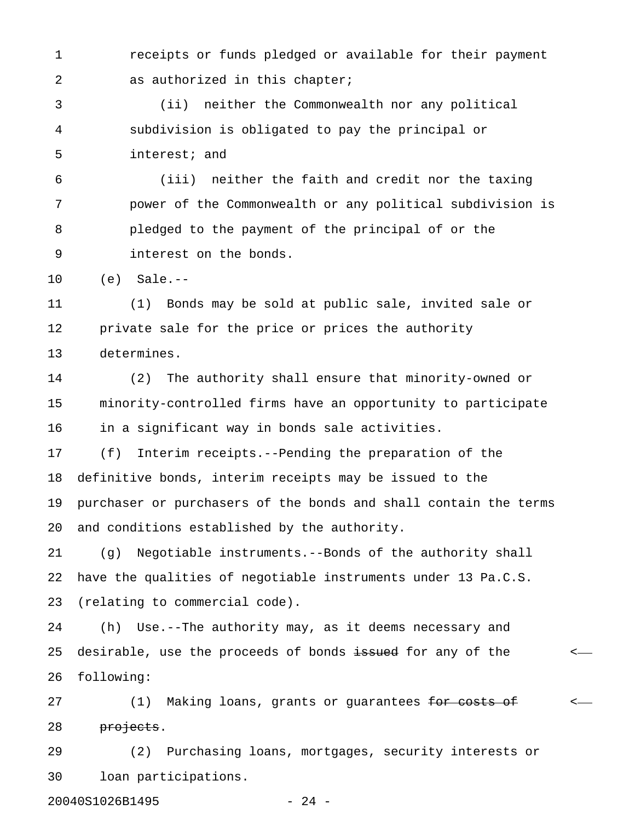1 receipts or funds pledged or available for their payment 2 as authorized in this chapter;

3 (ii) neither the Commonwealth nor any political 4 subdivision is obligated to pay the principal or 5 interest; and

6 (iii) neither the faith and credit nor the taxing 7 power of the Commonwealth or any political subdivision is 8 pledged to the payment of the principal of or the 9 interest on the bonds.

10 (e) Sale.--

11 (1) Bonds may be sold at public sale, invited sale or 12 private sale for the price or prices the authority 13 determines.

14 (2) The authority shall ensure that minority-owned or 15 minority-controlled firms have an opportunity to participate 16 in a significant way in bonds sale activities.

17 (f) Interim receipts.--Pending the preparation of the 18 definitive bonds, interim receipts may be issued to the 19 purchaser or purchasers of the bonds and shall contain the terms 20 and conditions established by the authority.

21 (g) Negotiable instruments.--Bonds of the authority shall 22 have the qualities of negotiable instruments under 13 Pa.C.S. 23 (relating to commercial code).

24 (h) Use.--The authority may, as it deems necessary and 25 desirable, use the proceeds of bonds issued for any of the  $\sim$ 26 following:

27 (1) Making loans, grants or guarantees <del>for costs of</del>  $\leftarrow$ 28 projects.

29 (2) Purchasing loans, mortgages, security interests or 30 loan participations.

20040S1026B1495 - 24 -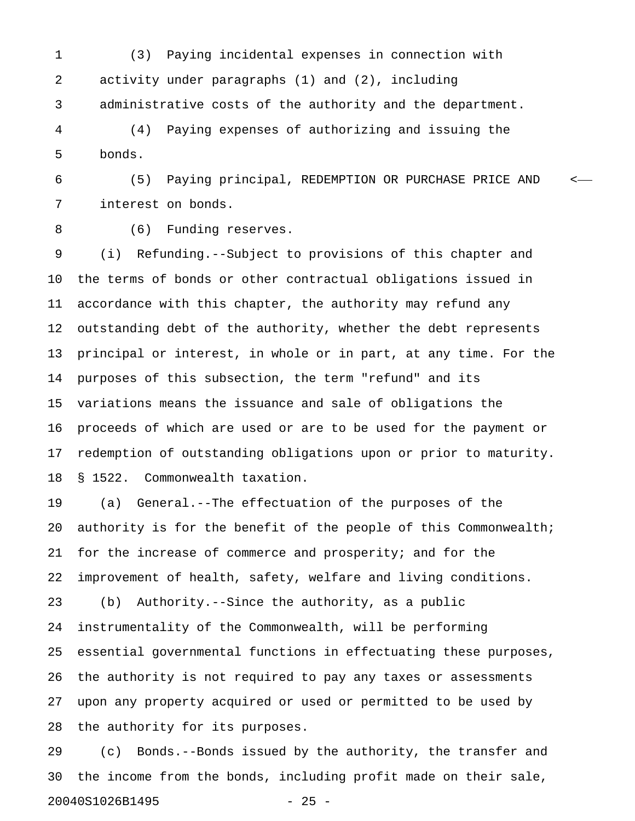1 (3) Paying incidental expenses in connection with 2 activity under paragraphs (1) and (2), including 3 administrative costs of the authority and the department.

4 (4) Paying expenses of authorizing and issuing the 5 bonds.

6 (5) Paying principal, REDEMPTION OR PURCHASE PRICE AND < 7 interest on bonds.

8 (6) Funding reserves.

9 (i) Refunding.--Subject to provisions of this chapter and 10 the terms of bonds or other contractual obligations issued in 11 accordance with this chapter, the authority may refund any 12 outstanding debt of the authority, whether the debt represents 13 principal or interest, in whole or in part, at any time. For the 14 purposes of this subsection, the term "refund" and its 15 variations means the issuance and sale of obligations the 16 proceeds of which are used or are to be used for the payment or 17 redemption of outstanding obligations upon or prior to maturity. 18 § 1522. Commonwealth taxation.

19 (a) General.--The effectuation of the purposes of the 20 authority is for the benefit of the people of this Commonwealth; 21 for the increase of commerce and prosperity; and for the 22 improvement of health, safety, welfare and living conditions. 23 (b) Authority.--Since the authority, as a public 24 instrumentality of the Commonwealth, will be performing 25 essential governmental functions in effectuating these purposes, 26 the authority is not required to pay any taxes or assessments 27 upon any property acquired or used or permitted to be used by 28 the authority for its purposes.

29 (c) Bonds.--Bonds issued by the authority, the transfer and 30 the income from the bonds, including profit made on their sale, 20040S1026B1495 - 25 -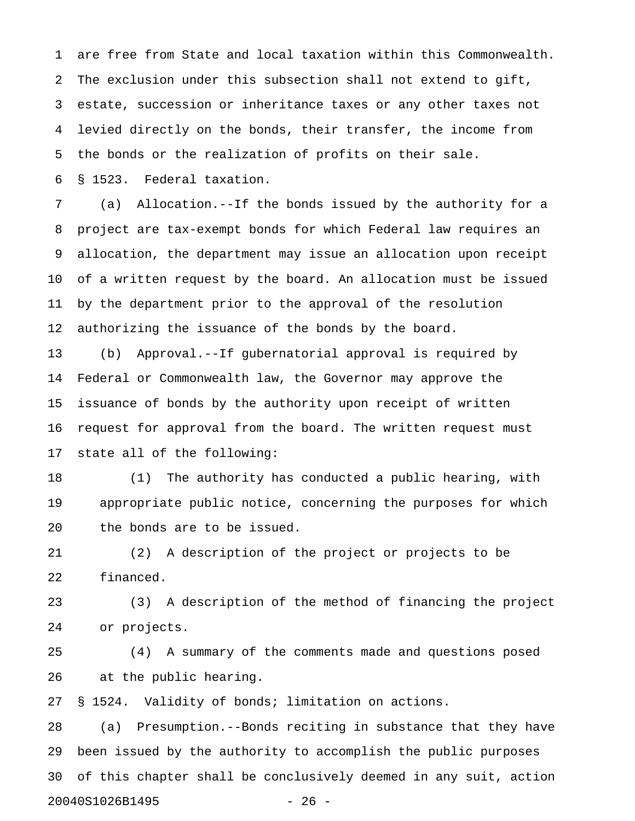1 are free from State and local taxation within this Commonwealth. 2 The exclusion under this subsection shall not extend to gift, 3 estate, succession or inheritance taxes or any other taxes not 4 levied directly on the bonds, their transfer, the income from 5 the bonds or the realization of profits on their sale.

6 § 1523. Federal taxation.

7 (a) Allocation.--If the bonds issued by the authority for a 8 project are tax-exempt bonds for which Federal law requires an 9 allocation, the department may issue an allocation upon receipt 10 of a written request by the board. An allocation must be issued 11 by the department prior to the approval of the resolution 12 authorizing the issuance of the bonds by the board.

13 (b) Approval.--If gubernatorial approval is required by 14 Federal or Commonwealth law, the Governor may approve the 15 issuance of bonds by the authority upon receipt of written 16 request for approval from the board. The written request must 17 state all of the following:

18 (1) The authority has conducted a public hearing, with 19 appropriate public notice, concerning the purposes for which 20 the bonds are to be issued.

21 (2) A description of the project or projects to be 22 financed.

23 (3) A description of the method of financing the project 24 or projects.

25 (4) A summary of the comments made and questions posed 26 at the public hearing.

27 § 1524. Validity of bonds; limitation on actions.

28 (a) Presumption.--Bonds reciting in substance that they have 29 been issued by the authority to accomplish the public purposes 30 of this chapter shall be conclusively deemed in any suit, action 20040S1026B1495 - 26 -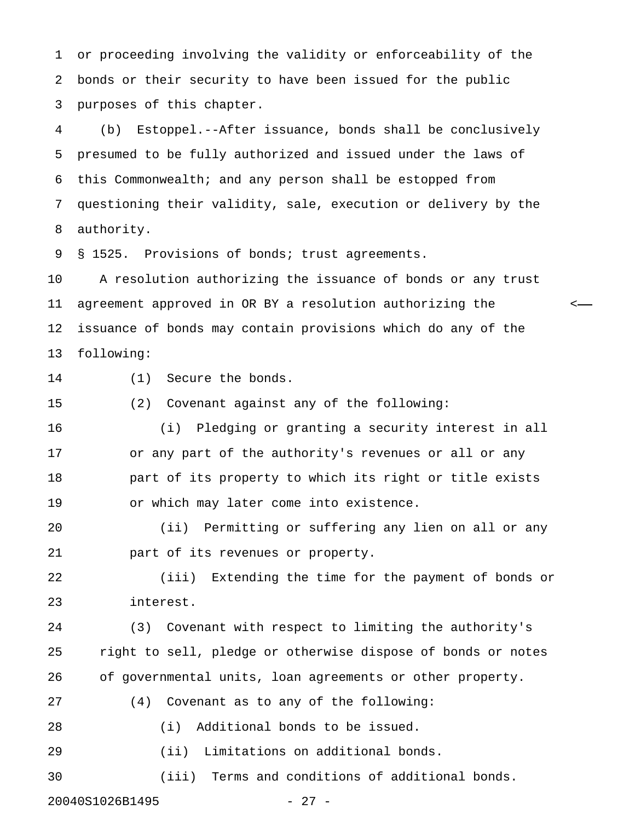1 or proceeding involving the validity or enforceability of the 2 bonds or their security to have been issued for the public 3 purposes of this chapter.

4 (b) Estoppel.--After issuance, bonds shall be conclusively 5 presumed to be fully authorized and issued under the laws of 6 this Commonwealth; and any person shall be estopped from 7 questioning their validity, sale, execution or delivery by the 8 authority.

9 § 1525. Provisions of bonds; trust agreements.

10 A resolution authorizing the issuance of bonds or any trust 11 agreement approved in OR BY a resolution authorizing the < 12 issuance of bonds may contain provisions which do any of the 13 following:

14 (1) Secure the bonds.

15 (2) Covenant against any of the following:

16 (i) Pledging or granting a security interest in all 17 or any part of the authority's revenues or all or any 18 part of its property to which its right or title exists 19 or which may later come into existence.

20 (ii) Permitting or suffering any lien on all or any 21 part of its revenues or property.

22 (iii) Extending the time for the payment of bonds or 23 interest.

24 (3) Covenant with respect to limiting the authority's 25 right to sell, pledge or otherwise dispose of bonds or notes 26 of governmental units, loan agreements or other property.

27 (4) Covenant as to any of the following:

28 (i) Additional bonds to be issued.

29 (ii) Limitations on additional bonds.

30 (iii) Terms and conditions of additional bonds.

20040S1026B1495 - 27 -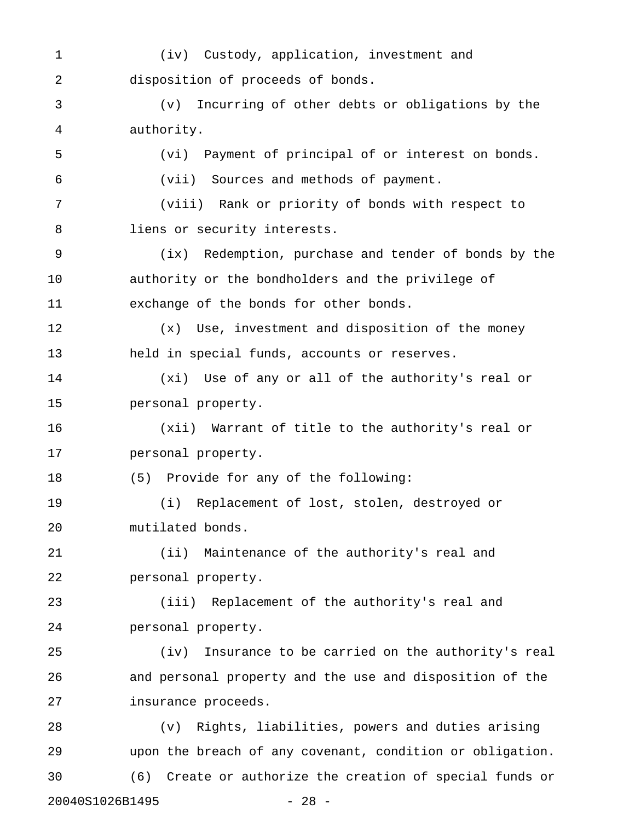1 (iv) Custody, application, investment and 2 disposition of proceeds of bonds. 3 (v) Incurring of other debts or obligations by the 4 authority. 5 (vi) Payment of principal of or interest on bonds. 6 (vii) Sources and methods of payment. 7 (viii) Rank or priority of bonds with respect to 8 liens or security interests. 9 (ix) Redemption, purchase and tender of bonds by the 10 authority or the bondholders and the privilege of 11 exchange of the bonds for other bonds. 12 (x) Use, investment and disposition of the money 13 held in special funds, accounts or reserves. 14 (xi) Use of any or all of the authority's real or 15 personal property. 16 (xii) Warrant of title to the authority's real or 17 personal property. 18 (5) Provide for any of the following: 19 (i) Replacement of lost, stolen, destroyed or 20 mutilated bonds. 21 (ii) Maintenance of the authority's real and 22 personal property. 23 (iii) Replacement of the authority's real and 24 personal property. 25 (iv) Insurance to be carried on the authority's real 26 and personal property and the use and disposition of the 27 insurance proceeds. 28 (v) Rights, liabilities, powers and duties arising 29 upon the breach of any covenant, condition or obligation. 30 (6) Create or authorize the creation of special funds or

20040S1026B1495 - 28 -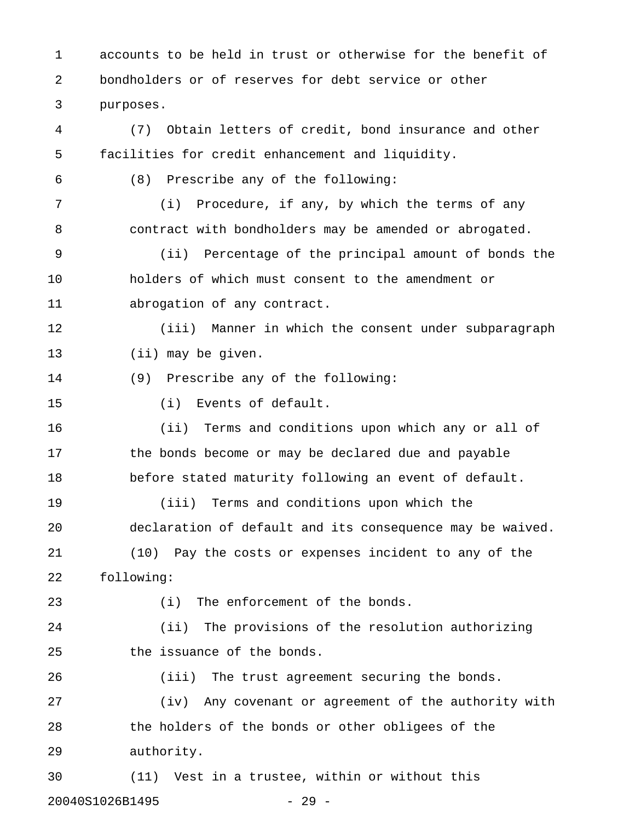1 accounts to be held in trust or otherwise for the benefit of 2 bondholders or of reserves for debt service or other 3 purposes. 4 (7) Obtain letters of credit, bond insurance and other 5 facilities for credit enhancement and liquidity.

6 (8) Prescribe any of the following:

7 (i) Procedure, if any, by which the terms of any 8 contract with bondholders may be amended or abrogated.

9 (ii) Percentage of the principal amount of bonds the 10 holders of which must consent to the amendment or 11 abrogation of any contract.

12 (iii) Manner in which the consent under subparagraph 13 (ii) may be given.

14 (9) Prescribe any of the following:

15 (i) Events of default.

16 (ii) Terms and conditions upon which any or all of 17 the bonds become or may be declared due and payable 18 before stated maturity following an event of default.

19 (iii) Terms and conditions upon which the 20 declaration of default and its consequence may be waived. 21 (10) Pay the costs or expenses incident to any of the

22 following:

23 (i) The enforcement of the bonds.

24 (ii) The provisions of the resolution authorizing 25 the issuance of the bonds.

26 (iii) The trust agreement securing the bonds. 27 (iv) Any covenant or agreement of the authority with

28 the holders of the bonds or other obligees of the 29 authority.

30 (11) Vest in a trustee, within or without this 20040S1026B1495 - 29 -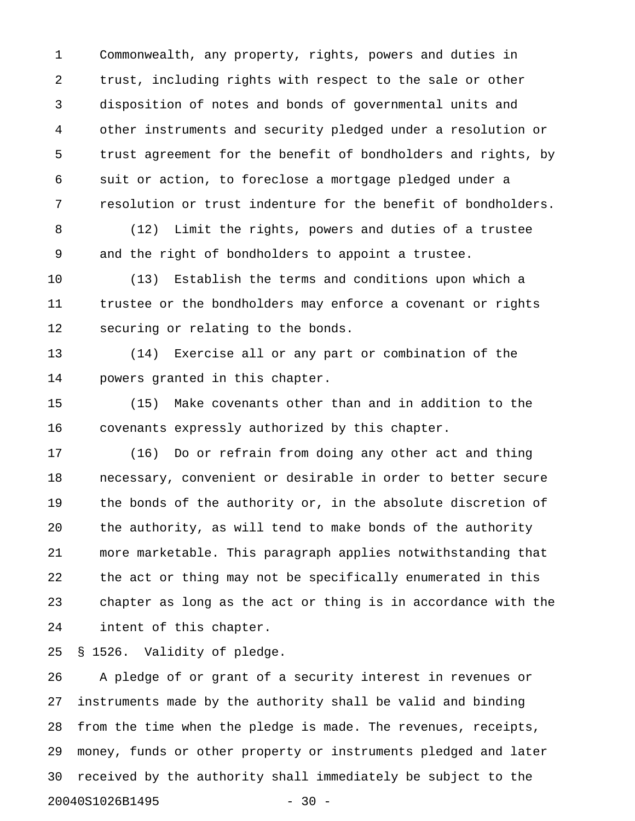1 Commonwealth, any property, rights, powers and duties in 2 trust, including rights with respect to the sale or other 3 disposition of notes and bonds of governmental units and 4 other instruments and security pledged under a resolution or 5 trust agreement for the benefit of bondholders and rights, by 6 suit or action, to foreclose a mortgage pledged under a 7 resolution or trust indenture for the benefit of bondholders.

8 (12) Limit the rights, powers and duties of a trustee 9 and the right of bondholders to appoint a trustee.

10 (13) Establish the terms and conditions upon which a 11 trustee or the bondholders may enforce a covenant or rights 12 securing or relating to the bonds.

13 (14) Exercise all or any part or combination of the 14 powers granted in this chapter.

15 (15) Make covenants other than and in addition to the 16 covenants expressly authorized by this chapter.

17 (16) Do or refrain from doing any other act and thing 18 necessary, convenient or desirable in order to better secure 19 the bonds of the authority or, in the absolute discretion of 20 the authority, as will tend to make bonds of the authority 21 more marketable. This paragraph applies notwithstanding that 22 the act or thing may not be specifically enumerated in this 23 chapter as long as the act or thing is in accordance with the 24 intent of this chapter.

25 § 1526. Validity of pledge.

26 A pledge of or grant of a security interest in revenues or 27 instruments made by the authority shall be valid and binding 28 from the time when the pledge is made. The revenues, receipts, 29 money, funds or other property or instruments pledged and later 30 received by the authority shall immediately be subject to the 20040S1026B1495 - 30 -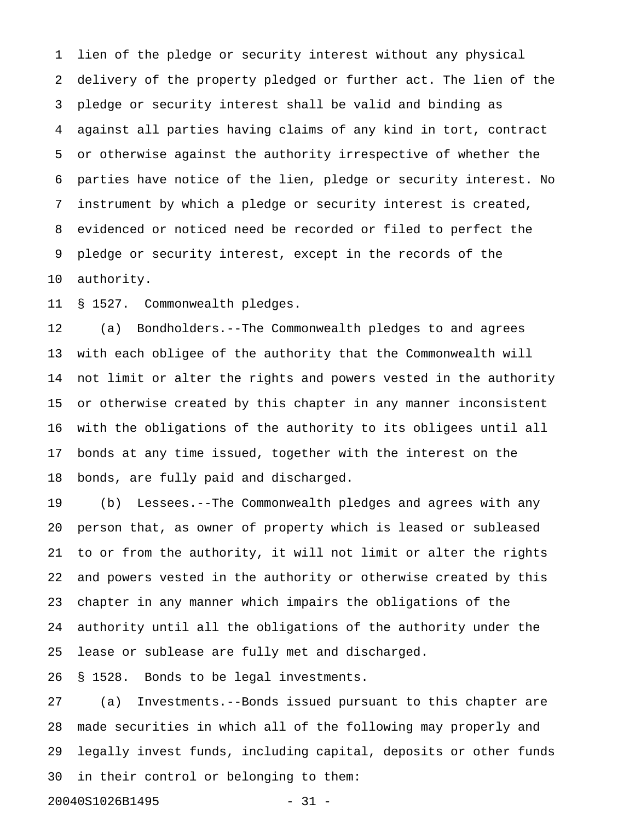1 lien of the pledge or security interest without any physical 2 delivery of the property pledged or further act. The lien of the 3 pledge or security interest shall be valid and binding as 4 against all parties having claims of any kind in tort, contract 5 or otherwise against the authority irrespective of whether the 6 parties have notice of the lien, pledge or security interest. No 7 instrument by which a pledge or security interest is created, 8 evidenced or noticed need be recorded or filed to perfect the 9 pledge or security interest, except in the records of the 10 authority.

11 § 1527. Commonwealth pledges.

12 (a) Bondholders.--The Commonwealth pledges to and agrees 13 with each obligee of the authority that the Commonwealth will 14 not limit or alter the rights and powers vested in the authority 15 or otherwise created by this chapter in any manner inconsistent 16 with the obligations of the authority to its obligees until all 17 bonds at any time issued, together with the interest on the 18 bonds, are fully paid and discharged.

19 (b) Lessees.--The Commonwealth pledges and agrees with any 20 person that, as owner of property which is leased or subleased 21 to or from the authority, it will not limit or alter the rights 22 and powers vested in the authority or otherwise created by this 23 chapter in any manner which impairs the obligations of the 24 authority until all the obligations of the authority under the 25 lease or sublease are fully met and discharged.

26 § 1528. Bonds to be legal investments.

27 (a) Investments.--Bonds issued pursuant to this chapter are 28 made securities in which all of the following may properly and 29 legally invest funds, including capital, deposits or other funds 30 in their control or belonging to them:

20040S1026B1495 - 31 -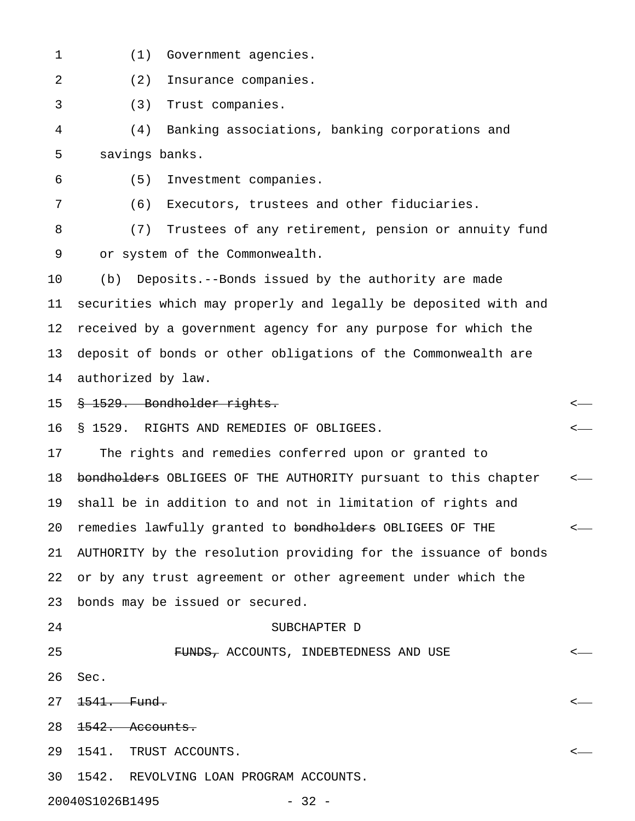- 1 (1) Government agencies.
- 2 (2) Insurance companies.

3 (3) Trust companies.

4 (4) Banking associations, banking corporations and 5 savings banks.

6 (5) Investment companies.

7 (6) Executors, trustees and other fiduciaries.

8 (7) Trustees of any retirement, pension or annuity fund 9 or system of the Commonwealth.

10 (b) Deposits.--Bonds issued by the authority are made 11 securities which may properly and legally be deposited with and 12 received by a government agency for any purpose for which the 13 deposit of bonds or other obligations of the Commonwealth are 14 authorized by law.

15 § 1529. Bondholder rights. <

16 § 1529. RIGHTS AND REMEDIES OF OBLIGEES. <

17 The rights and remedies conferred upon or granted to 18 bondholders OBLIGEES OF THE AUTHORITY pursuant to this chapter <-19 shall be in addition to and not in limitation of rights and 20 remedies lawfully granted to <del>bondholders</del> OBLIGEES OF THE  $\leftarrow$ 21 AUTHORITY by the resolution providing for the issuance of bonds 22 or by any trust agreement or other agreement under which the 23 bonds may be issued or secured.

#### 24 SUBCHAPTER D

25 FUNDS, ACCOUNTS, INDEBTEDNESS AND USE < 26 Sec.  $27 \frac{1541}{1541}$ . Fund. 28 1542. Accounts. 29 1541. TRUST ACCOUNTS. <

30 1542. REVOLVING LOAN PROGRAM ACCOUNTS.

20040S1026B1495 - 32 -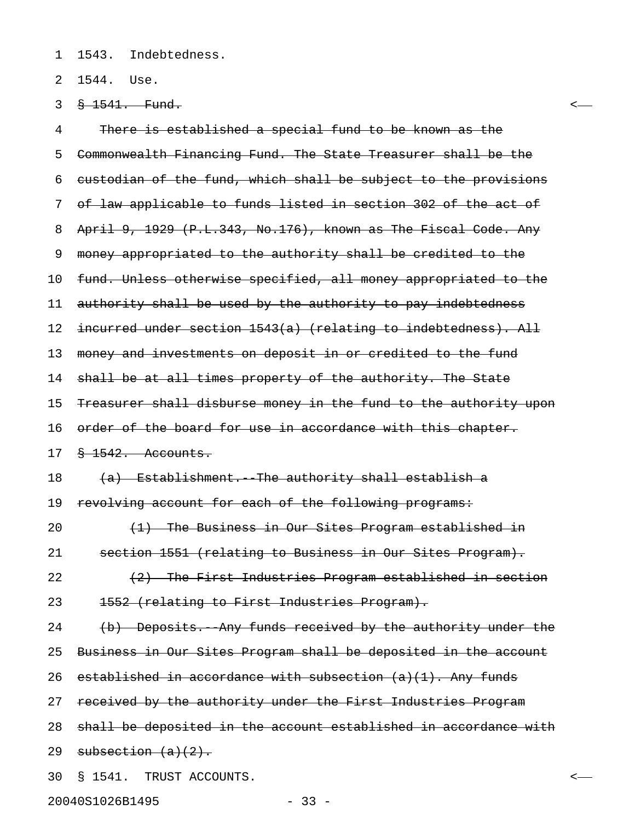1 1543. Indebtedness.

2 1544. Use.

3 § 1541. Fund. <

4 There is established a special fund to be known as the 5 Commonwealth Financing Fund. The State Treasurer shall be the 6 custodian of the fund, which shall be subject to the provisions 7 of law applicable to funds listed in section 302 of the act of 8 April 9, 1929 (P.L.343, No.176), known as The Fiscal Code. Any 9 money appropriated to the authority shall be credited to the 10 fund. Unless otherwise specified, all money appropriated to the 11 authority shall be used by the authority to pay indebtedness 12 incurred under section 1543(a) (relating to indebtedness). All 13 money and investments on deposit in or credited to the fund 14 shall be at all times property of the authority. The State 15 Treasurer shall disburse money in the fund to the authority upon 16 order of the board for use in accordance with this chapter. 17 § 1542. Accounts. 18  $(a)$  Establishment. The authority shall establish a 19 revolving account for each of the following programs: 20  $(1)$  The Business in Our Sites Program established in 21 section 1551 (relating to Business in Our Sites Program). 22  $(2)$  The First Industries Program established in section 23 1552 (relating to First Industries Program). 24 (b) Deposits.--Any funds received by the authority under the 25 Business in Our Sites Program shall be deposited in the account 26 established in accordance with subsection  $(a)(1)$ . Any funds 27 received by the authority under the First Industries Program 28 shall be deposited in the account established in accordance with 29 subsection  $(a)(2)$ . 30 § 1541. TRUST ACCOUNTS. <

20040S1026B1495 - 33 -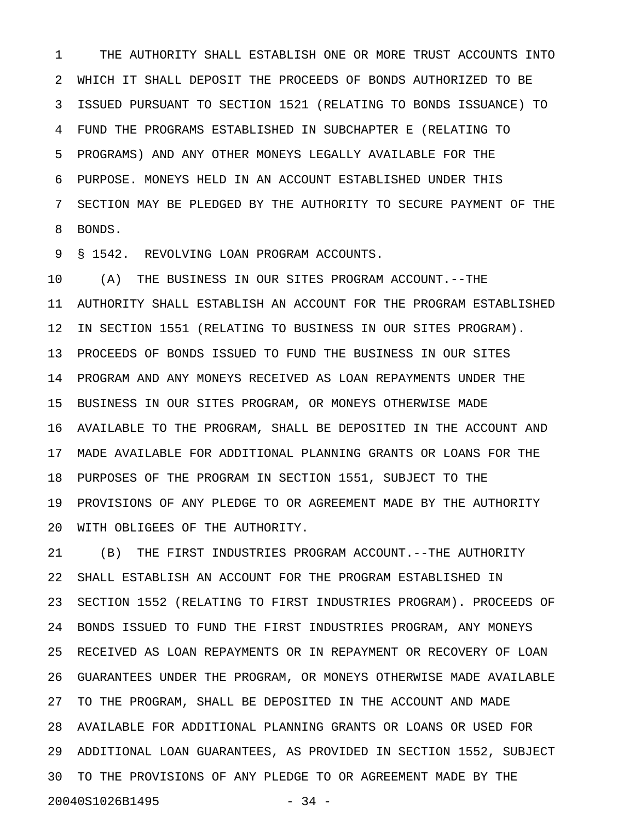1 THE AUTHORITY SHALL ESTABLISH ONE OR MORE TRUST ACCOUNTS INTO 2 WHICH IT SHALL DEPOSIT THE PROCEEDS OF BONDS AUTHORIZED TO BE 3 ISSUED PURSUANT TO SECTION 1521 (RELATING TO BONDS ISSUANCE) TO 4 FUND THE PROGRAMS ESTABLISHED IN SUBCHAPTER E (RELATING TO 5 PROGRAMS) AND ANY OTHER MONEYS LEGALLY AVAILABLE FOR THE 6 PURPOSE. MONEYS HELD IN AN ACCOUNT ESTABLISHED UNDER THIS 7 SECTION MAY BE PLEDGED BY THE AUTHORITY TO SECURE PAYMENT OF THE 8 BONDS.

9 § 1542. REVOLVING LOAN PROGRAM ACCOUNTS.

10 (A) THE BUSINESS IN OUR SITES PROGRAM ACCOUNT.--THE 11 AUTHORITY SHALL ESTABLISH AN ACCOUNT FOR THE PROGRAM ESTABLISHED 12 IN SECTION 1551 (RELATING TO BUSINESS IN OUR SITES PROGRAM). 13 PROCEEDS OF BONDS ISSUED TO FUND THE BUSINESS IN OUR SITES 14 PROGRAM AND ANY MONEYS RECEIVED AS LOAN REPAYMENTS UNDER THE 15 BUSINESS IN OUR SITES PROGRAM, OR MONEYS OTHERWISE MADE 16 AVAILABLE TO THE PROGRAM, SHALL BE DEPOSITED IN THE ACCOUNT AND 17 MADE AVAILABLE FOR ADDITIONAL PLANNING GRANTS OR LOANS FOR THE 18 PURPOSES OF THE PROGRAM IN SECTION 1551, SUBJECT TO THE 19 PROVISIONS OF ANY PLEDGE TO OR AGREEMENT MADE BY THE AUTHORITY 20 WITH OBLIGEES OF THE AUTHORITY.

21 (B) THE FIRST INDUSTRIES PROGRAM ACCOUNT.--THE AUTHORITY 22 SHALL ESTABLISH AN ACCOUNT FOR THE PROGRAM ESTABLISHED IN 23 SECTION 1552 (RELATING TO FIRST INDUSTRIES PROGRAM). PROCEEDS OF 24 BONDS ISSUED TO FUND THE FIRST INDUSTRIES PROGRAM, ANY MONEYS 25 RECEIVED AS LOAN REPAYMENTS OR IN REPAYMENT OR RECOVERY OF LOAN 26 GUARANTEES UNDER THE PROGRAM, OR MONEYS OTHERWISE MADE AVAILABLE 27 TO THE PROGRAM, SHALL BE DEPOSITED IN THE ACCOUNT AND MADE 28 AVAILABLE FOR ADDITIONAL PLANNING GRANTS OR LOANS OR USED FOR 29 ADDITIONAL LOAN GUARANTEES, AS PROVIDED IN SECTION 1552, SUBJECT 30 TO THE PROVISIONS OF ANY PLEDGE TO OR AGREEMENT MADE BY THE 20040S1026B1495 - 34 -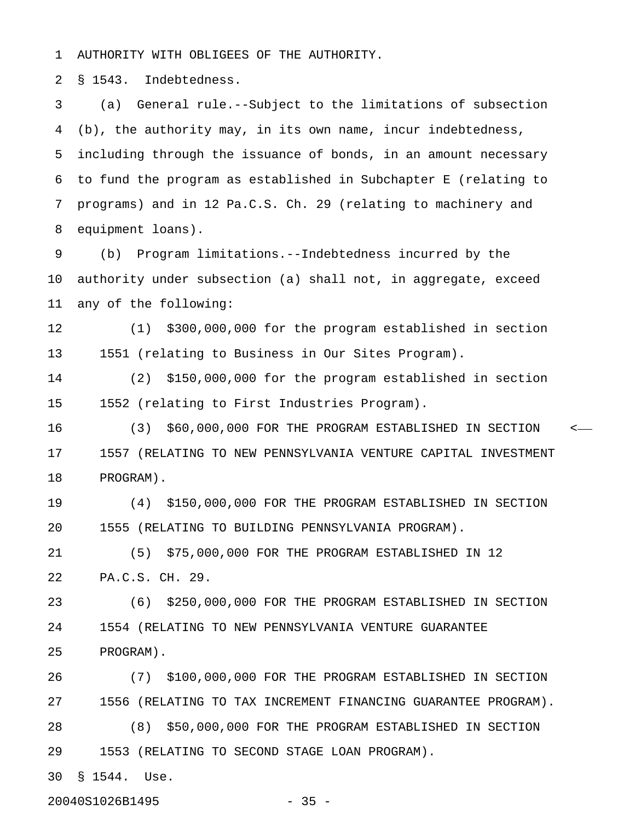1 AUTHORITY WITH OBLIGEES OF THE AUTHORITY.

2 § 1543. Indebtedness.

3 (a) General rule.--Subject to the limitations of subsection 4 (b), the authority may, in its own name, incur indebtedness, 5 including through the issuance of bonds, in an amount necessary 6 to fund the program as established in Subchapter E (relating to 7 programs) and in 12 Pa.C.S. Ch. 29 (relating to machinery and 8 equipment loans).

9 (b) Program limitations.--Indebtedness incurred by the 10 authority under subsection (a) shall not, in aggregate, exceed 11 any of the following:

12 (1) \$300,000,000 for the program established in section 13 1551 (relating to Business in Our Sites Program).

14 (2) \$150,000,000 for the program established in section 15 1552 (relating to First Industries Program).

16 (3) \$60,000,000 FOR THE PROGRAM ESTABLISHED IN SECTION < 17 1557 (RELATING TO NEW PENNSYLVANIA VENTURE CAPITAL INVESTMENT 18 PROGRAM).

19 (4) \$150,000,000 FOR THE PROGRAM ESTABLISHED IN SECTION 20 1555 (RELATING TO BUILDING PENNSYLVANIA PROGRAM).

21 (5) \$75,000,000 FOR THE PROGRAM ESTABLISHED IN 12 22 PA.C.S. CH. 29.

23 (6) \$250,000,000 FOR THE PROGRAM ESTABLISHED IN SECTION 24 1554 (RELATING TO NEW PENNSYLVANIA VENTURE GUARANTEE 25 PROGRAM).

26 (7) \$100,000,000 FOR THE PROGRAM ESTABLISHED IN SECTION 27 1556 (RELATING TO TAX INCREMENT FINANCING GUARANTEE PROGRAM). 28 (8) \$50,000,000 FOR THE PROGRAM ESTABLISHED IN SECTION 29 1553 (RELATING TO SECOND STAGE LOAN PROGRAM).

30 § 1544. Use.

20040S1026B1495 - 35 -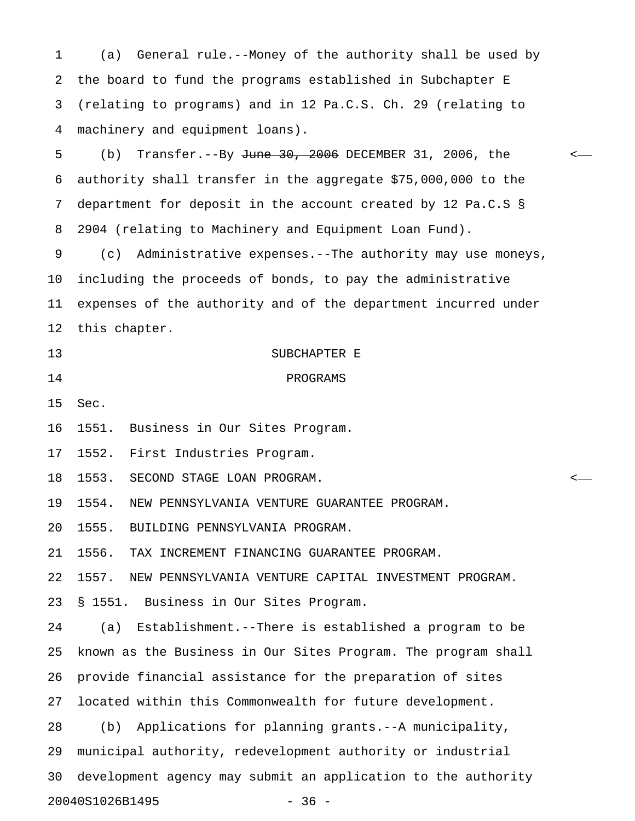1 (a) General rule.--Money of the authority shall be used by 2 the board to fund the programs established in Subchapter E 3 (relating to programs) and in 12 Pa.C.S. Ch. 29 (relating to 4 machinery and equipment loans).

5 (b) Transfer.--By <del>June 30, 2006</del> DECEMBER 31, 2006, the  $\sim$ 6 authority shall transfer in the aggregate \$75,000,000 to the 7 department for deposit in the account created by 12 Pa.C.S § 8 2904 (relating to Machinery and Equipment Loan Fund).

9 (c) Administrative expenses.--The authority may use moneys, 10 including the proceeds of bonds, to pay the administrative 11 expenses of the authority and of the department incurred under 12 this chapter.

13 SUBCHAPTER E 14 PROGRAMS

15 Sec.

16 1551. Business in Our Sites Program.

17 1552. First Industries Program.

18 1553. SECOND STAGE LOAN PROGRAM. <

19 1554. NEW PENNSYLVANIA VENTURE GUARANTEE PROGRAM.

20 1555. BUILDING PENNSYLVANIA PROGRAM.

21 1556. TAX INCREMENT FINANCING GUARANTEE PROGRAM.

22 1557. NEW PENNSYLVANIA VENTURE CAPITAL INVESTMENT PROGRAM.

23 § 1551. Business in Our Sites Program.

24 (a) Establishment.--There is established a program to be 25 known as the Business in Our Sites Program. The program shall 26 provide financial assistance for the preparation of sites 27 located within this Commonwealth for future development. 28 (b) Applications for planning grants.--A municipality, 29 municipal authority, redevelopment authority or industrial 30 development agency may submit an application to the authority

20040S1026B1495 - 36 -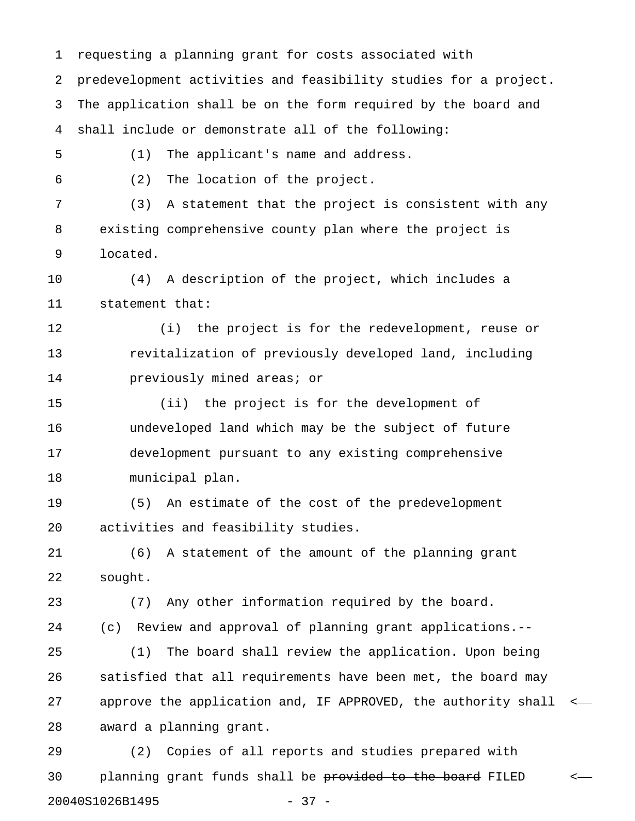1 requesting a planning grant for costs associated with 2 predevelopment activities and feasibility studies for a project. 3 The application shall be on the form required by the board and 4 shall include or demonstrate all of the following: 5 (1) The applicant's name and address. 6 (2) The location of the project. 7 (3) A statement that the project is consistent with any 8 existing comprehensive county plan where the project is 9 located. 10 (4) A description of the project, which includes a 11 statement that: 12 (i) the project is for the redevelopment, reuse or 13 revitalization of previously developed land, including 14 **previously mined areas; or** 15 (ii) the project is for the development of 16 undeveloped land which may be the subject of future 17 development pursuant to any existing comprehensive 18 municipal plan. 19 (5) An estimate of the cost of the predevelopment 20 activities and feasibility studies. 21 (6) A statement of the amount of the planning grant 22 sought. 23 (7) Any other information required by the board. 24 (c) Review and approval of planning grant applications.-- 25 (1) The board shall review the application. Upon being 26 satisfied that all requirements have been met, the board may 27 approve the application and, IF APPROVED, the authority shall < 28 award a planning grant.

29 (2) Copies of all reports and studies prepared with 30 planning grant funds shall be provided to the board FILED <-20040S1026B1495 - 37 -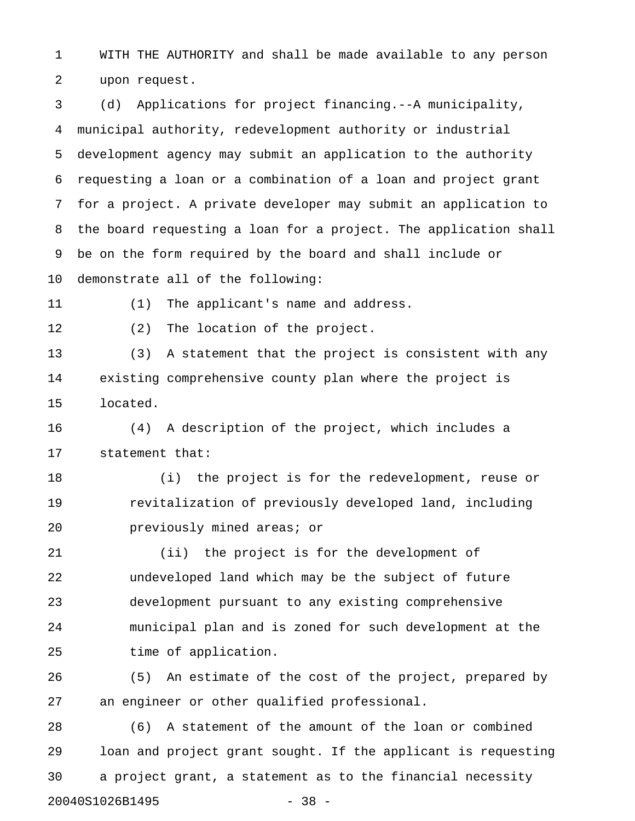1 WITH THE AUTHORITY and shall be made available to any person 2 upon request.

3 (d) Applications for project financing.--A municipality, 4 municipal authority, redevelopment authority or industrial 5 development agency may submit an application to the authority 6 requesting a loan or a combination of a loan and project grant 7 for a project. A private developer may submit an application to 8 the board requesting a loan for a project. The application shall 9 be on the form required by the board and shall include or 10 demonstrate all of the following:

11 (1) The applicant's name and address.

12 (2) The location of the project.

13 (3) A statement that the project is consistent with any 14 existing comprehensive county plan where the project is 15 located.

16 (4) A description of the project, which includes a 17 statement that:

18 (i) the project is for the redevelopment, reuse or 19 revitalization of previously developed land, including 20 previously mined areas; or

21 (ii) the project is for the development of 22 undeveloped land which may be the subject of future 23 development pursuant to any existing comprehensive 24 municipal plan and is zoned for such development at the 25 time of application.

26 (5) An estimate of the cost of the project, prepared by 27 an engineer or other qualified professional.

28 (6) A statement of the amount of the loan or combined 29 loan and project grant sought. If the applicant is requesting 30 a project grant, a statement as to the financial necessity 20040S1026B1495 - 38 -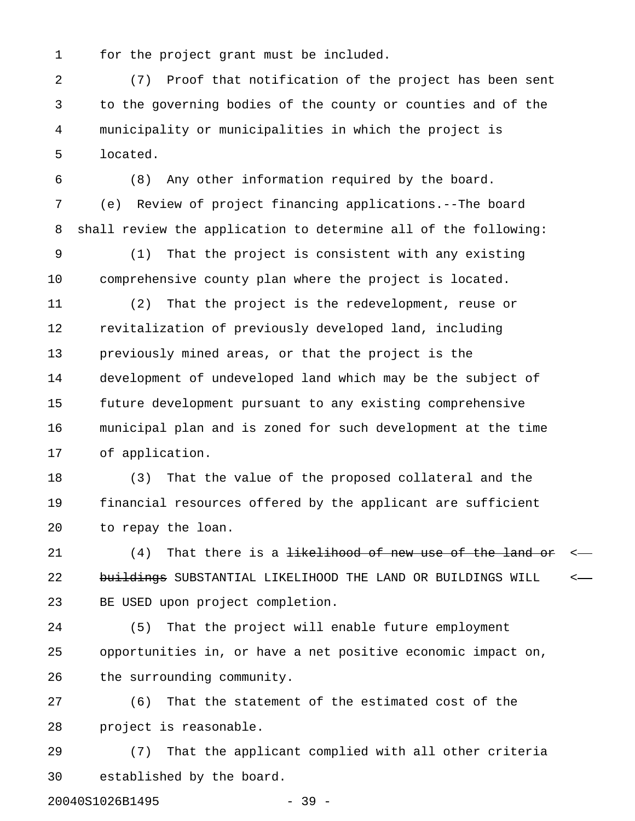1 for the project grant must be included.

2 (7) Proof that notification of the project has been sent 3 to the governing bodies of the county or counties and of the 4 municipality or municipalities in which the project is 5 located.

6 (8) Any other information required by the board. 7 (e) Review of project financing applications.--The board 8 shall review the application to determine all of the following:

9 (1) That the project is consistent with any existing 10 comprehensive county plan where the project is located.

11 (2) That the project is the redevelopment, reuse or 12 revitalization of previously developed land, including 13 previously mined areas, or that the project is the 14 development of undeveloped land which may be the subject of 15 future development pursuant to any existing comprehensive 16 municipal plan and is zoned for such development at the time 17 of application.

18 (3) That the value of the proposed collateral and the 19 financial resources offered by the applicant are sufficient 20 to repay the loan.

21 (4) That there is a <del>likelihood of new use of the land or</del> < 22 buildings SUBSTANTIAL LIKELIHOOD THE LAND OR BUILDINGS WILL <-23 BE USED upon project completion.

24 (5) That the project will enable future employment 25 opportunities in, or have a net positive economic impact on, 26 the surrounding community.

27 (6) That the statement of the estimated cost of the 28 project is reasonable.

29 (7) That the applicant complied with all other criteria 30 established by the board.

20040S1026B1495 - 39 -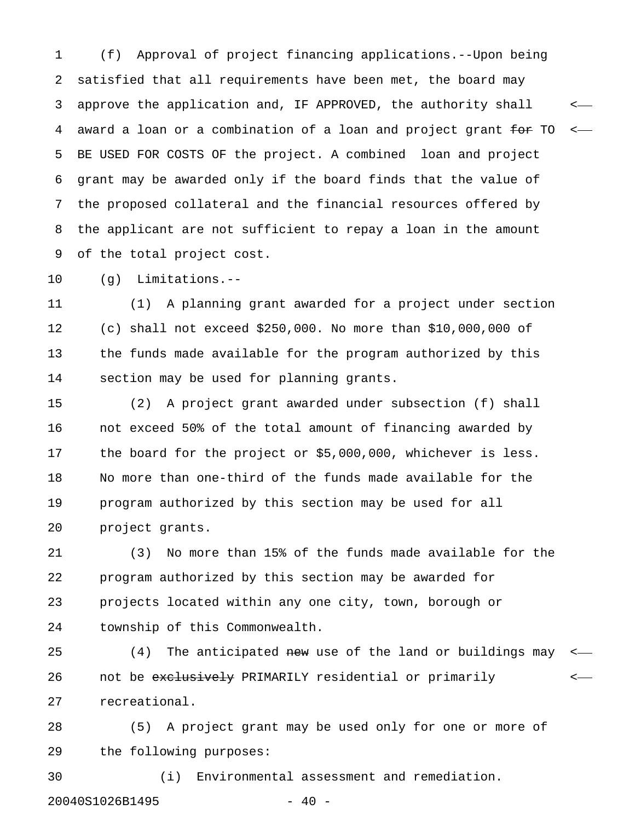1 (f) Approval of project financing applications.--Upon being 2 satisfied that all requirements have been met, the board may 3 approve the application and, IF APPROVED, the authority shall < 4 award a loan or a combination of a loan and project grant for TO < 5 BE USED FOR COSTS OF the project. A combined loan and project 6 grant may be awarded only if the board finds that the value of 7 the proposed collateral and the financial resources offered by 8 the applicant are not sufficient to repay a loan in the amount 9 of the total project cost.

10 (g) Limitations.--

11 (1) A planning grant awarded for a project under section 12 (c) shall not exceed \$250,000. No more than \$10,000,000 of 13 the funds made available for the program authorized by this 14 section may be used for planning grants.

15 (2) A project grant awarded under subsection (f) shall 16 not exceed 50% of the total amount of financing awarded by 17 the board for the project or \$5,000,000, whichever is less. 18 No more than one-third of the funds made available for the 19 program authorized by this section may be used for all 20 project grants.

21 (3) No more than 15% of the funds made available for the 22 program authorized by this section may be awarded for 23 projects located within any one city, town, borough or 24 township of this Commonwealth.

25 (4) The anticipated new use of the land or buildings may 26 10 not be exclusively PRIMARILY residential or primarily  $\sim$ 27 recreational.

28 (5) A project grant may be used only for one or more of 29 the following purposes:

30 (i) Environmental assessment and remediation. 20040S1026B1495 - 40 -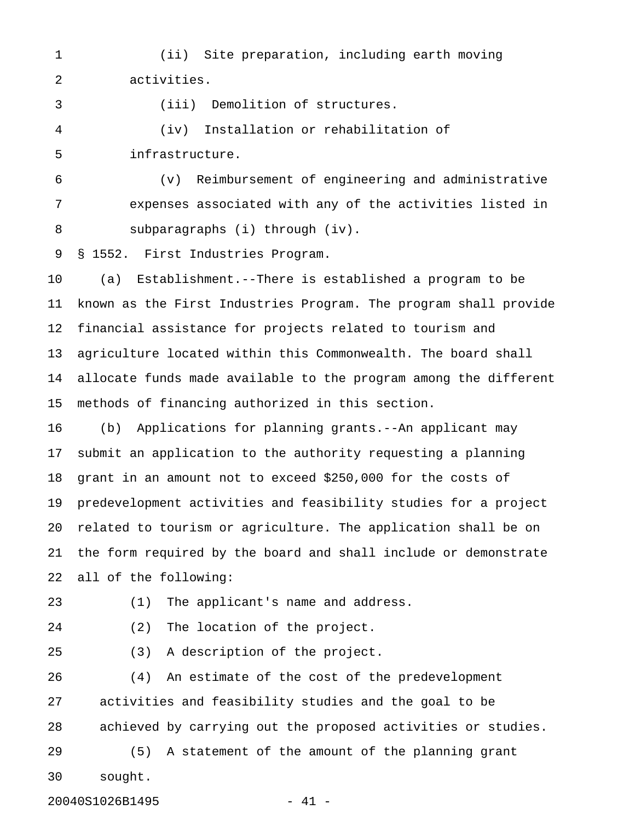1 (ii) Site preparation, including earth moving 2 activities.

3 (iii) Demolition of structures.

4 (iv) Installation or rehabilitation of 5 infrastructure.

6 (v) Reimbursement of engineering and administrative 7 expenses associated with any of the activities listed in 8 subparagraphs (i) through (iv).

9 § 1552. First Industries Program.

10 (a) Establishment.--There is established a program to be 11 known as the First Industries Program. The program shall provide 12 financial assistance for projects related to tourism and 13 agriculture located within this Commonwealth. The board shall 14 allocate funds made available to the program among the different 15 methods of financing authorized in this section.

16 (b) Applications for planning grants.--An applicant may 17 submit an application to the authority requesting a planning 18 grant in an amount not to exceed \$250,000 for the costs of 19 predevelopment activities and feasibility studies for a project 20 related to tourism or agriculture. The application shall be on 21 the form required by the board and shall include or demonstrate 22 all of the following:

23 (1) The applicant's name and address.

24 (2) The location of the project.

25 (3) A description of the project.

26 (4) An estimate of the cost of the predevelopment 27 activities and feasibility studies and the goal to be 28 achieved by carrying out the proposed activities or studies.

29 (5) A statement of the amount of the planning grant 30 sought.

20040S1026B1495 - 41 -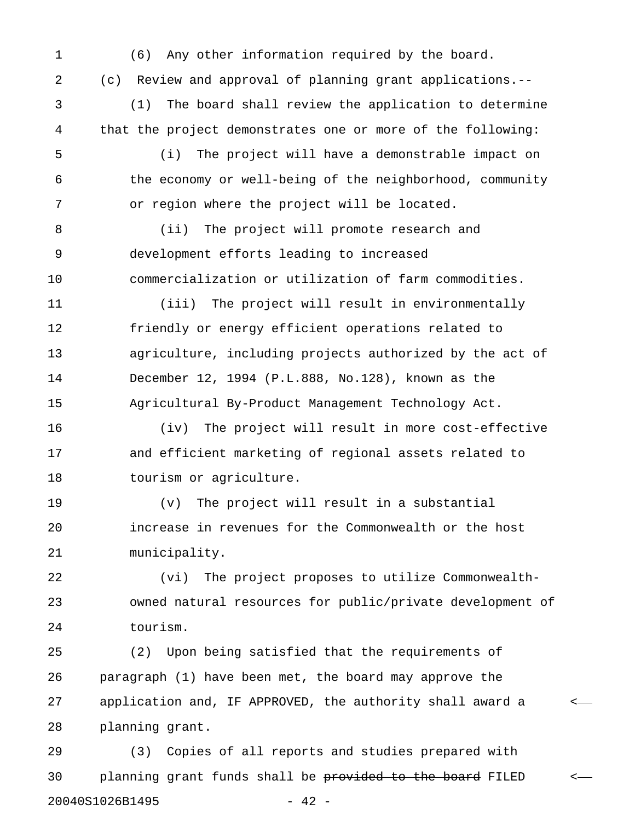1 (6) Any other information required by the board.

2 (c) Review and approval of planning grant applications.--

3 (1) The board shall review the application to determine 4 that the project demonstrates one or more of the following:

5 (i) The project will have a demonstrable impact on 6 the economy or well-being of the neighborhood, community 7 or region where the project will be located.

8 (ii) The project will promote research and 9 development efforts leading to increased 10 commercialization or utilization of farm commodities.

11 (iii) The project will result in environmentally 12 friendly or energy efficient operations related to 13 agriculture, including projects authorized by the act of 14 December 12, 1994 (P.L.888, No.128), known as the 15 Agricultural By-Product Management Technology Act.

16 (iv) The project will result in more cost-effective 17 and efficient marketing of regional assets related to 18 tourism or agriculture.

19 (v) The project will result in a substantial 20 increase in revenues for the Commonwealth or the host 21 municipality.

22 (vi) The project proposes to utilize Commonwealth-23 owned natural resources for public/private development of 24 tourism.

25 (2) Upon being satisfied that the requirements of 26 paragraph (1) have been met, the board may approve the 27 application and, IF APPROVED, the authority shall award a < 28 planning grant.

29 (3) Copies of all reports and studies prepared with 30 planning grant funds shall be provided to the board FILED <-20040S1026B1495 - 42 -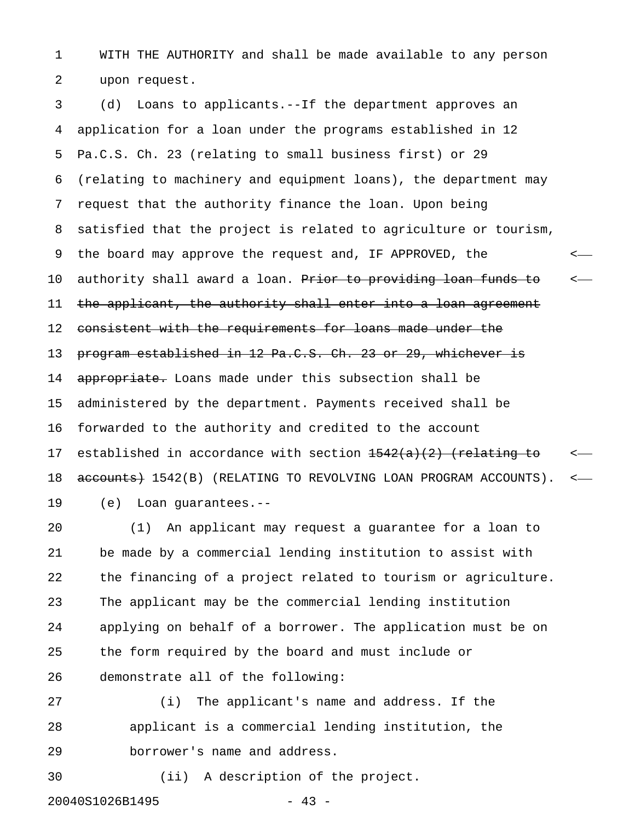1 WITH THE AUTHORITY and shall be made available to any person 2 upon request.

3 (d) Loans to applicants.--If the department approves an 4 application for a loan under the programs established in 12 5 Pa.C.S. Ch. 23 (relating to small business first) or 29 6 (relating to machinery and equipment loans), the department may 7 request that the authority finance the loan. Upon being 8 satisfied that the project is related to agriculture or tourism, 9 the board may approve the request and, IF APPROVED, the < 10 authority shall award a loan. Prior to providing loan funds to  $\sim$ 11 the applicant, the authority shall enter into a loan agreement 12 consistent with the requirements for loans made under the 13 program established in 12 Pa.C.S. Ch. 23 or 29, whichever is 14 appropriate. Loans made under this subsection shall be 15 administered by the department. Payments received shall be 16 forwarded to the authority and credited to the account 17 established in accordance with section  $\frac{1542(a)(2)}{2}$  (relating to  $\sim$ 18 accounts) 1542(B) (RELATING TO REVOLVING LOAN PROGRAM ACCOUNTS). <-19 (e) Loan guarantees.--

20 (1) An applicant may request a guarantee for a loan to 21 be made by a commercial lending institution to assist with 22 the financing of a project related to tourism or agriculture. 23 The applicant may be the commercial lending institution 24 applying on behalf of a borrower. The application must be on 25 the form required by the board and must include or 26 demonstrate all of the following:

27 (i) The applicant's name and address. If the 28 applicant is a commercial lending institution, the 29 borrower's name and address.

30 (ii) A description of the project.

20040S1026B1495 - 43 -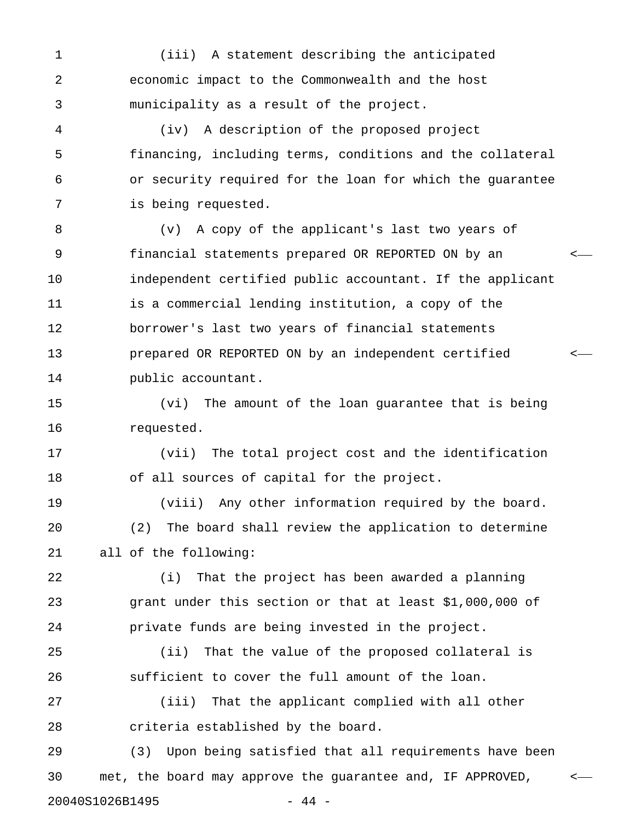1 (iii) A statement describing the anticipated 2 economic impact to the Commonwealth and the host 3 municipality as a result of the project.

4 (iv) A description of the proposed project 5 financing, including terms, conditions and the collateral 6 or security required for the loan for which the guarantee 7 is being requested.

8 (v) A copy of the applicant's last two years of 9 financial statements prepared OR REPORTED ON by an < 10 independent certified public accountant. If the applicant 11 is a commercial lending institution, a copy of the 12 borrower's last two years of financial statements 13 prepared OR REPORTED ON by an independent certified < 14 public accountant.

15 (vi) The amount of the loan guarantee that is being 16 requested.

17 (vii) The total project cost and the identification 18 of all sources of capital for the project.

19 (viii) Any other information required by the board. 20 (2) The board shall review the application to determine 21 all of the following:

22 (i) That the project has been awarded a planning 23 grant under this section or that at least \$1,000,000 of 24 private funds are being invested in the project.

25 (ii) That the value of the proposed collateral is 26 sufficient to cover the full amount of the loan.

27 (iii) That the applicant complied with all other 28 criteria established by the board.

29 (3) Upon being satisfied that all requirements have been 30 met, the board may approve the guarantee and, IF APPROVED, < 20040S1026B1495 - 44 -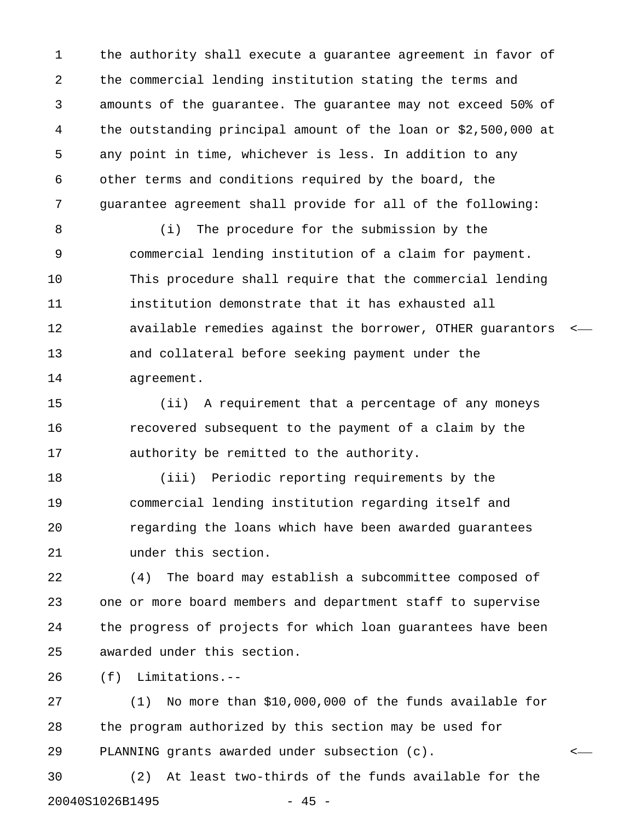1 the authority shall execute a guarantee agreement in favor of 2 the commercial lending institution stating the terms and 3 amounts of the guarantee. The guarantee may not exceed 50% of 4 the outstanding principal amount of the loan or \$2,500,000 at 5 any point in time, whichever is less. In addition to any 6 other terms and conditions required by the board, the 7 guarantee agreement shall provide for all of the following:

8 (i) The procedure for the submission by the 9 commercial lending institution of a claim for payment. 10 This procedure shall require that the commercial lending 11 institution demonstrate that it has exhausted all 12 available remedies against the borrower, OTHER guarantors < 13 and collateral before seeking payment under the 14 agreement.

15 (ii) A requirement that a percentage of any moneys 16 recovered subsequent to the payment of a claim by the 17 authority be remitted to the authority.

18 (iii) Periodic reporting requirements by the 19 commercial lending institution regarding itself and 20 regarding the loans which have been awarded guarantees 21 under this section.

22 (4) The board may establish a subcommittee composed of 23 one or more board members and department staff to supervise 24 the progress of projects for which loan guarantees have been 25 awarded under this section.

26 (f) Limitations.--

27 (1) No more than \$10,000,000 of the funds available for 28 the program authorized by this section may be used for 29 PLANNING grants awarded under subsection (c). <

30 (2) At least two-thirds of the funds available for the 20040S1026B1495 - 45 -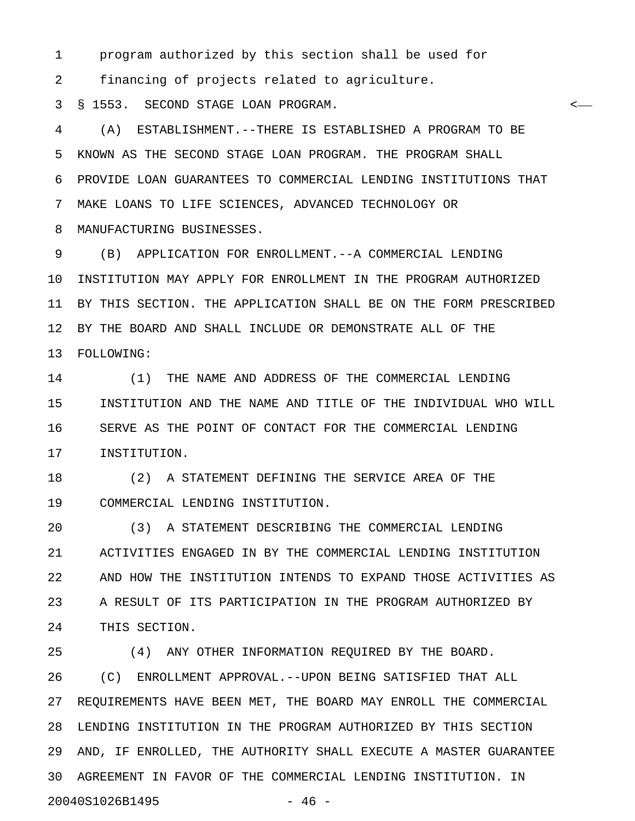1 program authorized by this section shall be used for

2 financing of projects related to agriculture.

3 § 1553. SECOND STAGE LOAN PROGRAM. <

4 (A) ESTABLISHMENT.--THERE IS ESTABLISHED A PROGRAM TO BE 5 KNOWN AS THE SECOND STAGE LOAN PROGRAM. THE PROGRAM SHALL 6 PROVIDE LOAN GUARANTEES TO COMMERCIAL LENDING INSTITUTIONS THAT 7 MAKE LOANS TO LIFE SCIENCES, ADVANCED TECHNOLOGY OR 8 MANUFACTURING BUSINESSES.

9 (B) APPLICATION FOR ENROLLMENT.--A COMMERCIAL LENDING 10 INSTITUTION MAY APPLY FOR ENROLLMENT IN THE PROGRAM AUTHORIZED 11 BY THIS SECTION. THE APPLICATION SHALL BE ON THE FORM PRESCRIBED 12 BY THE BOARD AND SHALL INCLUDE OR DEMONSTRATE ALL OF THE 13 FOLLOWING:

14 (1) THE NAME AND ADDRESS OF THE COMMERCIAL LENDING 15 INSTITUTION AND THE NAME AND TITLE OF THE INDIVIDUAL WHO WILL 16 SERVE AS THE POINT OF CONTACT FOR THE COMMERCIAL LENDING 17 INSTITUTION.

18 (2) A STATEMENT DEFINING THE SERVICE AREA OF THE 19 COMMERCIAL LENDING INSTITUTION.

20 (3) A STATEMENT DESCRIBING THE COMMERCIAL LENDING 21 ACTIVITIES ENGAGED IN BY THE COMMERCIAL LENDING INSTITUTION 22 AND HOW THE INSTITUTION INTENDS TO EXPAND THOSE ACTIVITIES AS 23 A RESULT OF ITS PARTICIPATION IN THE PROGRAM AUTHORIZED BY 24 THIS SECTION.

25 (4) ANY OTHER INFORMATION REQUIRED BY THE BOARD. 26 (C) ENROLLMENT APPROVAL.--UPON BEING SATISFIED THAT ALL 27 REQUIREMENTS HAVE BEEN MET, THE BOARD MAY ENROLL THE COMMERCIAL 28 LENDING INSTITUTION IN THE PROGRAM AUTHORIZED BY THIS SECTION 29 AND, IF ENROLLED, THE AUTHORITY SHALL EXECUTE A MASTER GUARANTEE 30 AGREEMENT IN FAVOR OF THE COMMERCIAL LENDING INSTITUTION. IN 20040S1026B1495 - 46 -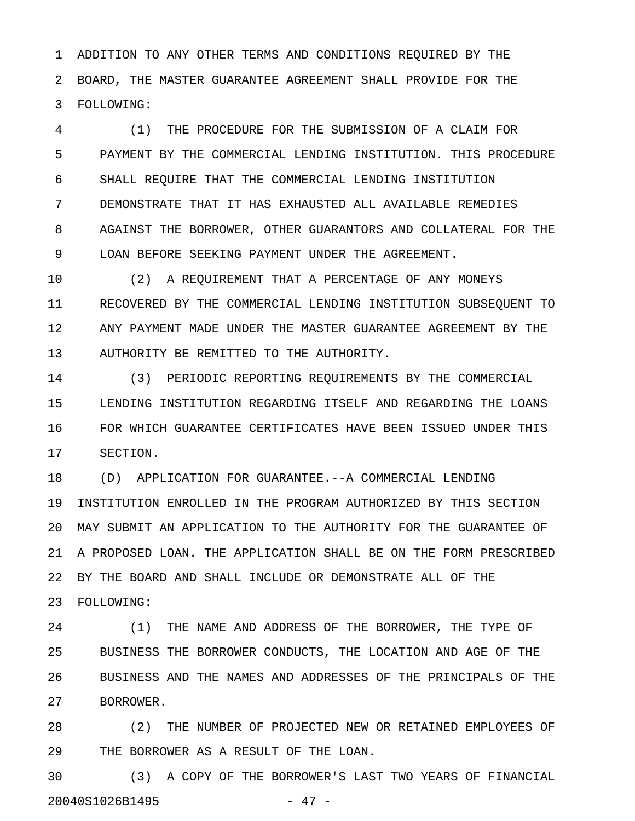1 ADDITION TO ANY OTHER TERMS AND CONDITIONS REQUIRED BY THE 2 BOARD, THE MASTER GUARANTEE AGREEMENT SHALL PROVIDE FOR THE 3 FOLLOWING:

4 (1) THE PROCEDURE FOR THE SUBMISSION OF A CLAIM FOR 5 PAYMENT BY THE COMMERCIAL LENDING INSTITUTION. THIS PROCEDURE 6 SHALL REQUIRE THAT THE COMMERCIAL LENDING INSTITUTION 7 DEMONSTRATE THAT IT HAS EXHAUSTED ALL AVAILABLE REMEDIES 8 AGAINST THE BORROWER, OTHER GUARANTORS AND COLLATERAL FOR THE 9 LOAN BEFORE SEEKING PAYMENT UNDER THE AGREEMENT.

10 (2) A REQUIREMENT THAT A PERCENTAGE OF ANY MONEYS 11 RECOVERED BY THE COMMERCIAL LENDING INSTITUTION SUBSEQUENT TO 12 ANY PAYMENT MADE UNDER THE MASTER GUARANTEE AGREEMENT BY THE 13 AUTHORITY BE REMITTED TO THE AUTHORITY.

14 (3) PERIODIC REPORTING REQUIREMENTS BY THE COMMERCIAL 15 LENDING INSTITUTION REGARDING ITSELF AND REGARDING THE LOANS 16 FOR WHICH GUARANTEE CERTIFICATES HAVE BEEN ISSUED UNDER THIS 17 SECTION.

18 (D) APPLICATION FOR GUARANTEE.--A COMMERCIAL LENDING 19 INSTITUTION ENROLLED IN THE PROGRAM AUTHORIZED BY THIS SECTION 20 MAY SUBMIT AN APPLICATION TO THE AUTHORITY FOR THE GUARANTEE OF 21 A PROPOSED LOAN. THE APPLICATION SHALL BE ON THE FORM PRESCRIBED 22 BY THE BOARD AND SHALL INCLUDE OR DEMONSTRATE ALL OF THE 23 FOLLOWING:

24 (1) THE NAME AND ADDRESS OF THE BORROWER, THE TYPE OF 25 BUSINESS THE BORROWER CONDUCTS, THE LOCATION AND AGE OF THE 26 BUSINESS AND THE NAMES AND ADDRESSES OF THE PRINCIPALS OF THE 27 BORROWER.

28 (2) THE NUMBER OF PROJECTED NEW OR RETAINED EMPLOYEES OF 29 THE BORROWER AS A RESULT OF THE LOAN.

30 (3) A COPY OF THE BORROWER'S LAST TWO YEARS OF FINANCIAL 20040S1026B1495 - 47 -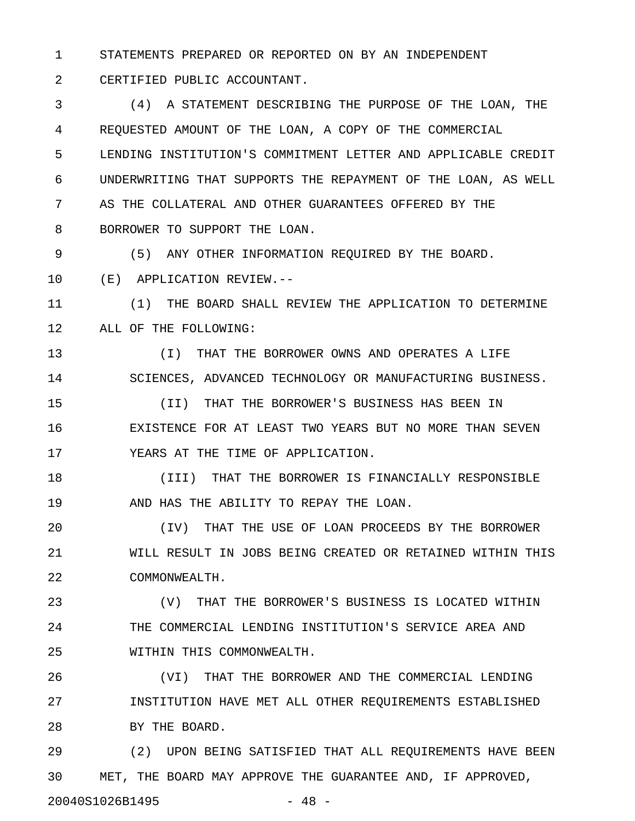1 STATEMENTS PREPARED OR REPORTED ON BY AN INDEPENDENT

2 CERTIFIED PUBLIC ACCOUNTANT.

3 (4) A STATEMENT DESCRIBING THE PURPOSE OF THE LOAN, THE 4 REQUESTED AMOUNT OF THE LOAN, A COPY OF THE COMMERCIAL 5 LENDING INSTITUTION'S COMMITMENT LETTER AND APPLICABLE CREDIT 6 UNDERWRITING THAT SUPPORTS THE REPAYMENT OF THE LOAN, AS WELL 7 AS THE COLLATERAL AND OTHER GUARANTEES OFFERED BY THE 8 BORROWER TO SUPPORT THE LOAN.

9 (5) ANY OTHER INFORMATION REQUIRED BY THE BOARD.

10 (E) APPLICATION REVIEW.--

11 (1) THE BOARD SHALL REVIEW THE APPLICATION TO DETERMINE 12 ALL OF THE FOLLOWING:

13 (I) THAT THE BORROWER OWNS AND OPERATES A LIFE 14 SCIENCES, ADVANCED TECHNOLOGY OR MANUFACTURING BUSINESS.

15 (II) THAT THE BORROWER'S BUSINESS HAS BEEN IN 16 EXISTENCE FOR AT LEAST TWO YEARS BUT NO MORE THAN SEVEN 17 YEARS AT THE TIME OF APPLICATION.

18 (III) THAT THE BORROWER IS FINANCIALLY RESPONSIBLE 19 AND HAS THE ABILITY TO REPAY THE LOAN.

20 (IV) THAT THE USE OF LOAN PROCEEDS BY THE BORROWER 21 WILL RESULT IN JOBS BEING CREATED OR RETAINED WITHIN THIS 22 COMMONWEALTH.

23 (V) THAT THE BORROWER'S BUSINESS IS LOCATED WITHIN 24 THE COMMERCIAL LENDING INSTITUTION'S SERVICE AREA AND 25 WITHIN THIS COMMONWEALTH.

26 (VI) THAT THE BORROWER AND THE COMMERCIAL LENDING 27 INSTITUTION HAVE MET ALL OTHER REQUIREMENTS ESTABLISHED 28 BY THE BOARD.

29 (2) UPON BEING SATISFIED THAT ALL REQUIREMENTS HAVE BEEN 30 MET, THE BOARD MAY APPROVE THE GUARANTEE AND, IF APPROVED, 20040S1026B1495 - 48 -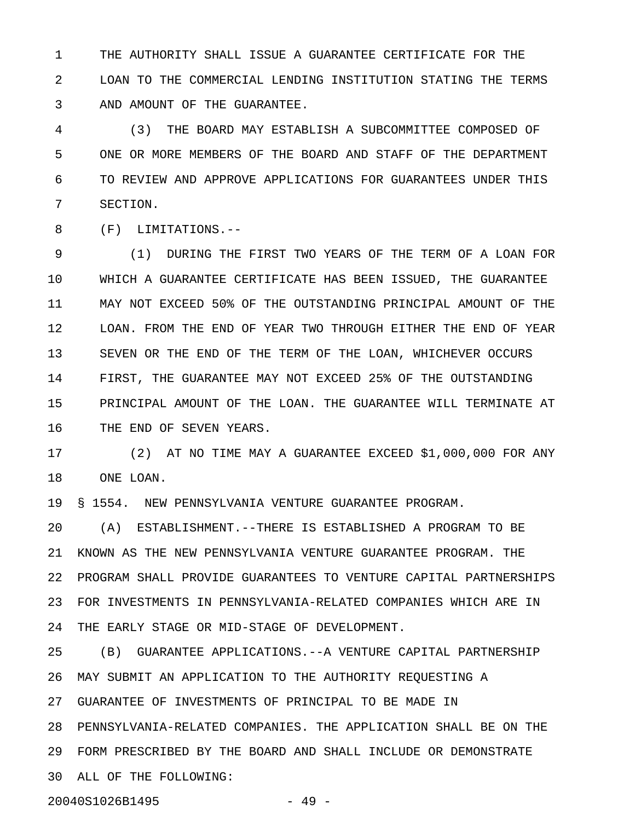1 THE AUTHORITY SHALL ISSUE A GUARANTEE CERTIFICATE FOR THE 2 LOAN TO THE COMMERCIAL LENDING INSTITUTION STATING THE TERMS 3 AND AMOUNT OF THE GUARANTEE.

4 (3) THE BOARD MAY ESTABLISH A SUBCOMMITTEE COMPOSED OF 5 ONE OR MORE MEMBERS OF THE BOARD AND STAFF OF THE DEPARTMENT 6 TO REVIEW AND APPROVE APPLICATIONS FOR GUARANTEES UNDER THIS 7 SECTION.

8 (F) LIMITATIONS.--

9 (1) DURING THE FIRST TWO YEARS OF THE TERM OF A LOAN FOR 10 WHICH A GUARANTEE CERTIFICATE HAS BEEN ISSUED, THE GUARANTEE 11 MAY NOT EXCEED 50% OF THE OUTSTANDING PRINCIPAL AMOUNT OF THE 12 LOAN. FROM THE END OF YEAR TWO THROUGH EITHER THE END OF YEAR 13 SEVEN OR THE END OF THE TERM OF THE LOAN, WHICHEVER OCCURS 14 FIRST, THE GUARANTEE MAY NOT EXCEED 25% OF THE OUTSTANDING 15 PRINCIPAL AMOUNT OF THE LOAN. THE GUARANTEE WILL TERMINATE AT 16 THE END OF SEVEN YEARS.

17 (2) AT NO TIME MAY A GUARANTEE EXCEED \$1,000,000 FOR ANY 18 ONE LOAN.

19 § 1554. NEW PENNSYLVANIA VENTURE GUARANTEE PROGRAM.

20 (A) ESTABLISHMENT.--THERE IS ESTABLISHED A PROGRAM TO BE 21 KNOWN AS THE NEW PENNSYLVANIA VENTURE GUARANTEE PROGRAM. THE 22 PROGRAM SHALL PROVIDE GUARANTEES TO VENTURE CAPITAL PARTNERSHIPS 23 FOR INVESTMENTS IN PENNSYLVANIA-RELATED COMPANIES WHICH ARE IN 24 THE EARLY STAGE OR MID-STAGE OF DEVELOPMENT.

25 (B) GUARANTEE APPLICATIONS.--A VENTURE CAPITAL PARTNERSHIP 26 MAY SUBMIT AN APPLICATION TO THE AUTHORITY REQUESTING A 27 GUARANTEE OF INVESTMENTS OF PRINCIPAL TO BE MADE IN 28 PENNSYLVANIA-RELATED COMPANIES. THE APPLICATION SHALL BE ON THE 29 FORM PRESCRIBED BY THE BOARD AND SHALL INCLUDE OR DEMONSTRATE 30 ALL OF THE FOLLOWING:

20040S1026B1495 - 49 -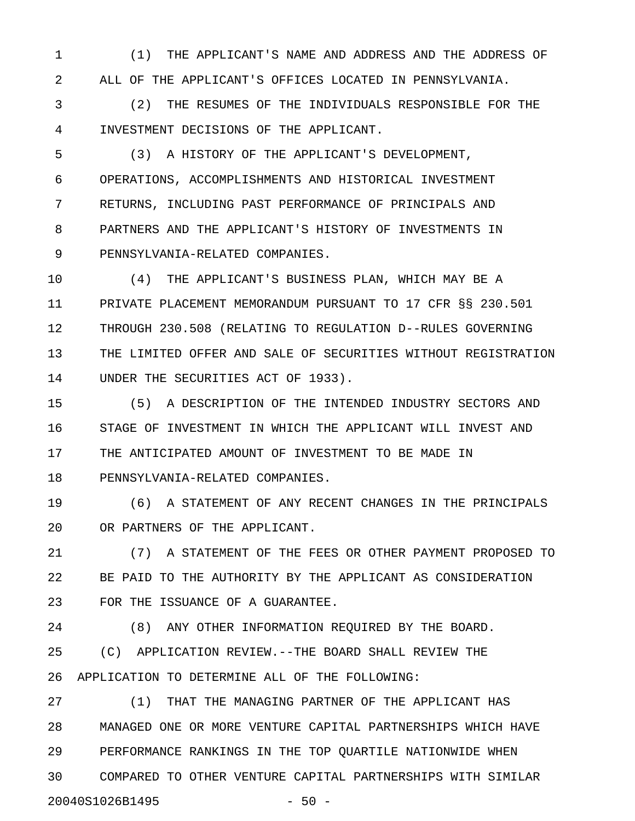1 (1) THE APPLICANT'S NAME AND ADDRESS AND THE ADDRESS OF 2 ALL OF THE APPLICANT'S OFFICES LOCATED IN PENNSYLVANIA.

3 (2) THE RESUMES OF THE INDIVIDUALS RESPONSIBLE FOR THE 4 INVESTMENT DECISIONS OF THE APPLICANT.

5 (3) A HISTORY OF THE APPLICANT'S DEVELOPMENT, 6 OPERATIONS, ACCOMPLISHMENTS AND HISTORICAL INVESTMENT 7 RETURNS, INCLUDING PAST PERFORMANCE OF PRINCIPALS AND 8 PARTNERS AND THE APPLICANT'S HISTORY OF INVESTMENTS IN 9 PENNSYLVANIA-RELATED COMPANIES.

10 (4) THE APPLICANT'S BUSINESS PLAN, WHICH MAY BE A 11 PRIVATE PLACEMENT MEMORANDUM PURSUANT TO 17 CFR §§ 230.501 12 THROUGH 230.508 (RELATING TO REGULATION D--RULES GOVERNING 13 THE LIMITED OFFER AND SALE OF SECURITIES WITHOUT REGISTRATION 14 UNDER THE SECURITIES ACT OF 1933).

15 (5) A DESCRIPTION OF THE INTENDED INDUSTRY SECTORS AND 16 STAGE OF INVESTMENT IN WHICH THE APPLICANT WILL INVEST AND 17 THE ANTICIPATED AMOUNT OF INVESTMENT TO BE MADE IN 18 PENNSYLVANIA-RELATED COMPANIES.

19 (6) A STATEMENT OF ANY RECENT CHANGES IN THE PRINCIPALS 20 OR PARTNERS OF THE APPLICANT.

21 (7) A STATEMENT OF THE FEES OR OTHER PAYMENT PROPOSED TO 22 BE PAID TO THE AUTHORITY BY THE APPLICANT AS CONSIDERATION 23 FOR THE ISSUANCE OF A GUARANTEE.

24 (8) ANY OTHER INFORMATION REQUIRED BY THE BOARD.

25 (C) APPLICATION REVIEW.--THE BOARD SHALL REVIEW THE 26 APPLICATION TO DETERMINE ALL OF THE FOLLOWING:

27 (1) THAT THE MANAGING PARTNER OF THE APPLICANT HAS 28 MANAGED ONE OR MORE VENTURE CAPITAL PARTNERSHIPS WHICH HAVE 29 PERFORMANCE RANKINGS IN THE TOP QUARTILE NATIONWIDE WHEN 30 COMPARED TO OTHER VENTURE CAPITAL PARTNERSHIPS WITH SIMILAR 20040S1026B1495 - 50 -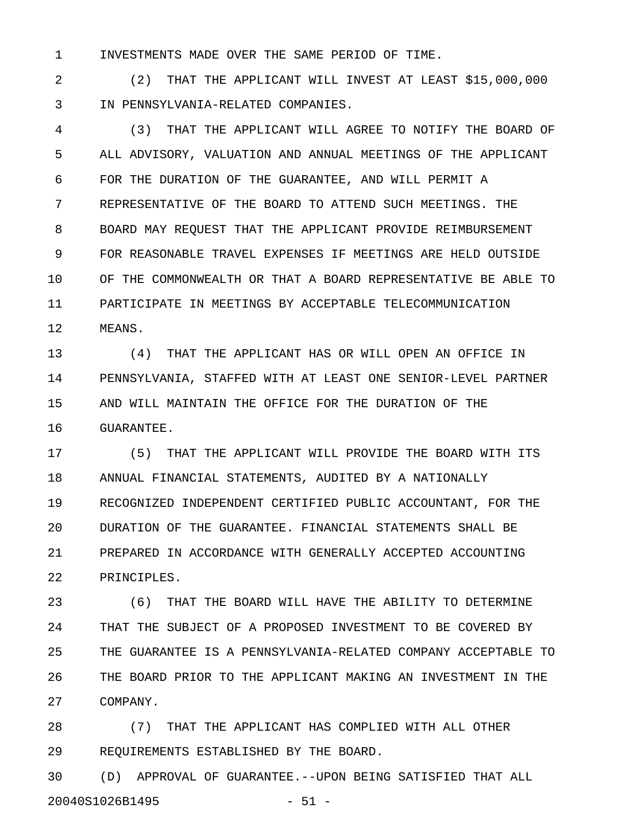1 INVESTMENTS MADE OVER THE SAME PERIOD OF TIME.

2 (2) THAT THE APPLICANT WILL INVEST AT LEAST \$15,000,000 3 IN PENNSYLVANIA-RELATED COMPANIES.

4 (3) THAT THE APPLICANT WILL AGREE TO NOTIFY THE BOARD OF 5 ALL ADVISORY, VALUATION AND ANNUAL MEETINGS OF THE APPLICANT 6 FOR THE DURATION OF THE GUARANTEE, AND WILL PERMIT A 7 REPRESENTATIVE OF THE BOARD TO ATTEND SUCH MEETINGS. THE 8 BOARD MAY REQUEST THAT THE APPLICANT PROVIDE REIMBURSEMENT 9 FOR REASONABLE TRAVEL EXPENSES IF MEETINGS ARE HELD OUTSIDE 10 OF THE COMMONWEALTH OR THAT A BOARD REPRESENTATIVE BE ABLE TO 11 PARTICIPATE IN MEETINGS BY ACCEPTABLE TELECOMMUNICATION 12 MEANS.

13 (4) THAT THE APPLICANT HAS OR WILL OPEN AN OFFICE IN 14 PENNSYLVANIA, STAFFED WITH AT LEAST ONE SENIOR-LEVEL PARTNER 15 AND WILL MAINTAIN THE OFFICE FOR THE DURATION OF THE 16 GUARANTEE.

17 (5) THAT THE APPLICANT WILL PROVIDE THE BOARD WITH ITS 18 ANNUAL FINANCIAL STATEMENTS, AUDITED BY A NATIONALLY 19 RECOGNIZED INDEPENDENT CERTIFIED PUBLIC ACCOUNTANT, FOR THE 20 DURATION OF THE GUARANTEE. FINANCIAL STATEMENTS SHALL BE 21 PREPARED IN ACCORDANCE WITH GENERALLY ACCEPTED ACCOUNTING 22 PRINCIPLES.

23 (6) THAT THE BOARD WILL HAVE THE ABILITY TO DETERMINE 24 THAT THE SUBJECT OF A PROPOSED INVESTMENT TO BE COVERED BY 25 THE GUARANTEE IS A PENNSYLVANIA-RELATED COMPANY ACCEPTABLE TO 26 THE BOARD PRIOR TO THE APPLICANT MAKING AN INVESTMENT IN THE 27 COMPANY.

28 (7) THAT THE APPLICANT HAS COMPLIED WITH ALL OTHER 29 REQUIREMENTS ESTABLISHED BY THE BOARD.

30 (D) APPROVAL OF GUARANTEE.--UPON BEING SATISFIED THAT ALL 20040S1026B1495 - 51 -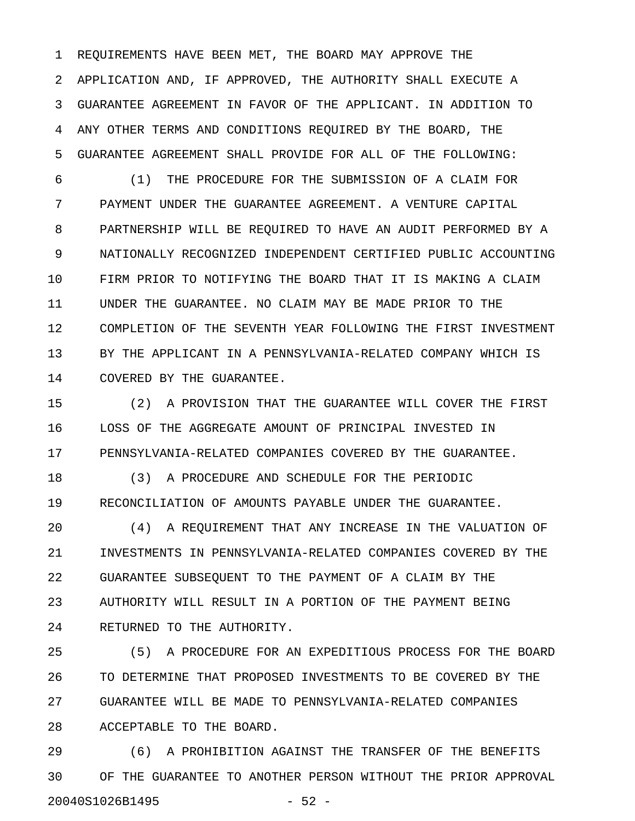1 REQUIREMENTS HAVE BEEN MET, THE BOARD MAY APPROVE THE 2 APPLICATION AND, IF APPROVED, THE AUTHORITY SHALL EXECUTE A 3 GUARANTEE AGREEMENT IN FAVOR OF THE APPLICANT. IN ADDITION TO 4 ANY OTHER TERMS AND CONDITIONS REQUIRED BY THE BOARD, THE 5 GUARANTEE AGREEMENT SHALL PROVIDE FOR ALL OF THE FOLLOWING:

6 (1) THE PROCEDURE FOR THE SUBMISSION OF A CLAIM FOR 7 PAYMENT UNDER THE GUARANTEE AGREEMENT. A VENTURE CAPITAL 8 PARTNERSHIP WILL BE REQUIRED TO HAVE AN AUDIT PERFORMED BY A 9 NATIONALLY RECOGNIZED INDEPENDENT CERTIFIED PUBLIC ACCOUNTING 10 FIRM PRIOR TO NOTIFYING THE BOARD THAT IT IS MAKING A CLAIM 11 UNDER THE GUARANTEE. NO CLAIM MAY BE MADE PRIOR TO THE 12 COMPLETION OF THE SEVENTH YEAR FOLLOWING THE FIRST INVESTMENT 13 BY THE APPLICANT IN A PENNSYLVANIA-RELATED COMPANY WHICH IS 14 COVERED BY THE GUARANTEE.

15 (2) A PROVISION THAT THE GUARANTEE WILL COVER THE FIRST 16 LOSS OF THE AGGREGATE AMOUNT OF PRINCIPAL INVESTED IN 17 PENNSYLVANIA-RELATED COMPANIES COVERED BY THE GUARANTEE.

18 (3) A PROCEDURE AND SCHEDULE FOR THE PERIODIC 19 RECONCILIATION OF AMOUNTS PAYABLE UNDER THE GUARANTEE.

20 (4) A REQUIREMENT THAT ANY INCREASE IN THE VALUATION OF 21 INVESTMENTS IN PENNSYLVANIA-RELATED COMPANIES COVERED BY THE 22 GUARANTEE SUBSEQUENT TO THE PAYMENT OF A CLAIM BY THE 23 AUTHORITY WILL RESULT IN A PORTION OF THE PAYMENT BEING 24 RETURNED TO THE AUTHORITY.

25 (5) A PROCEDURE FOR AN EXPEDITIOUS PROCESS FOR THE BOARD 26 TO DETERMINE THAT PROPOSED INVESTMENTS TO BE COVERED BY THE 27 GUARANTEE WILL BE MADE TO PENNSYLVANIA-RELATED COMPANIES 28 ACCEPTABLE TO THE BOARD.

29 (6) A PROHIBITION AGAINST THE TRANSFER OF THE BENEFITS 30 OF THE GUARANTEE TO ANOTHER PERSON WITHOUT THE PRIOR APPROVAL 20040S1026B1495 - 52 -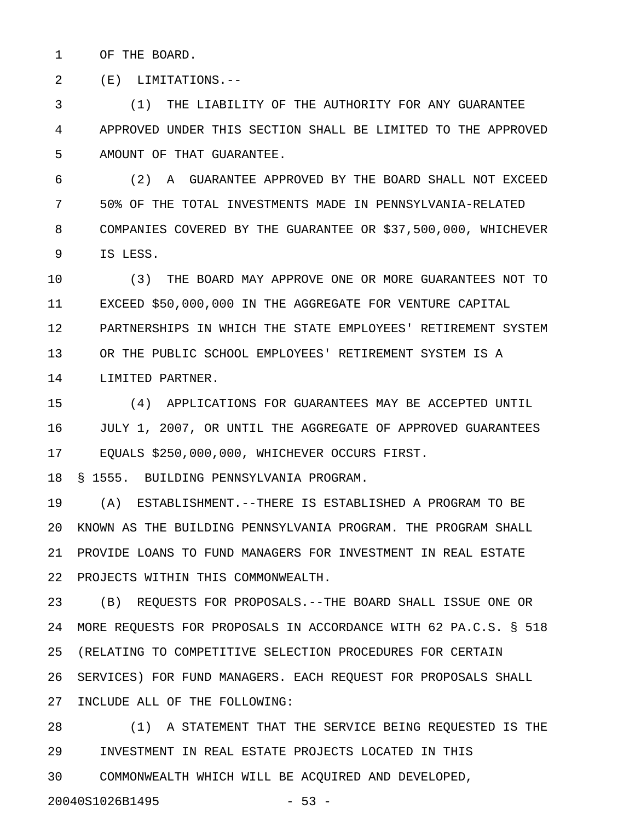1 OF THE BOARD.

2 (E) LIMITATIONS.--

3 (1) THE LIABILITY OF THE AUTHORITY FOR ANY GUARANTEE 4 APPROVED UNDER THIS SECTION SHALL BE LIMITED TO THE APPROVED 5 AMOUNT OF THAT GUARANTEE.

6 (2) A GUARANTEE APPROVED BY THE BOARD SHALL NOT EXCEED 7 50% OF THE TOTAL INVESTMENTS MADE IN PENNSYLVANIA-RELATED 8 COMPANIES COVERED BY THE GUARANTEE OR \$37,500,000, WHICHEVER 9 IS LESS.

10 (3) THE BOARD MAY APPROVE ONE OR MORE GUARANTEES NOT TO 11 EXCEED \$50,000,000 IN THE AGGREGATE FOR VENTURE CAPITAL 12 PARTNERSHIPS IN WHICH THE STATE EMPLOYEES' RETIREMENT SYSTEM 13 OR THE PUBLIC SCHOOL EMPLOYEES' RETIREMENT SYSTEM IS A 14 LIMITED PARTNER.

15 (4) APPLICATIONS FOR GUARANTEES MAY BE ACCEPTED UNTIL 16 JULY 1, 2007, OR UNTIL THE AGGREGATE OF APPROVED GUARANTEES 17 EQUALS \$250,000,000, WHICHEVER OCCURS FIRST.

18 § 1555. BUILDING PENNSYLVANIA PROGRAM.

19 (A) ESTABLISHMENT.--THERE IS ESTABLISHED A PROGRAM TO BE 20 KNOWN AS THE BUILDING PENNSYLVANIA PROGRAM. THE PROGRAM SHALL 21 PROVIDE LOANS TO FUND MANAGERS FOR INVESTMENT IN REAL ESTATE 22 PROJECTS WITHIN THIS COMMONWEALTH.

23 (B) REQUESTS FOR PROPOSALS.--THE BOARD SHALL ISSUE ONE OR 24 MORE REQUESTS FOR PROPOSALS IN ACCORDANCE WITH 62 PA.C.S. § 518 25 (RELATING TO COMPETITIVE SELECTION PROCEDURES FOR CERTAIN 26 SERVICES) FOR FUND MANAGERS. EACH REQUEST FOR PROPOSALS SHALL 27 INCLUDE ALL OF THE FOLLOWING:

28 (1) A STATEMENT THAT THE SERVICE BEING REQUESTED IS THE 29 INVESTMENT IN REAL ESTATE PROJECTS LOCATED IN THIS 30 COMMONWEALTH WHICH WILL BE ACQUIRED AND DEVELOPED,

20040S1026B1495 - 53 -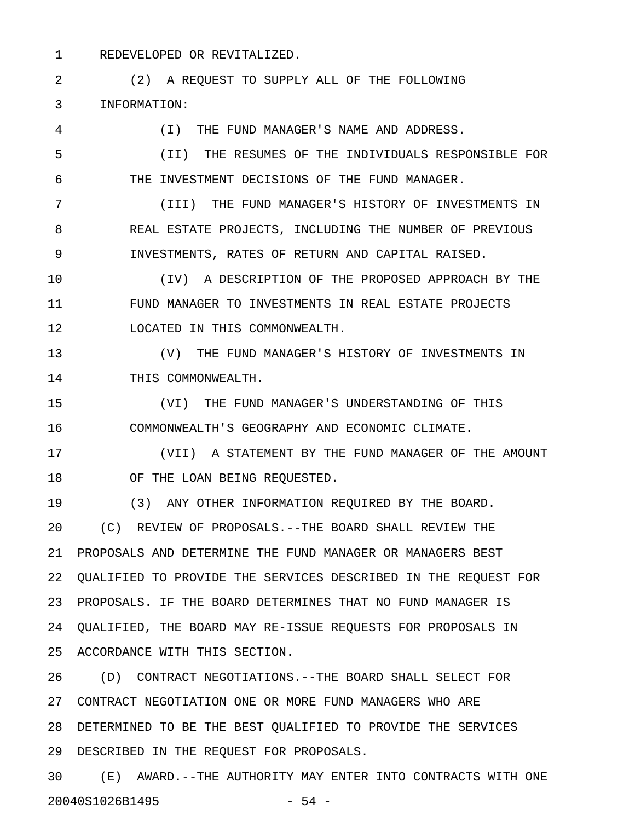1 REDEVELOPED OR REVITALIZED.

2 (2) A REQUEST TO SUPPLY ALL OF THE FOLLOWING 3 INFORMATION: 4 (I) THE FUND MANAGER'S NAME AND ADDRESS. 5 (II) THE RESUMES OF THE INDIVIDUALS RESPONSIBLE FOR 6 THE INVESTMENT DECISIONS OF THE FUND MANAGER. 7 (III) THE FUND MANAGER'S HISTORY OF INVESTMENTS IN 8 REAL ESTATE PROJECTS, INCLUDING THE NUMBER OF PREVIOUS 9 INVESTMENTS, RATES OF RETURN AND CAPITAL RAISED. 10 (IV) A DESCRIPTION OF THE PROPOSED APPROACH BY THE 11 FUND MANAGER TO INVESTMENTS IN REAL ESTATE PROJECTS 12 LOCATED IN THIS COMMONWEALTH. 13 (V) THE FUND MANAGER'S HISTORY OF INVESTMENTS IN 14 THIS COMMONWEALTH. 15 (VI) THE FUND MANAGER'S UNDERSTANDING OF THIS 16 COMMONWEALTH'S GEOGRAPHY AND ECONOMIC CLIMATE. 17 (VII) A STATEMENT BY THE FUND MANAGER OF THE AMOUNT 18 OF THE LOAN BEING REQUESTED. 19 (3) ANY OTHER INFORMATION REQUIRED BY THE BOARD. 20 (C) REVIEW OF PROPOSALS.--THE BOARD SHALL REVIEW THE 21 PROPOSALS AND DETERMINE THE FUND MANAGER OR MANAGERS BEST 22 QUALIFIED TO PROVIDE THE SERVICES DESCRIBED IN THE REQUEST FOR 23 PROPOSALS. IF THE BOARD DETERMINES THAT NO FUND MANAGER IS 24 QUALIFIED, THE BOARD MAY RE-ISSUE REQUESTS FOR PROPOSALS IN 25 ACCORDANCE WITH THIS SECTION. 26 (D) CONTRACT NEGOTIATIONS.--THE BOARD SHALL SELECT FOR 27 CONTRACT NEGOTIATION ONE OR MORE FUND MANAGERS WHO ARE 28 DETERMINED TO BE THE BEST QUALIFIED TO PROVIDE THE SERVICES

29 DESCRIBED IN THE REQUEST FOR PROPOSALS.

30 (E) AWARD.--THE AUTHORITY MAY ENTER INTO CONTRACTS WITH ONE 20040S1026B1495 - 54 -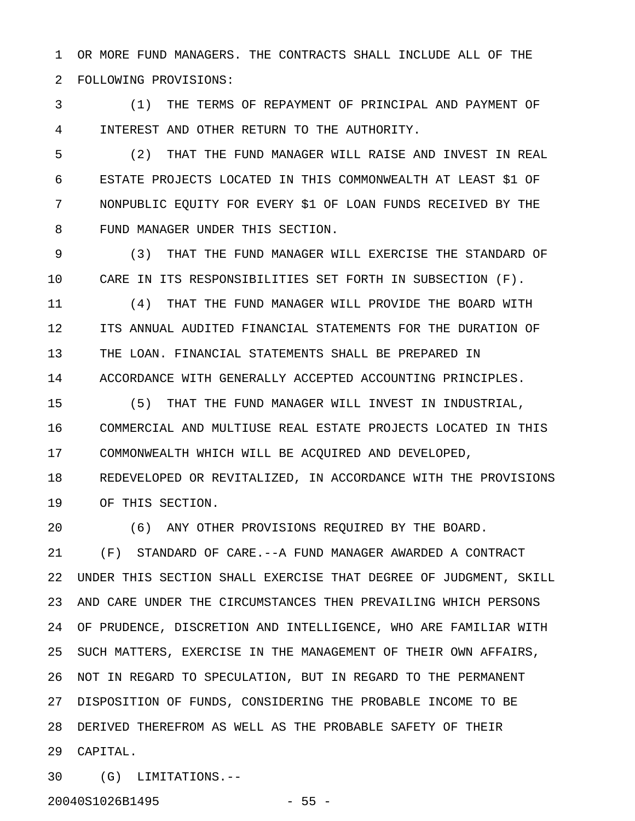1 OR MORE FUND MANAGERS. THE CONTRACTS SHALL INCLUDE ALL OF THE 2 FOLLOWING PROVISIONS:

3 (1) THE TERMS OF REPAYMENT OF PRINCIPAL AND PAYMENT OF 4 INTEREST AND OTHER RETURN TO THE AUTHORITY.

5 (2) THAT THE FUND MANAGER WILL RAISE AND INVEST IN REAL 6 ESTATE PROJECTS LOCATED IN THIS COMMONWEALTH AT LEAST \$1 OF 7 NONPUBLIC EQUITY FOR EVERY \$1 OF LOAN FUNDS RECEIVED BY THE 8 FUND MANAGER UNDER THIS SECTION.

9 (3) THAT THE FUND MANAGER WILL EXERCISE THE STANDARD OF 10 CARE IN ITS RESPONSIBILITIES SET FORTH IN SUBSECTION (F).

11 (4) THAT THE FUND MANAGER WILL PROVIDE THE BOARD WITH 12 ITS ANNUAL AUDITED FINANCIAL STATEMENTS FOR THE DURATION OF 13 THE LOAN. FINANCIAL STATEMENTS SHALL BE PREPARED IN 14 ACCORDANCE WITH GENERALLY ACCEPTED ACCOUNTING PRINCIPLES.

15 (5) THAT THE FUND MANAGER WILL INVEST IN INDUSTRIAL, 16 COMMERCIAL AND MULTIUSE REAL ESTATE PROJECTS LOCATED IN THIS 17 COMMONWEALTH WHICH WILL BE ACQUIRED AND DEVELOPED,

18 REDEVELOPED OR REVITALIZED, IN ACCORDANCE WITH THE PROVISIONS 19 OF THIS SECTION.

20 (6) ANY OTHER PROVISIONS REQUIRED BY THE BOARD.

21 (F) STANDARD OF CARE.--A FUND MANAGER AWARDED A CONTRACT 22 UNDER THIS SECTION SHALL EXERCISE THAT DEGREE OF JUDGMENT, SKILL 23 AND CARE UNDER THE CIRCUMSTANCES THEN PREVAILING WHICH PERSONS 24 OF PRUDENCE, DISCRETION AND INTELLIGENCE, WHO ARE FAMILIAR WITH 25 SUCH MATTERS, EXERCISE IN THE MANAGEMENT OF THEIR OWN AFFAIRS, 26 NOT IN REGARD TO SPECULATION, BUT IN REGARD TO THE PERMANENT 27 DISPOSITION OF FUNDS, CONSIDERING THE PROBABLE INCOME TO BE 28 DERIVED THEREFROM AS WELL AS THE PROBABLE SAFETY OF THEIR 29 CAPITAL.

30 (G) LIMITATIONS.--

20040S1026B1495 - 55 -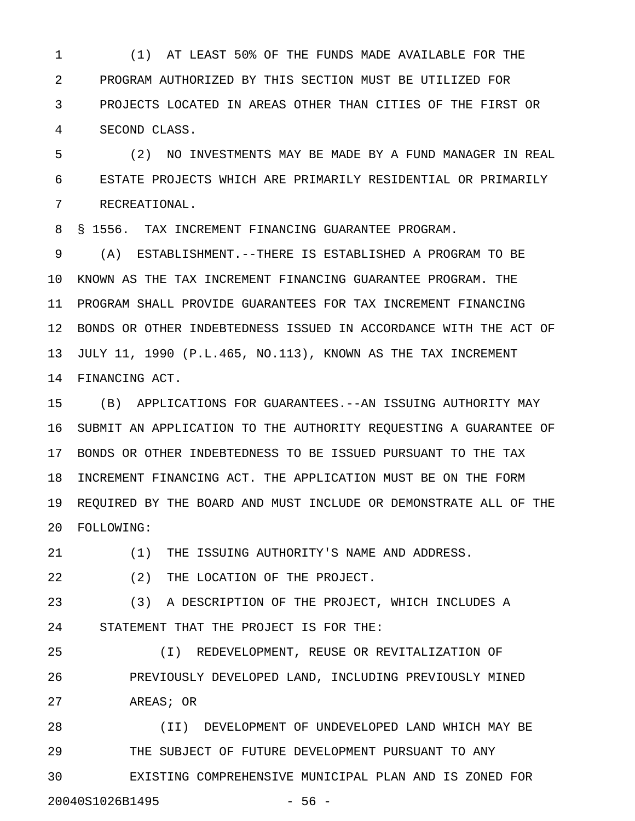1 (1) AT LEAST 50% OF THE FUNDS MADE AVAILABLE FOR THE 2 PROGRAM AUTHORIZED BY THIS SECTION MUST BE UTILIZED FOR 3 PROJECTS LOCATED IN AREAS OTHER THAN CITIES OF THE FIRST OR 4 SECOND CLASS.

5 (2) NO INVESTMENTS MAY BE MADE BY A FUND MANAGER IN REAL 6 ESTATE PROJECTS WHICH ARE PRIMARILY RESIDENTIAL OR PRIMARILY 7 RECREATIONAL.

8 § 1556. TAX INCREMENT FINANCING GUARANTEE PROGRAM.

9 (A) ESTABLISHMENT.--THERE IS ESTABLISHED A PROGRAM TO BE 10 KNOWN AS THE TAX INCREMENT FINANCING GUARANTEE PROGRAM. THE 11 PROGRAM SHALL PROVIDE GUARANTEES FOR TAX INCREMENT FINANCING 12 BONDS OR OTHER INDEBTEDNESS ISSUED IN ACCORDANCE WITH THE ACT OF 13 JULY 11, 1990 (P.L.465, NO.113), KNOWN AS THE TAX INCREMENT 14 FINANCING ACT.

15 (B) APPLICATIONS FOR GUARANTEES.--AN ISSUING AUTHORITY MAY 16 SUBMIT AN APPLICATION TO THE AUTHORITY REQUESTING A GUARANTEE OF 17 BONDS OR OTHER INDEBTEDNESS TO BE ISSUED PURSUANT TO THE TAX 18 INCREMENT FINANCING ACT. THE APPLICATION MUST BE ON THE FORM 19 REQUIRED BY THE BOARD AND MUST INCLUDE OR DEMONSTRATE ALL OF THE 20 FOLLOWING:

21 (1) THE ISSUING AUTHORITY'S NAME AND ADDRESS.

22 (2) THE LOCATION OF THE PROJECT.

23 (3) A DESCRIPTION OF THE PROJECT, WHICH INCLUDES A 24 STATEMENT THAT THE PROJECT IS FOR THE:

25 (I) REDEVELOPMENT, REUSE OR REVITALIZATION OF 26 PREVIOUSLY DEVELOPED LAND, INCLUDING PREVIOUSLY MINED

27 AREAS; OR

28 (II) DEVELOPMENT OF UNDEVELOPED LAND WHICH MAY BE 29 THE SUBJECT OF FUTURE DEVELOPMENT PURSUANT TO ANY 30 EXISTING COMPREHENSIVE MUNICIPAL PLAN AND IS ZONED FOR 20040S1026B1495 - 56 -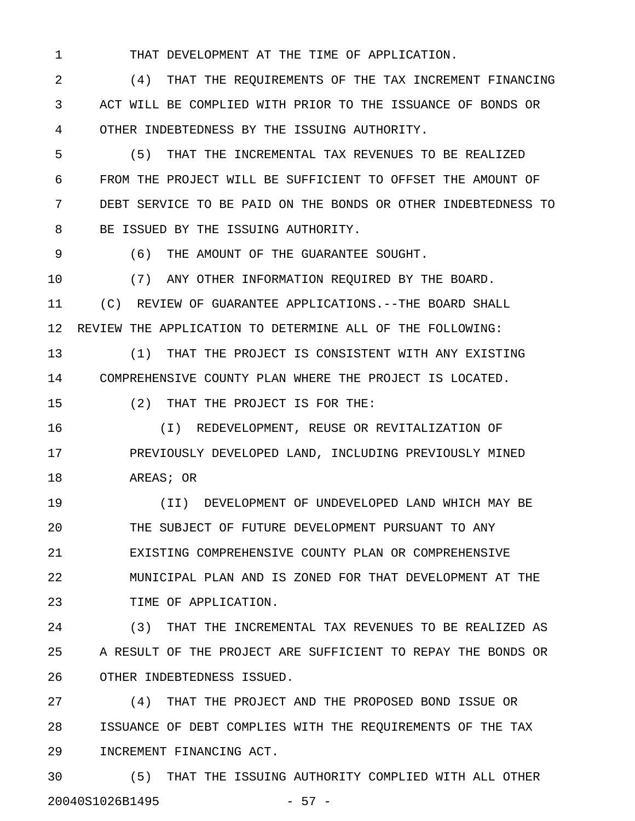1 THAT DEVELOPMENT AT THE TIME OF APPLICATION.

2 (4) THAT THE REQUIREMENTS OF THE TAX INCREMENT FINANCING 3 ACT WILL BE COMPLIED WITH PRIOR TO THE ISSUANCE OF BONDS OR 4 OTHER INDEBTEDNESS BY THE ISSUING AUTHORITY.

5 (5) THAT THE INCREMENTAL TAX REVENUES TO BE REALIZED 6 FROM THE PROJECT WILL BE SUFFICIENT TO OFFSET THE AMOUNT OF 7 DEBT SERVICE TO BE PAID ON THE BONDS OR OTHER INDEBTEDNESS TO 8 BE ISSUED BY THE ISSUING AUTHORITY.

9 (6) THE AMOUNT OF THE GUARANTEE SOUGHT.

10 (7) ANY OTHER INFORMATION REQUIRED BY THE BOARD. 11 (C) REVIEW OF GUARANTEE APPLICATIONS.--THE BOARD SHALL 12 REVIEW THE APPLICATION TO DETERMINE ALL OF THE FOLLOWING:

13 (1) THAT THE PROJECT IS CONSISTENT WITH ANY EXISTING 14 COMPREHENSIVE COUNTY PLAN WHERE THE PROJECT IS LOCATED.

15 (2) THAT THE PROJECT IS FOR THE:

16 (I) REDEVELOPMENT, REUSE OR REVITALIZATION OF 17 PREVIOUSLY DEVELOPED LAND, INCLUDING PREVIOUSLY MINED 18 AREAS; OR

19 (II) DEVELOPMENT OF UNDEVELOPED LAND WHICH MAY BE 20 THE SUBJECT OF FUTURE DEVELOPMENT PURSUANT TO ANY 21 EXISTING COMPREHENSIVE COUNTY PLAN OR COMPREHENSIVE 22 MUNICIPAL PLAN AND IS ZONED FOR THAT DEVELOPMENT AT THE 23 TIME OF APPLICATION.

24 (3) THAT THE INCREMENTAL TAX REVENUES TO BE REALIZED AS 25 A RESULT OF THE PROJECT ARE SUFFICIENT TO REPAY THE BONDS OR 26 OTHER INDEBTEDNESS ISSUED.

27 (4) THAT THE PROJECT AND THE PROPOSED BOND ISSUE OR 28 ISSUANCE OF DEBT COMPLIES WITH THE REQUIREMENTS OF THE TAX 29 INCREMENT FINANCING ACT.

30 (5) THAT THE ISSUING AUTHORITY COMPLIED WITH ALL OTHER 20040S1026B1495 - 57 -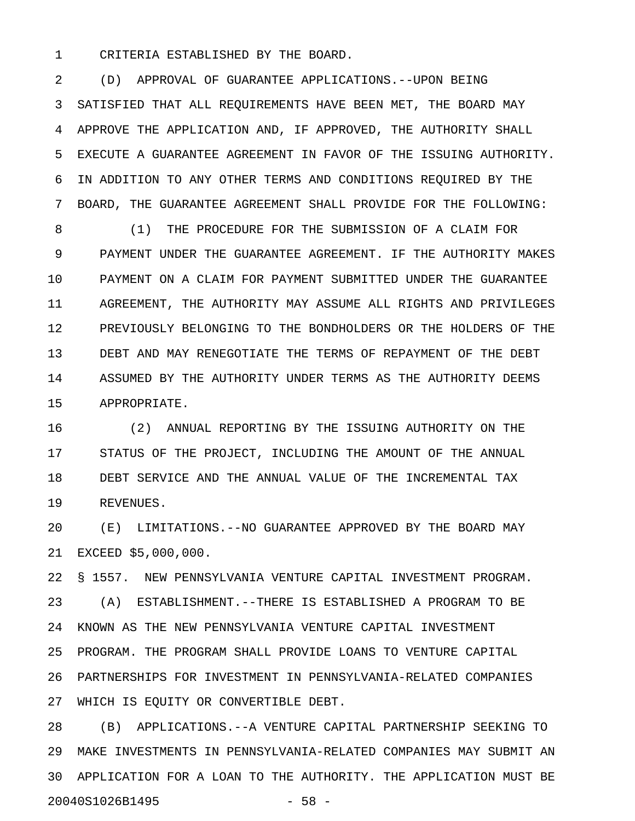1 CRITERIA ESTABLISHED BY THE BOARD.

2 (D) APPROVAL OF GUARANTEE APPLICATIONS.--UPON BEING 3 SATISFIED THAT ALL REQUIREMENTS HAVE BEEN MET, THE BOARD MAY 4 APPROVE THE APPLICATION AND, IF APPROVED, THE AUTHORITY SHALL 5 EXECUTE A GUARANTEE AGREEMENT IN FAVOR OF THE ISSUING AUTHORITY. 6 IN ADDITION TO ANY OTHER TERMS AND CONDITIONS REQUIRED BY THE 7 BOARD, THE GUARANTEE AGREEMENT SHALL PROVIDE FOR THE FOLLOWING:

8 (1) THE PROCEDURE FOR THE SUBMISSION OF A CLAIM FOR 9 PAYMENT UNDER THE GUARANTEE AGREEMENT. IF THE AUTHORITY MAKES 10 PAYMENT ON A CLAIM FOR PAYMENT SUBMITTED UNDER THE GUARANTEE 11 AGREEMENT, THE AUTHORITY MAY ASSUME ALL RIGHTS AND PRIVILEGES 12 PREVIOUSLY BELONGING TO THE BONDHOLDERS OR THE HOLDERS OF THE 13 DEBT AND MAY RENEGOTIATE THE TERMS OF REPAYMENT OF THE DEBT 14 ASSUMED BY THE AUTHORITY UNDER TERMS AS THE AUTHORITY DEEMS 15 APPROPRIATE.

16 (2) ANNUAL REPORTING BY THE ISSUING AUTHORITY ON THE 17 STATUS OF THE PROJECT, INCLUDING THE AMOUNT OF THE ANNUAL 18 DEBT SERVICE AND THE ANNUAL VALUE OF THE INCREMENTAL TAX 19 REVENUES.

20 (E) LIMITATIONS.--NO GUARANTEE APPROVED BY THE BOARD MAY 21 EXCEED \$5,000,000.

22 § 1557. NEW PENNSYLVANIA VENTURE CAPITAL INVESTMENT PROGRAM. 23 (A) ESTABLISHMENT.--THERE IS ESTABLISHED A PROGRAM TO BE 24 KNOWN AS THE NEW PENNSYLVANIA VENTURE CAPITAL INVESTMENT 25 PROGRAM. THE PROGRAM SHALL PROVIDE LOANS TO VENTURE CAPITAL 26 PARTNERSHIPS FOR INVESTMENT IN PENNSYLVANIA-RELATED COMPANIES 27 WHICH IS EQUITY OR CONVERTIBLE DEBT.

28 (B) APPLICATIONS.--A VENTURE CAPITAL PARTNERSHIP SEEKING TO 29 MAKE INVESTMENTS IN PENNSYLVANIA-RELATED COMPANIES MAY SUBMIT AN 30 APPLICATION FOR A LOAN TO THE AUTHORITY. THE APPLICATION MUST BE 20040S1026B1495 - 58 -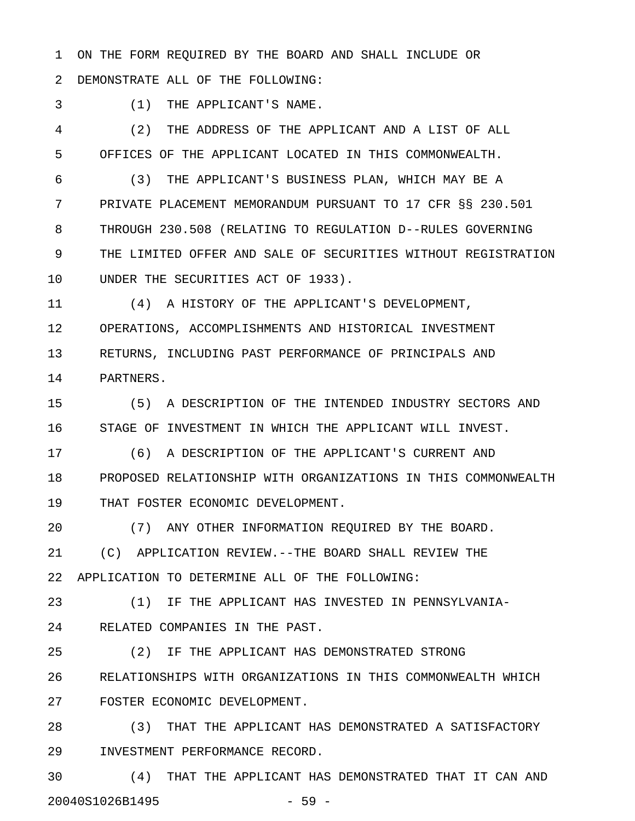1 ON THE FORM REQUIRED BY THE BOARD AND SHALL INCLUDE OR

2 DEMONSTRATE ALL OF THE FOLLOWING:

3 (1) THE APPLICANT'S NAME.

4 (2) THE ADDRESS OF THE APPLICANT AND A LIST OF ALL 5 OFFICES OF THE APPLICANT LOCATED IN THIS COMMONWEALTH.

6 (3) THE APPLICANT'S BUSINESS PLAN, WHICH MAY BE A 7 PRIVATE PLACEMENT MEMORANDUM PURSUANT TO 17 CFR §§ 230.501 8 THROUGH 230.508 (RELATING TO REGULATION D--RULES GOVERNING 9 THE LIMITED OFFER AND SALE OF SECURITIES WITHOUT REGISTRATION 10 UNDER THE SECURITIES ACT OF 1933).

11 (4) A HISTORY OF THE APPLICANT'S DEVELOPMENT, 12 OPERATIONS, ACCOMPLISHMENTS AND HISTORICAL INVESTMENT 13 RETURNS, INCLUDING PAST PERFORMANCE OF PRINCIPALS AND 14 PARTNERS.

15 (5) A DESCRIPTION OF THE INTENDED INDUSTRY SECTORS AND 16 STAGE OF INVESTMENT IN WHICH THE APPLICANT WILL INVEST.

17 (6) A DESCRIPTION OF THE APPLICANT'S CURRENT AND 18 PROPOSED RELATIONSHIP WITH ORGANIZATIONS IN THIS COMMONWEALTH 19 THAT FOSTER ECONOMIC DEVELOPMENT.

20 (7) ANY OTHER INFORMATION REQUIRED BY THE BOARD.

21 (C) APPLICATION REVIEW.--THE BOARD SHALL REVIEW THE 22 APPLICATION TO DETERMINE ALL OF THE FOLLOWING:

23 (1) IF THE APPLICANT HAS INVESTED IN PENNSYLVANIA-24 RELATED COMPANIES IN THE PAST.

25 (2) IF THE APPLICANT HAS DEMONSTRATED STRONG

26 RELATIONSHIPS WITH ORGANIZATIONS IN THIS COMMONWEALTH WHICH 27 FOSTER ECONOMIC DEVELOPMENT.

28 (3) THAT THE APPLICANT HAS DEMONSTRATED A SATISFACTORY 29 INVESTMENT PERFORMANCE RECORD.

30 (4) THAT THE APPLICANT HAS DEMONSTRATED THAT IT CAN AND 20040S1026B1495 - 59 -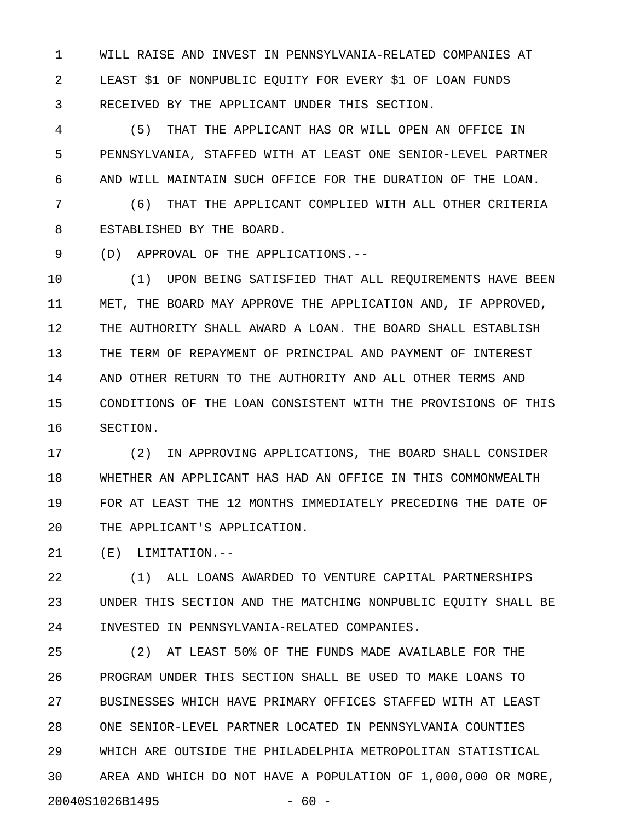1 WILL RAISE AND INVEST IN PENNSYLVANIA-RELATED COMPANIES AT 2 LEAST \$1 OF NONPUBLIC EQUITY FOR EVERY \$1 OF LOAN FUNDS 3 RECEIVED BY THE APPLICANT UNDER THIS SECTION.

4 (5) THAT THE APPLICANT HAS OR WILL OPEN AN OFFICE IN 5 PENNSYLVANIA, STAFFED WITH AT LEAST ONE SENIOR-LEVEL PARTNER 6 AND WILL MAINTAIN SUCH OFFICE FOR THE DURATION OF THE LOAN.

7 (6) THAT THE APPLICANT COMPLIED WITH ALL OTHER CRITERIA 8 ESTABLISHED BY THE BOARD.

9 (D) APPROVAL OF THE APPLICATIONS.--

10 (1) UPON BEING SATISFIED THAT ALL REQUIREMENTS HAVE BEEN 11 MET, THE BOARD MAY APPROVE THE APPLICATION AND, IF APPROVED, 12 THE AUTHORITY SHALL AWARD A LOAN. THE BOARD SHALL ESTABLISH 13 THE TERM OF REPAYMENT OF PRINCIPAL AND PAYMENT OF INTEREST 14 AND OTHER RETURN TO THE AUTHORITY AND ALL OTHER TERMS AND 15 CONDITIONS OF THE LOAN CONSISTENT WITH THE PROVISIONS OF THIS 16 SECTION.

17 (2) IN APPROVING APPLICATIONS, THE BOARD SHALL CONSIDER 18 WHETHER AN APPLICANT HAS HAD AN OFFICE IN THIS COMMONWEALTH 19 FOR AT LEAST THE 12 MONTHS IMMEDIATELY PRECEDING THE DATE OF 20 THE APPLICANT'S APPLICATION.

21 (E) LIMITATION.--

22 (1) ALL LOANS AWARDED TO VENTURE CAPITAL PARTNERSHIPS 23 UNDER THIS SECTION AND THE MATCHING NONPUBLIC EQUITY SHALL BE 24 INVESTED IN PENNSYLVANIA-RELATED COMPANIES.

25 (2) AT LEAST 50% OF THE FUNDS MADE AVAILABLE FOR THE 26 PROGRAM UNDER THIS SECTION SHALL BE USED TO MAKE LOANS TO 27 BUSINESSES WHICH HAVE PRIMARY OFFICES STAFFED WITH AT LEAST 28 ONE SENIOR-LEVEL PARTNER LOCATED IN PENNSYLVANIA COUNTIES 29 WHICH ARE OUTSIDE THE PHILADELPHIA METROPOLITAN STATISTICAL 30 AREA AND WHICH DO NOT HAVE A POPULATION OF 1,000,000 OR MORE, 20040S1026B1495 - 60 -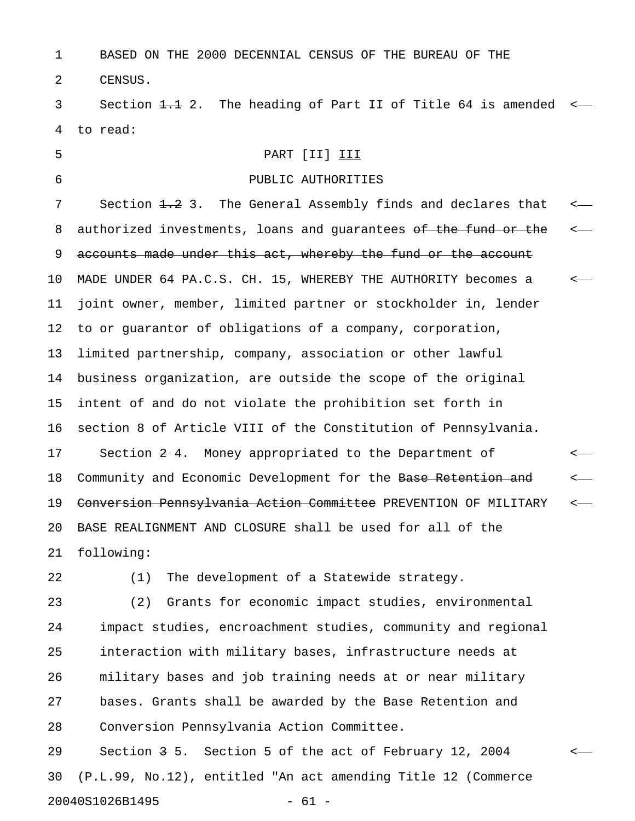1 BASED ON THE 2000 DECENNIAL CENSUS OF THE BUREAU OF THE 2 CENSUS.

3 Section 1.1 2. The heading of Part II of Title 64 is amended <-4 to read:

# 5 PART [II] III

# 6 PUBLIC AUTHORITIES

7 Section <del>1.2</del> 3. The General Assembly finds and declares that <-8 authorized investments, loans and guarantees of the fund or the <-9 accounts made under this act, whereby the fund or the account 10 MADE UNDER 64 PA.C.S. CH. 15, WHEREBY THE AUTHORITY becomes a < 11 joint owner, member, limited partner or stockholder in, lender 12 to or guarantor of obligations of a company, corporation, 13 limited partnership, company, association or other lawful 14 business organization, are outside the scope of the original 15 intent of and do not violate the prohibition set forth in 16 section 8 of Article VIII of the Constitution of Pennsylvania. 17 Section 2 4. Money appropriated to the Department of < 18 Community and Economic Development for the Base Retention and  $\sim$ 19 <del>Conversion Pennsylvania Action Committee</del> PREVENTION OF MILITARY <-20 BASE REALIGNMENT AND CLOSURE shall be used for all of the 21 following:

22 (1) The development of a Statewide strategy.

23 (2) Grants for economic impact studies, environmental 24 impact studies, encroachment studies, community and regional 25 interaction with military bases, infrastructure needs at 26 military bases and job training needs at or near military 27 bases. Grants shall be awarded by the Base Retention and 28 Conversion Pennsylvania Action Committee.

29 Section 3 5. Section 5 of the act of February 12, 2004 < 30 (P.L.99, No.12), entitled "An act amending Title 12 (Commerce 20040S1026B1495 - 61 -